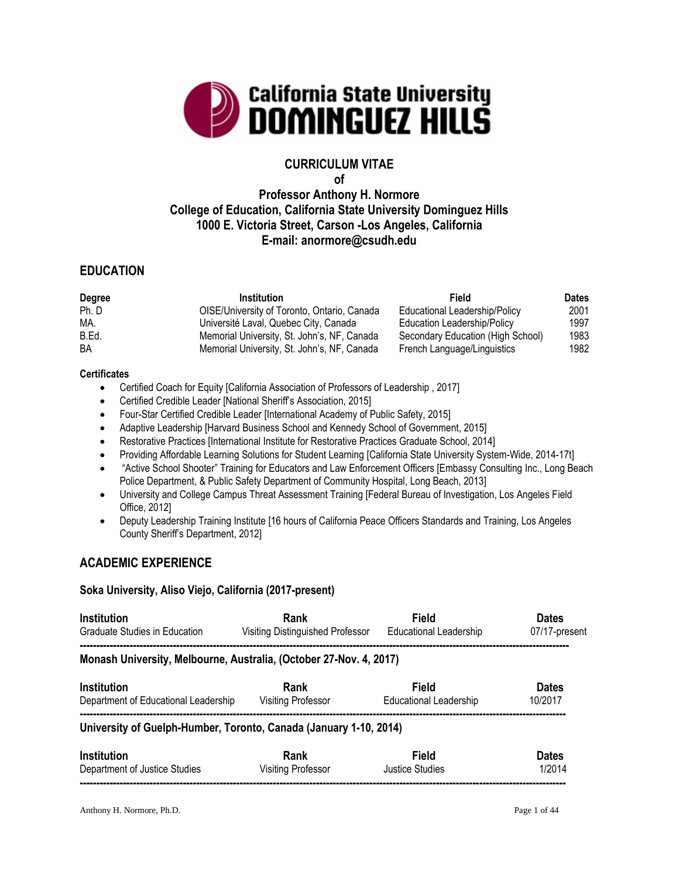

# **CURRICULUM VITAE**

**of**

# **Professor Anthony H. Normore College of Education, California State University Dominguez Hills 1000 E. Victoria Street, Carson -Los Angeles, California E-mail: anormore@csudh.edu**

## **EDUCATION**

| <b>Degree</b> | <b>Institution</b>                          | Field                             | <b>Dates</b> |
|---------------|---------------------------------------------|-----------------------------------|--------------|
| Ph. D         | OISE/University of Toronto, Ontario, Canada | Educational Leadership/Policy     | 2001         |
| MA.           | Université Laval, Quebec City, Canada       | Education Leadership/Policy       | 1997         |
| B.Ed.         | Memorial University, St. John's, NF, Canada | Secondary Education (High School) | 1983         |
| BA            | Memorial University, St. John's, NF, Canada | French Language/Linguistics       | 1982         |

#### **Certificates**

- Certified Coach for Equity [California Association of Professors of Leadership , 2017]
- Certified Credible Leader [National Sheriff's Association, 2015]
- Four-Star Certified Credible Leader [International Academy of Public Safety, 2015]
- Adaptive Leadership [Harvard Business School and Kennedy School of Government, 2015]
- Restorative Practices [International Institute for Restorative Practices Graduate School, 2014]
- Providing Affordable Learning Solutions for Student Learning [California State University System-Wide, 2014-17t]
- "Active School Shooter" Training for Educators and Law Enforcement Officers [Embassy Consulting Inc., Long Beach Police Department, & Public Safety Department of Community Hospital, Long Beach, 2013]
- University and College Campus Threat Assessment Training [Federal Bureau of Investigation, Los Angeles Field Office, 2012]
- Deputy Leadership Training Institute [16 hours of California Peace Officers Standards and Training, Los Angeles County Sheriff's Department, 2012]

## **ACADEMIC EXPERIENCE**

#### **Soka University, Aliso Viejo, California (2017-present)**

| <b>Institution</b>                                                 | Rank                             | Field                         | <b>Dates</b>  |
|--------------------------------------------------------------------|----------------------------------|-------------------------------|---------------|
| Graduate Studies in Education                                      | Visiting Distinguished Professor | <b>Educational Leadership</b> | 07/17-present |
| Monash University, Melbourne, Australia, (October 27-Nov. 4, 2017) |                                  |                               |               |
| <b>Institution</b>                                                 | Rank                             | Field                         | <b>Dates</b>  |
| Department of Educational Leadership                               | Visiting Professor               | Educational Leadership        | 10/2017       |
| University of Guelph-Humber, Toronto, Canada (January 1-10, 2014)  |                                  |                               |               |
| <b>Institution</b>                                                 | Rank                             | Field                         | <b>Dates</b>  |
| Department of Justice Studies                                      | <b>Visiting Professor</b>        | <b>Justice Studies</b>        | 1/2014        |
|                                                                    |                                  |                               |               |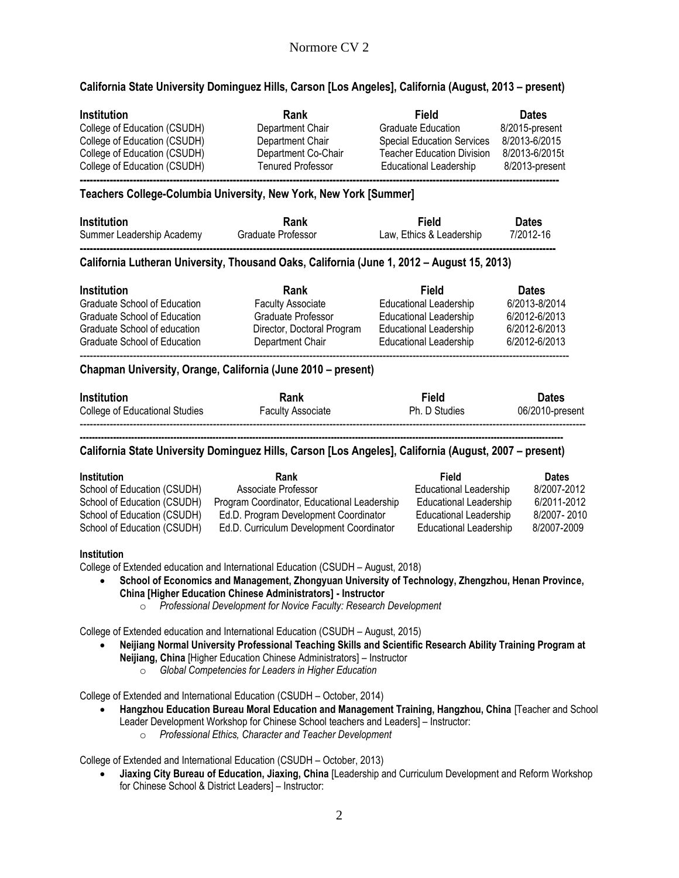#### **California State University Dominguez Hills, Carson [Los Angeles], California (August, 2013 – present)**

| Institution                  | Rank                     | Field                             | <b>Dates</b>   |
|------------------------------|--------------------------|-----------------------------------|----------------|
| College of Education (CSUDH) | Department Chair         | <b>Graduate Education</b>         | 8/2015-present |
| College of Education (CSUDH) | Department Chair         | <b>Special Education Services</b> | 8/2013-6/2015  |
| College of Education (CSUDH) | Department Co-Chair      | <b>Teacher Education Division</b> | 8/2013-6/2015t |
| College of Education (CSUDH) | <b>Tenured Professor</b> | Educational Leadership            | 8/2013-present |
|                              |                          |                                   |                |

#### **Teachers College-Columbia University, New York, New York [Summer]**

| <b>Institution</b>        | Rank               | Field                    | <b>Dates</b> |
|---------------------------|--------------------|--------------------------|--------------|
| Summer Leadership Academy | Graduate Professor | Law, Ethics & Leadership | 7/2012-16    |
|                           |                    |                          |              |

#### **California Lutheran University, Thousand Oaks, California (June 1, 2012 – August 15, 2013)**

| <b>Institution</b>           | Rank                       | Field                         | <b>Dates</b>  |
|------------------------------|----------------------------|-------------------------------|---------------|
| Graduate School of Education | <b>Faculty Associate</b>   | <b>Educational Leadership</b> | 6/2013-8/2014 |
| Graduate School of Education | Graduate Professor         | <b>Educational Leadership</b> | 6/2012-6/2013 |
| Graduate School of education | Director, Doctoral Program | Educational Leadership        | 6/2012-6/2013 |
| Graduate School of Education | Department Chair           | Educational Leadership        | 6/2012-6/2013 |
|                              |                            |                               |               |

#### **Chapman University, Orange, California (June 2010 – present)**

| <b>Institution</b>             | Rank                     | Field         | <b>Dates</b>    |
|--------------------------------|--------------------------|---------------|-----------------|
| College of Educational Studies | <b>Faculty Associate</b> | Ph. D Studies | 06/2010-present |

#### **---------------------------------------------------------------------------------------------------------------------------------------------------------------- California State University Dominguez Hills, Carson [Los Angeles], California (August, 2007 – present)**

| <b>Institution</b>          | Rank                                        | Field                         | <b>Dates</b> |
|-----------------------------|---------------------------------------------|-------------------------------|--------------|
| School of Education (CSUDH) | Associate Professor                         | Educational Leadership        | 8/2007-2012  |
| School of Education (CSUDH) | Program Coordinator, Educational Leadership | <b>Educational Leadership</b> | 6/2011-2012  |
| School of Education (CSUDH) | Ed.D. Program Development Coordinator       | Educational Leadership        | 8/2007-2010  |
| School of Education (CSUDH) | Ed.D. Curriculum Development Coordinator    | Educational Leadership        | 8/2007-2009  |

#### **Institution**

College of Extended education and International Education (CSUDH – August, 2018)

- **School of Economics and Management, Zhongyuan University of Technology, Zhengzhou, Henan Province, China [Higher Education Chinese Administrators] - Instructor**
	- o *Professional Development for Novice Faculty: Research Development*

College of Extended education and International Education (CSUDH – August, 2015)

- **Neijiang Normal University Professional Teaching Skills and Scientific Research Ability Training Program at Neijiang, China** [Higher Education Chinese Administrators] – Instructor
	- o *Global Competencies for Leaders in Higher Education*

College of Extended and International Education (CSUDH – October, 2014)

- **Hangzhou Education Bureau Moral Education and Management Training, Hangzhou, China** [Teacher and School Leader Development Workshop for Chinese School teachers and Leaders] – Instructor:
	- o *Professional Ethics, Character and Teacher Development*

College of Extended and International Education (CSUDH – October, 2013)

 **Jiaxing City Bureau of Education, Jiaxing, China** [Leadership and Curriculum Development and Reform Workshop for Chinese School & District Leaders] – Instructor: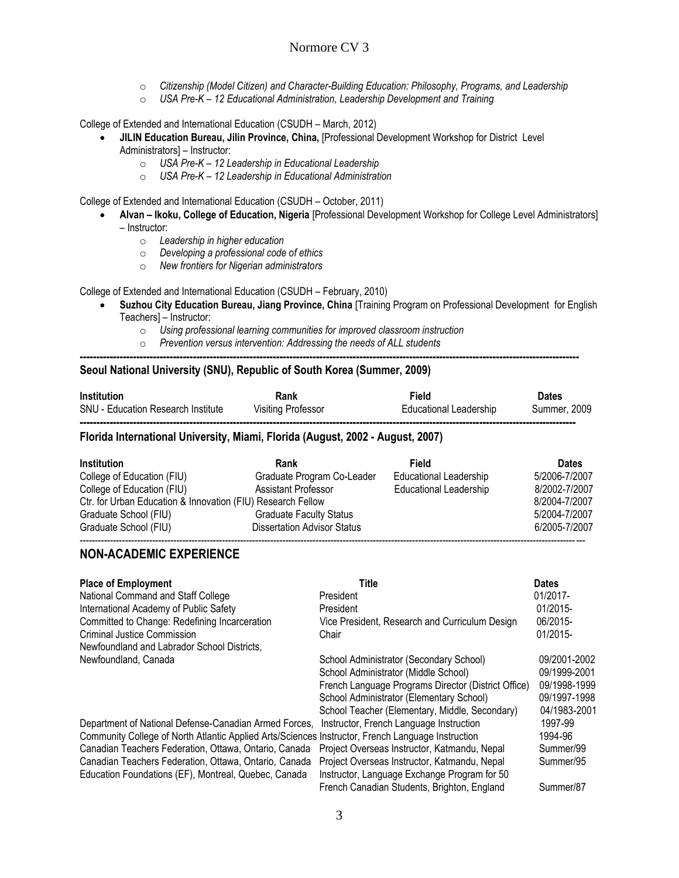- o *Citizenship (Model Citizen) and Character-Building Education: Philosophy, Programs, and Leadership*
- o *USA Pre-K – 12 Educational Administration, Leadership Development and Training*

College of Extended and International Education (CSUDH – March, 2012)

- **JILIN Education Bureau, Jilin Province, China,** [Professional Development Workshop for District Level Administrators] – Instructor:
	- o *USA Pre-K – 12 Leadership in Educational Leadership*
	- o *USA Pre-K – 12 Leadership in Educational Administration*

College of Extended and International Education (CSUDH – October, 2011)

- **Alvan – Ikoku, College of Education, Nigeria** [Professional Development Workshop for College Level Administrators] – Instructor:
	- o *Leadership in higher education*
	- o *Developing a professional code of ethics*
	- o *New frontiers for Nigerian administrators*

College of Extended and International Education (CSUDH – February, 2010)

- **Suzhou City Education Bureau, Jiang Province, China** [Training Program on Professional Development for English Teachers] – Instructor:
	- o *Using professional learning communities for improved classroom instruction*
	- o *Prevention versus intervention: Addressing the needs of ALL students*

#### **------------------------------------------------------------------------------------------------------------------------------------------------------ Seoul National University (SNU), Republic of South Korea (Summer, 2009)**

| <b>Institution</b>                        | Rank                      | Field                  | Dates               |
|-------------------------------------------|---------------------------|------------------------|---------------------|
| <b>SNU - Education Research Institute</b> | <b>Visiting Professor</b> | Educational Leadership | <b>Summer, 2009</b> |
|                                           |                           |                        |                     |

#### **Florida International University, Miami, Florida (August, 2002 - August, 2007)**

| <b>Institution</b>                                          | Rank                               | Field                         | <b>Dates</b>  |
|-------------------------------------------------------------|------------------------------------|-------------------------------|---------------|
| College of Education (FIU)                                  | Graduate Program Co-Leader         | <b>Educational Leadership</b> | 5/2006-7/2007 |
| College of Education (FIU)                                  | Assistant Professor                | <b>Educational Leadership</b> | 8/2002-7/2007 |
| Ctr. for Urban Education & Innovation (FIU) Research Fellow |                                    |                               | 8/2004-7/2007 |
| Graduate School (FIU)                                       | <b>Graduate Faculty Status</b>     |                               | 5/2004-7/2007 |
| Graduate School (FIU)                                       | <b>Dissertation Advisor Status</b> |                               | 6/2005-7/2007 |
|                                                             |                                    |                               |               |

#### **NON-ACADEMIC EXPERIENCE**

| <b>Place of Employment</b><br>National Command and Staff College<br>International Academy of Public Safety<br>Committed to Change: Redefining Incarceration<br>Criminal Justice Commission<br>Newfoundland and Labrador School Districts.                                                                                            | Title<br>President<br>President<br>Vice President, Research and Curriculum Design<br>Chair                                                                                                                                           | <b>Dates</b><br>01/2017-<br>01/2015-<br>06/2015-<br>01/2015-                 |
|--------------------------------------------------------------------------------------------------------------------------------------------------------------------------------------------------------------------------------------------------------------------------------------------------------------------------------------|--------------------------------------------------------------------------------------------------------------------------------------------------------------------------------------------------------------------------------------|------------------------------------------------------------------------------|
| Newfoundland, Canada                                                                                                                                                                                                                                                                                                                 | School Administrator (Secondary School)<br>School Administrator (Middle School)<br>French Language Programs Director (District Office)<br>School Administrator (Elementary School)<br>School Teacher (Elementary, Middle, Secondary) | 09/2001-2002<br>09/1999-2001<br>09/1998-1999<br>09/1997-1998<br>04/1983-2001 |
| Department of National Defense-Canadian Armed Forces,<br>Community College of North Atlantic Applied Arts/Sciences Instructor, French Language Instruction<br>Canadian Teachers Federation, Ottawa, Ontario, Canada<br>Canadian Teachers Federation, Ottawa, Ontario, Canada<br>Education Foundations (EF), Montreal, Quebec, Canada | Instructor, French Language Instruction<br>Project Overseas Instructor, Katmandu, Nepal<br>Project Overseas Instructor, Katmandu, Nepal<br>Instructor, Language Exchange Program for 50                                              | 1997-99<br>1994-96<br>Summer/99<br>Summer/95                                 |
|                                                                                                                                                                                                                                                                                                                                      | French Canadian Students, Brighton, England                                                                                                                                                                                          | Summer/87                                                                    |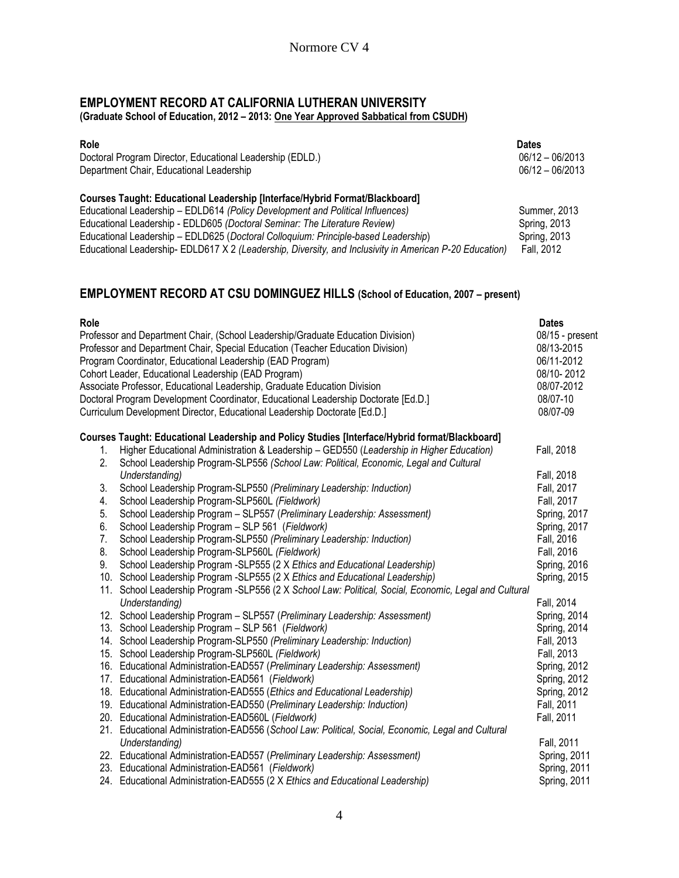## **EMPLOYMENT RECORD AT CALIFORNIA LUTHERAN UNIVERSITY (Graduate School of Education, 2012 – 2013: One Year Approved Sabbatical from CSUDH)**

| <b>Role</b><br>Doctoral Program Director, Educational Leadership (EDLD.)                               | <b>Dates</b><br>$06/12 - 06/2013$ |
|--------------------------------------------------------------------------------------------------------|-----------------------------------|
| Department Chair, Educational Leadership                                                               | $06/12 - 06/2013$                 |
| Courses Taught: Educational Leadership [Interface/Hybrid Format/Blackboard]                            |                                   |
| Educational Leadership - EDLD614 (Policy Development and Political Influences)                         | Summer, 2013                      |
| Educational Leadership - EDLD605 (Doctoral Seminar: The Literature Review)                             | Spring, 2013                      |
| Educational Leadership - EDLD625 (Doctoral Colloquium: Principle-based Leadership)                     | Spring, 2013                      |
| Educational Leadership-EDLD617 X 2 (Leadership, Diversity, and Inclusivity in American P-20 Education) | Fall, 2012                        |

# **EMPLOYMENT RECORD AT CSU DOMINGUEZ HILLS (School of Education, 2007 – present)**

| Role |                                                                                                        | <b>Dates</b>        |
|------|--------------------------------------------------------------------------------------------------------|---------------------|
|      | Professor and Department Chair, (School Leadership/Graduate Education Division)                        | 08/15 - present     |
|      | Professor and Department Chair, Special Education (Teacher Education Division)                         | 08/13-2015          |
|      | Program Coordinator, Educational Leadership (EAD Program)                                              | 06/11-2012          |
|      | Cohort Leader, Educational Leadership (EAD Program)                                                    | 08/10-2012          |
|      | Associate Professor, Educational Leadership, Graduate Education Division                               | 08/07-2012          |
|      | Doctoral Program Development Coordinator, Educational Leadership Doctorate [Ed.D.]                     | 08/07-10            |
|      | Curriculum Development Director, Educational Leadership Doctorate [Ed.D.]                              | 08/07-09            |
|      | Courses Taught: Educational Leadership and Policy Studies [Interface/Hybrid format/Blackboard]         |                     |
| 1.   | Higher Educational Administration & Leadership - GED550 (Leadership in Higher Education)               | Fall, 2018          |
| 2.   | School Leadership Program-SLP556 (School Law: Political, Economic, Legal and Cultural                  |                     |
|      | Understanding)                                                                                         | Fall, 2018          |
| 3.   | School Leadership Program-SLP550 (Preliminary Leadership: Induction)                                   | Fall, 2017          |
| 4.   | School Leadership Program-SLP560L (Fieldwork)                                                          | Fall, 2017          |
| 5.   | School Leadership Program - SLP557 (Preliminary Leadership: Assessment)                                | Spring, 2017        |
| 6.   | School Leadership Program - SLP 561 (Fieldwork)                                                        | Spring, 2017        |
| 7.   | School Leadership Program-SLP550 (Preliminary Leadership: Induction)                                   | Fall, 2016          |
| 8.   | School Leadership Program-SLP560L (Fieldwork)                                                          | Fall, 2016          |
| 9.   | School Leadership Program -SLP555 (2 X Ethics and Educational Leadership)                              | <b>Spring, 2016</b> |
|      | 10. School Leadership Program -SLP555 (2 X Ethics and Educational Leadership)                          | <b>Spring, 2015</b> |
|      | 11. School Leadership Program -SLP556 (2 X School Law: Political, Social, Economic, Legal and Cultural |                     |
|      | Understanding)                                                                                         | Fall, 2014          |
|      | 12. School Leadership Program - SLP557 (Preliminary Leadership: Assessment)                            | Spring, 2014        |
|      | 13. School Leadership Program - SLP 561 (Fieldwork)                                                    | Spring, 2014        |
|      | 14. School Leadership Program-SLP550 (Preliminary Leadership: Induction)                               | Fall, 2013          |
|      | 15. School Leadership Program-SLP560L (Fieldwork)                                                      | Fall, 2013          |
|      | 16. Educational Administration-EAD557 (Preliminary Leadership: Assessment)                             | Spring, 2012        |
|      | 17. Educational Administration-EAD561 (Fieldwork)                                                      | Spring, 2012        |
|      | 18. Educational Administration-EAD555 (Ethics and Educational Leadership)                              | Spring, 2012        |
|      | 19. Educational Administration-EAD550 (Preliminary Leadership: Induction)                              | Fall, 2011          |
|      | 20. Educational Administration-EAD560L (Fieldwork)                                                     | Fall, 2011          |
|      | 21. Educational Administration-EAD556 (School Law: Political, Social, Economic, Legal and Cultural     |                     |
|      | Understanding)                                                                                         | Fall, 2011          |
|      | 22. Educational Administration-EAD557 (Preliminary Leadership: Assessment)                             | <b>Spring, 2011</b> |
|      | 23. Educational Administration-EAD561 (Fieldwork)                                                      | Spring, 2011        |
|      | 24. Educational Administration-EAD555 (2 X Ethics and Educational Leadership)                          | <b>Spring, 2011</b> |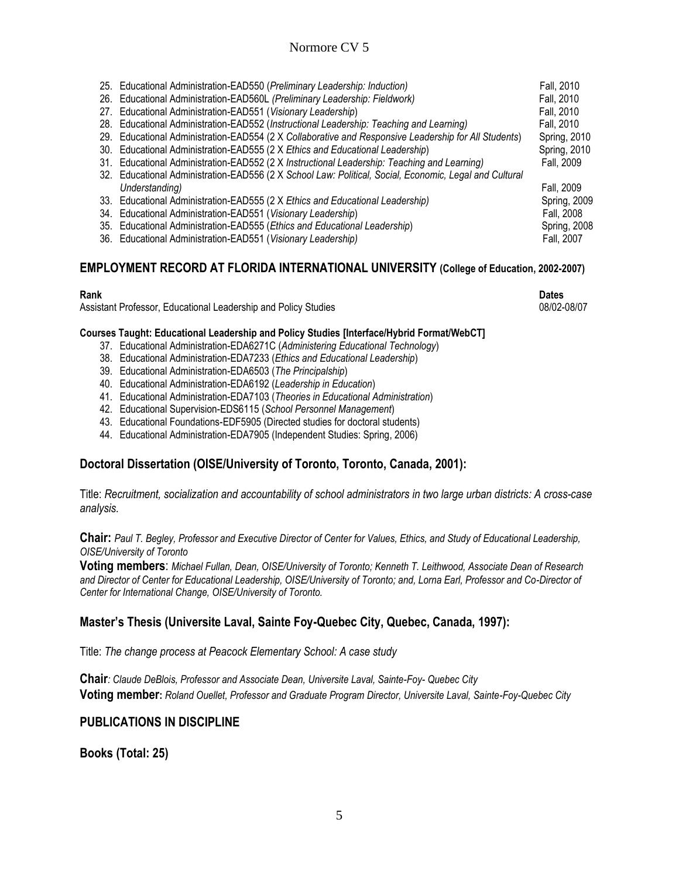|  | 25. Educational Administration-EAD550 (Preliminary Leadership: Induction)                              | Fall, 2010   |
|--|--------------------------------------------------------------------------------------------------------|--------------|
|  | 26. Educational Administration-EAD560L (Preliminary Leadership: Fieldwork)                             | Fall, 2010   |
|  | 27. Educational Administration-EAD551 (Visionary Leadership)                                           | Fall, 2010   |
|  | 28. Educational Administration-EAD552 (Instructional Leadership: Teaching and Learning)                | Fall, 2010   |
|  | 29. Educational Administration-EAD554 (2 X Collaborative and Responsive Leadership for All Students)   | Spring, 2010 |
|  | 30. Educational Administration-EAD555 (2 X Ethics and Educational Leadership)                          | Spring, 2010 |
|  | 31. Educational Administration-EAD552 (2 X Instructional Leadership: Teaching and Learning)            | Fall, 2009   |
|  | 32. Educational Administration-EAD556 (2 X School Law: Political, Social, Economic, Legal and Cultural |              |
|  | Understanding)                                                                                         | Fall, 2009   |
|  | 33. Educational Administration-EAD555 (2 X Ethics and Educational Leadership)                          | Spring, 2009 |
|  | 34. Educational Administration-EAD551 (Visionary Leadership)                                           | Fall, 2008   |
|  | 35. Educational Administration-EAD555 (Ethics and Educational Leadership)                              | Spring, 2008 |
|  | 36. Educational Administration-EAD551 (Visionary Leadership)                                           | Fall, 2007   |
|  |                                                                                                        |              |

# **EMPLOYMENT RECORD AT FLORIDA INTERNATIONAL UNIVERSITY (College of Education, 2002-2007)**

Assistant Professor, Educational Leadership and Policy Studies 08/02-08/07 08/02-08/07

**Rank Dates**

#### **Courses Taught: Educational Leadership and Policy Studies [Interface/Hybrid Format/WebCT]**

- 37. Educational Administration-EDA6271C (*Administering Educational Technology*)
- 38. Educational Administration-EDA7233 (*Ethics and Educational Leadership*)
- 39. Educational Administration-EDA6503 (*The Principalship*)
- 40. Educational Administration-EDA6192 (*Leadership in Education*)
- 41. Educational Administration-EDA7103 (*Theories in Educational Administration*)
- 42. Educational Supervision-EDS6115 (*School Personnel Management*)
- 43. Educational Foundations-EDF5905 (Directed studies for doctoral students)
- 44. Educational Administration-EDA7905 (Independent Studies: Spring, 2006)

## **Doctoral Dissertation (OISE/University of Toronto, Toronto, Canada, 2001):**

Title: *Recruitment, socialization and accountability of school administrators in two large urban districts: A cross-case analysis.*

**Chair:** *Paul T. Begley, Professor and Executive Director of Center for Values, Ethics, and Study of Educational Leadership, OISE/University of Toronto*

**Voting members**: *Michael Fullan, Dean, OISE/University of Toronto; Kenneth T. Leithwood, Associate Dean of Research and Director of Center for Educational Leadership, OISE/University of Toronto; and, Lorna Earl, Professor and Co-Director of Center for International Change, OISE/University of Toronto.*

## **Master's Thesis (Universite Laval, Sainte Foy-Quebec City, Quebec, Canada, 1997):**

Title: *The change process at Peacock Elementary School: A case study*

**Chair***: Claude DeBlois, Professor and Associate Dean, Universite Laval, Sainte-Foy- Quebec City* **Voting member:** *Roland Ouellet, Professor and Graduate Program Director, Universite Laval, Sainte-Foy-Quebec City*

#### **PUBLICATIONS IN DISCIPLINE**

**Books (Total: 25)**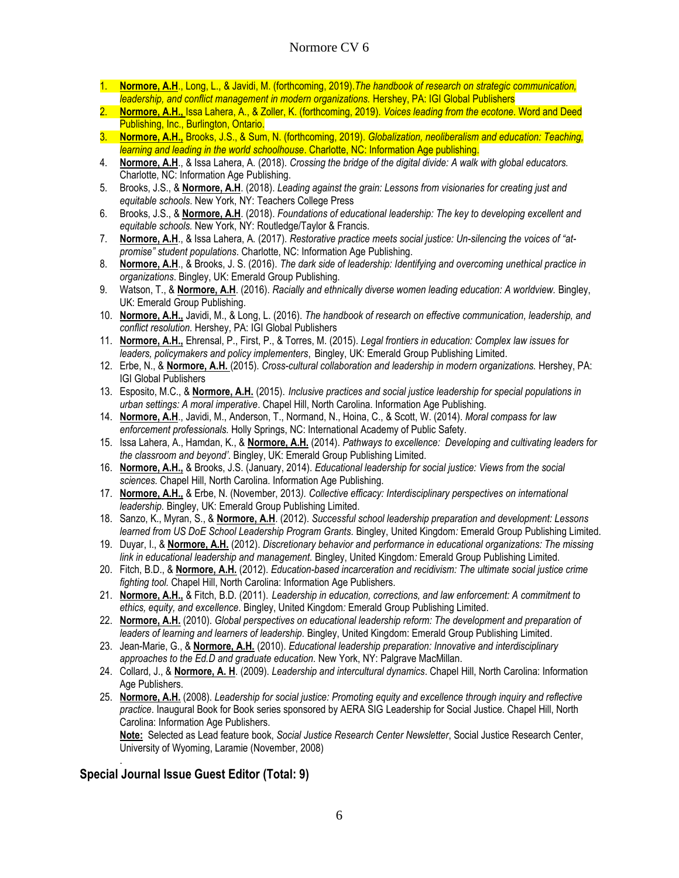- 1. **Normore, A.H**., Long, L., & Javidi, M. (forthcoming, 2019).*The handbook of research on strategic communication, leadership, and conflict management in modern organizations.* Hershey, PA: IGI Global Publishers
- 2. **Normore, A.H.,** Issa Lahera, A., & Zoller, K. (forthcoming, 2019). *Voices leading from the ecotone*. Word and Deed Publishing, Inc., Burlington, Ontario.
- 3. **Normore, A.H.,** Brooks, J.S., & Sum, N. (forthcoming, 2019). *Globalization, neoliberalism and education: Teaching, learning and leading in the world schoolhouse*. Charlotte, NC: Information Age publishing.
- 4. **Normore, A.H**., & Issa Lahera, A. (2018). *Crossing the bridge of the digital divide: A walk with global educators.* Charlotte, NC: Information Age Publishing.
- 5. Brooks, J.S., & **Normore, A.H**. (2018). *Leading against the grain: Lessons from visionaries for creating just and equitable schools*. New York, NY: Teachers College Press
- 6. Brooks, J.S., & **Normore, A.H**. (2018). *Foundations of educational leadership: The key to developing excellent and equitable schools.* New York, NY: Routledge/Taylor & Francis.
- 7. **Normore, A.H**., & Issa Lahera, A. (2017). *Restorative practice meets social justice: Un-silencing the voices of "atpromise" student populations*. Charlotte, NC: Information Age Publishing.
- 8. **Normore, A.H**., & Brooks, J. S. (2016). *The dark side of leadership: Identifying and overcoming unethical practice in organizations*. Bingley, UK: Emerald Group Publishing.
- 9. Watson, T., & **Normore, A.H**. (2016). *Racially and ethnically diverse women leading education: A worldview.* Bingley, UK: Emerald Group Publishing.
- 10. **Normore, A.H.,** Javidi, M., & Long, L. (2016). *The handbook of research on effective communication, leadership, and conflict resolution.* Hershey, PA: IGI Global Publishers
- 11. **Normore, A.H.,** Ehrensal, P., First, P., & Torres, M. (2015). *Legal frontiers in education: Complex law issues for leaders, policymakers and policy implementers*, Bingley, UK: Emerald Group Publishing Limited.
- 12. Erbe, N., & **Normore, A.H.** (2015). *Cross-cultural collaboration and leadership in modern organizations.* Hershey, PA: IGI Global Publishers
- 13. Esposito, M.C., & **Normore, A.H.** (2015). *Inclusive practices and social justice leadership for special populations in urban settings: A moral imperative*. Chapel Hill, North Carolina. Information Age Publishing.
- 14. **Normore, A.H**., Javidi, M., Anderson, T., Normand, N., Hoina, C., & Scott, W. (2014). *Moral compass for law enforcement professionals.* Holly Springs, NC: International Academy of Public Safety.
- 15. Issa Lahera, A., Hamdan, K., & **Normore, A.H.** (2014). *Pathways to excellence: Developing and cultivating leaders for the classroom and beyond'.* Bingley, UK: Emerald Group Publishing Limited.
- 16. **Normore, A.H.,** & Brooks, J.S. (January, 2014). *Educational leadership for social justice: Views from the social sciences.* Chapel Hill, North Carolina. Information Age Publishing.
- 17. **Normore, A.H.,** & Erbe, N. (November, 2013*). Collective efficacy: Interdisciplinary perspectives on international leadership.* Bingley, UK: Emerald Group Publishing Limited.
- 18. Sanzo, K., Myran, S., & **Normore, A.H**. (2012). *Successful school leadership preparation and development: Lessons learned from US DoE School Leadership Program Grants.* Bingley, United Kingdom*:* Emerald Group Publishing Limited.
- 19. Duyar, I., & **Normore, A.H.** (2012). *Discretionary behavior and performance in educational organizations: The missing link in educational leadership and management.* Bingley, United Kingdom*:* Emerald Group Publishing Limited.
- 20. Fitch, B.D., & **Normore, A.H.** (2012). *Education-based incarceration and recidivism: The ultimate social justice crime fighting tool.* Chapel Hill, North Carolina: Information Age Publishers.
- 21. **Normore, A.H.,** & Fitch, B.D. (2011). *Leadership in education, corrections, and law enforcement: A commitment to ethics, equity, and excellence*. Bingley, United Kingdom*:* Emerald Group Publishing Limited.
- 22. **Normore, A.H.** (2010). *Global perspectives on educational leadership reform: The development and preparation of leaders of learning and learners of leadership.* Bingley, United Kingdom: Emerald Group Publishing Limited.
- 23. Jean-Marie, G., & **Normore, A.H.** (2010). *Educational leadership preparation: Innovative and interdisciplinary approaches to the Ed.D and graduate education.* New York, NY: Palgrave MacMillan.
- 24. Collard, J., & **Normore, A. H**. (2009). *Leadership and intercultural dynamics*. Chapel Hill, North Carolina: Information Age Publishers.
- 25. **Normore, A.H.** (2008). *Leadership for social justice: Promoting equity and excellence through inquiry and reflective practice*. Inaugural Book for Book series sponsored by AERA SIG Leadership for Social Justice. Chapel Hill, North Carolina: Information Age Publishers.

**Note:** Selected as Lead feature book, *Social Justice Research Center Newsletter*, Social Justice Research Center, University of Wyoming, Laramie (November, 2008)

## **Special Journal Issue Guest Editor (Total: 9)**

.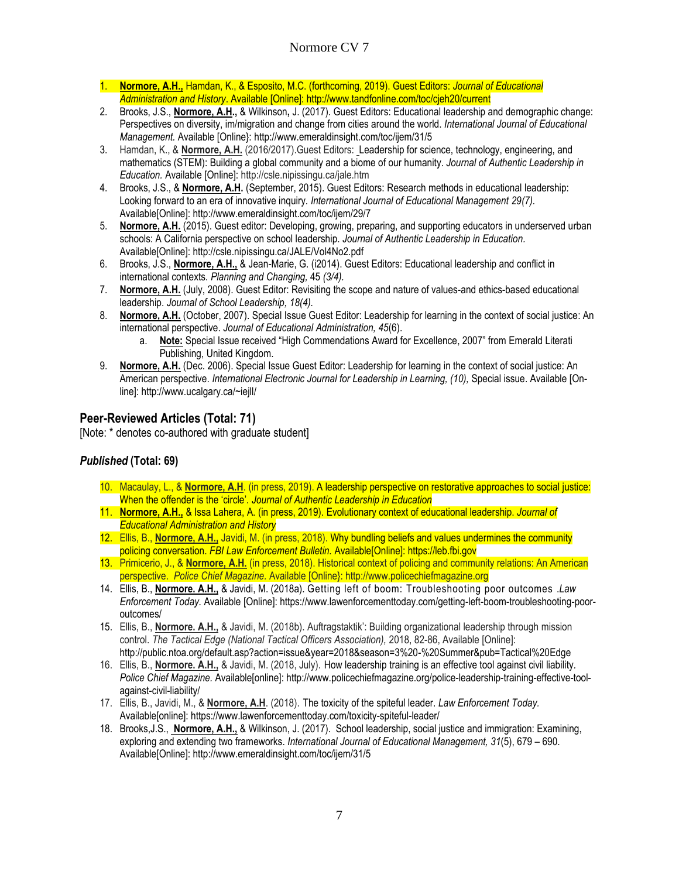- 1. **Normore, A.H.,** Hamdan, K., & Esposito, M.C. (forthcoming, 2019). Guest Editors: *Journal of Educational Administration and History*. Available [Online]: http://www.tandfonline.com/toc/cjeh20/current
- 2. Brooks, J.S., **Normore, A.H.,** & Wilkinson**,** J. (2017). Guest Editors: Educational leadership and demographic change: Perspectives on diversity, im/migration and change from cities around the world. *International Journal of Educational Management.* Available [Online}: <http://www.emeraldinsight.com/toc/ijem/31/5>
- 3. Hamdan, K., & **Normore, A.H.** (2016/2017).Guest Editors: Leadership for science, technology, engineering, and mathematics (STEM): Building a global community and a biome of our humanity. *Journal of Authentic Leadership in Education.* Available [Online]: http://csle.nipissingu.ca/jale.htm
- 4. Brooks, J.S., & **Normore, A.H.** (September, 2015). Guest Editors: Research methods in educational leadership: Looking forward to an era of innovative inquiry*. International Journal of Educational Management 29(7).*  Available[Online]: http://www.emeraldinsight.com/toc/ijem/29/7
- 5. **Normore, A.H.** (2015). Guest editor: Developing, growing, preparing, and supporting educators in underserved urban schools: A California perspective on school leadership. *Journal of Authentic Leadership in Education.*  Available[Online]: http://csle.nipissingu.ca/JALE/Vol4No2.pdf
- 6. Brooks, J.S., **Normore, A.H.,** & Jean-Marie, G. (i2014). Guest Editors: Educational leadership and conflict in international contexts. *Planning and Changing,* 45 *(3/4).*
- 7. **Normore, A.H.** (July, 2008). Guest Editor: Revisiting the scope and nature of values-and ethics-based educational leadership. *Journal of School Leadership, 18(4).*
- 8. **Normore, A.H.** (October, 2007). Special Issue Guest Editor: Leadership for learning in the context of social justice: An international perspective. *Journal of Educational Administration, 45*(6).
	- a. **Note:** Special Issue received "High Commendations Award for Excellence, 2007" from Emerald Literati Publishing, United Kingdom.
- 9. **Normore, A.H.** (Dec. 2006). Special Issue Guest Editor: Leadership for learning in the context of social justice: An American perspective. *International Electronic Journal for Leadership in Learning, (10), Special issue. Available [On*line]: http://www.ucalgary.ca/~iejll/

# **Peer-Reviewed Articles (Total: 71)**

[Note: \* denotes co-authored with graduate student]

## *Published* **(Total: 69)**

- 10. Macaulay, L., & **Normore, A.H**. (in press, 2019). A leadership perspective on restorative approaches to social justice: When the offender is the 'circle'. *Journal of Authentic Leadership in Education*
- 11. **Normore, A.H.,** & Issa Lahera, A. (in press, 2019). Evolutionary context of educational leadership. *Journal of Educational Administration and History*
- 12. Ellis, B., **Normore, A.H.,** Javidi, M. (in press, 2018). Why bundling beliefs and values undermines the community policing conversation. *FBI Law Enforcement Bulletin.* Available[Online]: https://leb.fbi.gov
- 13. Primicerio, J., & **Normore, A.H.** (in press, 2018). Historical context of policing and community relations: An American perspective. *Police Chief Magazine.* Available [Online}: http://www.policechiefmagazine.org
- 14. Ellis, B., **Normore. A.H.,** & Javidi, M. (2018a). Getting left of boom: Troubleshooting poor outcomes .*Law Enforcement Today.* Available [Online][: https://www.lawenforcementtoday.com/getting-left-boom-troubleshooting-poor](https://www.lawenforcementtoday.com/getting-left-boom-troubleshooting-poor-outcomes/)[outcomes/](https://www.lawenforcementtoday.com/getting-left-boom-troubleshooting-poor-outcomes/)
- 15. Ellis, B., **Normore. A.H.,** & Javidi, M. (2018b). Auftragstaktik': Building organizational leadership through mission control. *The Tactical Edge (National Tactical Officers Association)*, 2018, 82-86, Available [Online]: http://public.ntoa.org/default.asp?action=issue&year=2018&season=3%20-%20Summer&pub=Tactical%20Edge
- 16. Ellis, B., **Normore. A.H.,** & Javidi, M. (2018, July). How leadership training is an effective tool against civil liability*. Police Chief Magazine.* Available[online]: http://www.policechiefmagazine.org/police-leadership-training-effective-toolagainst-civil-liability/
- 17. Ellis, B., Javidi, M., & **Normore, A.H**. (2018). The toxicity of the spiteful leader. *Law Enforcement Today.*  Available[online]: https://www.lawenforcementtoday.com/toxicity-spiteful-leader/
- 18. [Brooks,J](http://www.emeraldinsight.com/author/Brooks%2C+Jeffrey+S).S., **[Normore,](http://www.emeraldinsight.com/author/Normore%2C+Anthony+H) A.H.,** & [Wilkinson,](http://www.emeraldinsight.com/author/Wilkinson%2C+Jane) J. (2017). [School leadership, social justice and immigration: Examining,](http://www.emeraldinsight.com/doi/full/10.1108/IJEM-12-2016-0263)  [exploring and extending two frameworks.](http://www.emeraldinsight.com/doi/full/10.1108/IJEM-12-2016-0263) *International Journal of Educational Management, 31*(5), 679 – 690. Available[Online]: http://www.emeraldinsight.com/toc/ijem/31/5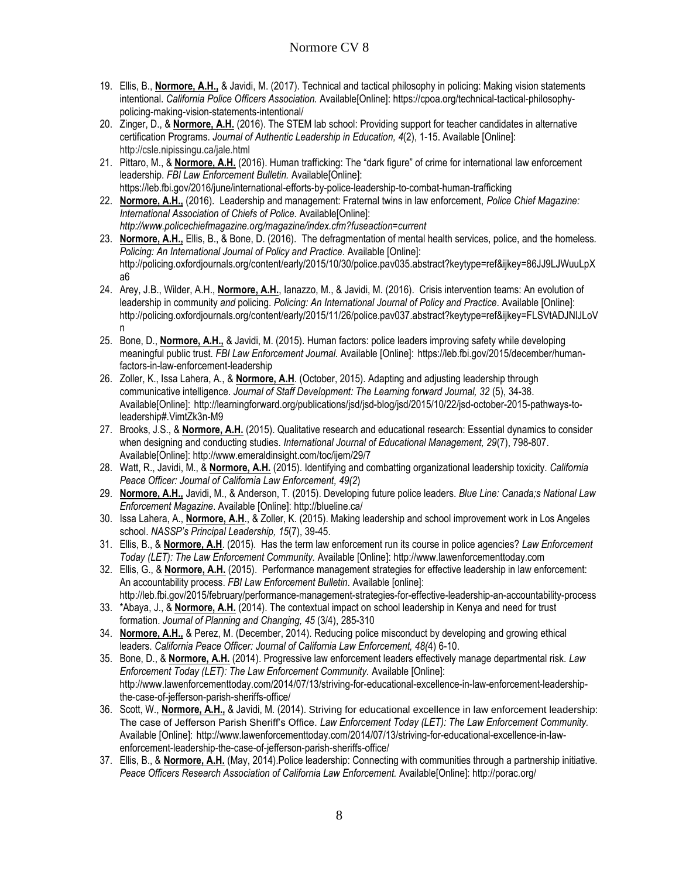- 19. Ellis, B., **Normore, A.H.,** & Javidi, M. (2017). Technical and tactical philosophy in policing: Making vision statements intentional. *California Police Officers Association.* Available[Online]: https://cpoa.org/technical-tactical-philosophypolicing-making-vision-statements-intentional/
- 20. Zinger, D., & **Normore, A.H.** (2016). The STEM lab school: Providing support for teacher candidates in alternative certification Programs. *Journal of Authentic Leadership in Education, 4*(2), 1-15. Available [Online]: http://csle.nipissingu.ca/jale.html
- 21. Pittaro, M., & **Normore, A.H.** (2016). Human trafficking: The "dark figure" of crime for international law enforcement leadership. *FBI Law Enforcement Bulletin.* Available[Online]: https://leb.fbi.gov/2016/june/international-efforts-by-police-leadership-to-combat-human-trafficking
- 22. **Normore, A.H.,** (2016). Leadership and management: Fraternal twins in law enforcement, *Police Chief Magazine: International Association of Chiefs of Police.* Available[Online]: *http://www.policechiefmagazine.org/magazine/index.cfm?fuseaction=current*
- 23. **Normore, A.H.,** Ellis, B., & Bone, D. (2016). The defragmentation of mental health services, police, and the homeless*. Policing: An International Journal of Policy and Practice*. Available [Online]: http://policing.oxfordjournals.org/content/early/2015/10/30/police.pav035.abstract?keytype=ref&ijkey=86JJ9LJWuuLpX a6
- 24. Arey, J.B., Wilder, A.H., **Normore, A.H.**, Ianazzo, M., & Javidi, M. (2016). Crisis intervention teams: An evolution of leadership in community *and* policing. *Policing: An International Journal of Policy and Practice*. Available [Online]: http://policing.oxfordjournals.org/content/early/2015/11/26/police.pav037.abstract?keytype=ref&ijkey=FLSVtADJNlJLoV n
- 25. Bone, D., **Normore, A.H.,** & Javidi, M. (2015). Human factors: police leaders improving safety while developing meaningful public trust. *FBI Law Enforcement Journal.* Available [Online]: [https://leb.fbi.gov/2015/december/human](https://leb.fbi.gov/2015/december/human-factors-in-law-enforcement-leadership)[factors-in-law-enforcement-leadership](https://leb.fbi.gov/2015/december/human-factors-in-law-enforcement-leadership)
- 26. Zoller, K., Issa Lahera, A., & **Normore, A.H**. (October, 2015). Adapting and adjusting leadership through communicative intelligence. *Journal of Staff Development: The Learning forward Journal, 32* (5), 34-38. Available[Online]: http://learningforward.org/publications/jsd/jsd-blog/jsd/2015/10/22/jsd-october-2015-pathways-toleadership#.VimtZk3n-M9
- 27. Brooks, J.S., & **Normore, A.H.** (2015). Qualitative research and educational research: Essential dynamics to consider when designing and conducting studies. *International Journal of Educational Management, 29*(7), 798-807. Available[Online]: http://www.emeraldinsight.com/toc/ijem/29/7
- 28. Watt, R., Javidi, M., & **Normore, A.H.** (2015). Identifying and combatting organizational leadership toxicity. *California Peace Officer: Journal of California Law Enforcement, 49(2*)
- 29. **Normore, A.H.,** Javidi, M., & Anderson, T. (2015). Developing future police leaders. *Blue Line: Canada;s National Law Enforcement Magazine*. Available [Online]: http://blueline.ca/
- 30. Issa Lahera, A., **Normore, A.H**., & Zoller, K. (2015). Making leadership and school improvement work in Los Angeles school. *NASSP's Principal Leadership, 15*(7), 39-45.
- 31. Ellis, B., & **Normore, A.H**. (2015). Has the term law enforcement run its course in police agencies? *Law Enforcement Today (LET): The Law Enforcement Community.* Available [Online]: http://www.lawenforcementtoday.com
- 32. Ellis, G., & **Normore, A.H.** (2015). Performance management strategies for effective leadership in law enforcement: An accountability process. *FBI Law Enforcement Bulletin*. Available [online]: http://leb.fbi.gov/2015/february/performance-management-strategies-for-effective-leadership-an-accountability-process
- 33. \*Abaya, J., & **Normore, A.H.** (2014). The contextual impact on school leadership in Kenya and need for trust formation. *Journal of Planning and Changing, 45* (3/4), 285-310
- 34. **Normore, A.H.,** & Perez, M. (December, 2014). Reducing police misconduct by developing and growing ethical leaders. *California Peace Officer: Journal of California Law Enforcement, 48(*4) 6-10.
- 35. Bone, D., & **Normore, A.H.** (2014). Progressive law enforcement leaders effectively manage departmental risk. *Law Enforcement Today (LET): The Law Enforcement Community.* Available [Online]: http://www.lawenforcementtoday.com/2014/07/13/striving-for-educational-excellence-in-law-enforcement-leadershipthe-case-of-jefferson-parish-sheriffs-office/
- 36. Scott, W., **Normore, A.H.,** & Javidi, M. (2014). Striving for educational excellence in law enforcement leadership: The case of Jefferson Parish Sheriff's Office. *Law Enforcement Today (LET): The Law Enforcement Community.*  Available [Online]: http://www.lawenforcementtoday.com/2014/07/13/striving-for-educational-excellence-in-lawenforcement-leadership-the-case-of-jefferson-parish-sheriffs-office/
- 37. Ellis, B., & **Normore, A.H.** (May, 2014).Police leadership: Connecting with communities through a partnership initiative. *Peace Officers Research Association of California Law Enforcement.* Available[Online]: http://porac.org/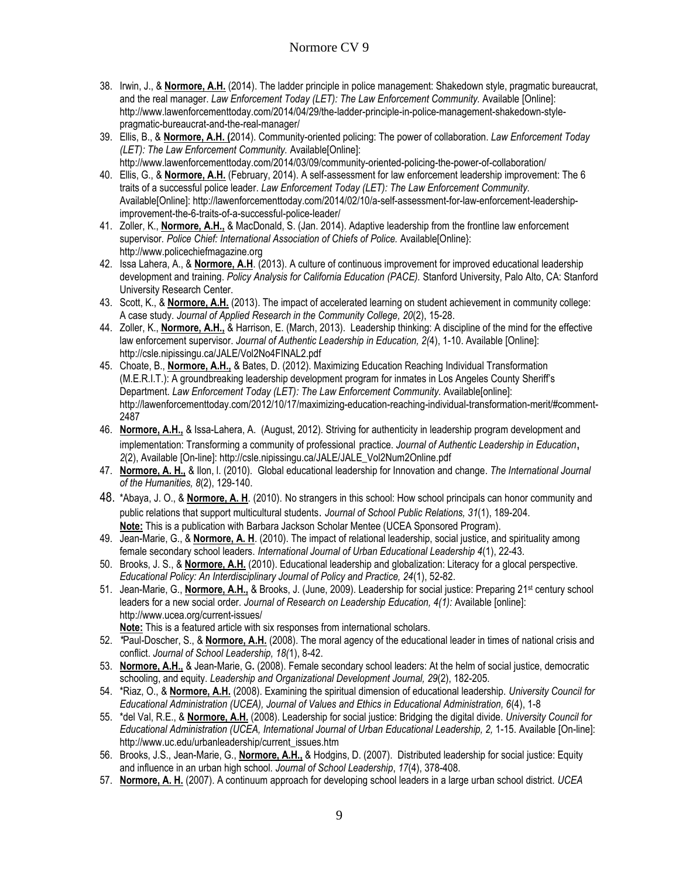- 38. Irwin, J., & **Normore, A.H.** (2014). The ladder principle in police management: Shakedown style, pragmatic bureaucrat, and the real manager. *Law Enforcement Today (LET): The Law Enforcement Community.* Available [Online]: http://www.lawenforcementtoday.com/2014/04/29/the-ladder-principle-in-police-management-shakedown-stylepragmatic-bureaucrat-and-the-real-manager/
- 39. Ellis, B., & **Normore, A.H. (**2014). Community-oriented policing: The power of collaboration. *Law Enforcement Today (LET): The Law Enforcement Community.* Available[Online]: http://www.lawenforcementtoday.com/2014/03/09/community-oriented-policing-the-power-of-collaboration/
- 40. Ellis, G., & **Normore, A.H.** (February, 2014). A self-assessment for law enforcement leadership improvement: The 6 traits of a successful police leader. *Law Enforcement Today (LET): The Law Enforcement Community.*  Available[Online]: http://lawenforcementtoday.com/2014/02/10/a-self-assessment-for-law-enforcement-leadershipimprovement-the-6-traits-of-a-successful-police-leader/
- 41. Zoller, K., **Normore, A.H.,** & MacDonald, S. (Jan. 2014). Adaptive leadership from the frontline law enforcement supervisor*. Police Chief: International Association of Chiefs of Police.* Available[Online}: http://www.policechiefmagazine.org
- 42. Issa Lahera, A., & **Normore, A.H**. (2013). A culture of continuous improvement for improved educational leadership development and training. *Policy Analysis for California Education (PACE).* Stanford University, Palo Alto, CA: Stanford University Research Center.
- 43. Scott, K., & **Normore, A.H.** (2013). The impact of accelerated learning on student achievement in community college: A case study. *Journal of Applied Research in the Community College, 20*(2), 15-28.
- 44. Zoller, K., **Normore, A.H.,** & Harrison, E. (March, 2013).Leadership thinking: A discipline of the mind for the effective law enforcement supervisor. *Journal of Authentic Leadership in Education, 2(*4), 1-10. Available [Online]: http://csle.nipissingu.ca/JALE/Vol2No4FINAL2.pdf
- 45. Choate, B., **Normore, A.H.,** & Bates, D. (2012). Maximizing Education Reaching Individual Transformation (M.E.R.I.T.): A groundbreaking leadership development program for inmates in Los Angeles County Sheriff's Department. Law Enforcement Today (LET): The Law Enforcement Community. Available[online]: http://lawenforcementtoday.com/2012/10/17/maximizing-education-reaching-individual-transformation-merit/#comment-2487
- 46. **Normore, A.H.,** & Issa-Lahera, A. (August, 2012)*.* Striving for authenticity in leadership program development and implementation: Transforming a community of professional practice. *Journal of Authentic Leadership in Education*, *2*(2), Available [On-line]: http://csle.nipissingu.ca/JALE/JALE\_Vol2Num2Online.pdf
- 47. **Normore, A. H.,** & Ilon, l. (2010). Global educational leadership for Innovation and change. *The International Journal of the Humanities, 8*(2), 129-140.
- 48. \*Abaya, J. O., & **Normore, A. H**. (2010). No strangers in this school: How school principals can honor community and public relations that support multicultural students. *Journal of School Public Relations, 31*(1), 189-204. **Note:** This is a publication with Barbara Jackson Scholar Mentee (UCEA Sponsored Program).
- 49. Jean-Marie, G., & **Normore, A. H**. (2010). The impact of relational leadership, social justice, and spirituality among female secondary school leaders. *International Journal of Urban Educational Leadership 4*(1), 22-43.
- 50. Brooks, J. S., & **Normore, A.H.** (2010). Educational leadership and globalization: Literacy for a glocal perspective. *Educational Policy: An Interdisciplinary Journal of Policy and Practice, 24*(1), 52-82.
- 51. Jean-Marie, G., **Normore, A.H.,** & Brooks, J. (June, 2009). Leadership for social justice: Preparing 21st century school leaders for a new social order. Journal of Research on Leadership Education, 4(1): Available [online]: <http://www.ucea.org/current-issues/>
	- **Note:** This is a featured article with six responses from international scholars.
- 52. *\**Paul*-*Doscher, S., & **Normore, A.H.** (2008). The moral agency of the educational leader in times of national crisis and conflict. *Journal of School Leadership, 18(*1), 8-42.
- 53. **Normore, A.H.,** & Jean-Marie, G**.** (2008). Female secondary school leaders: At the helm of social justice, democratic schooling, and equity. *Leadership and Organizational Development Journal, 29*(2), 182-205.
- 54. \*Riaz, O., & **Normore, A.H.** (2008). Examining the spiritual dimension of educational leadership. *University Council for Educational Administration (UCEA), Journal of Values and Ethics in Educational Administration, 6*(4), 1-8
- 55. \*del Val, R.E., & **Normore, A.H.** (2008). Leadership for social justice: Bridging the digital divide. *University Council for*  Educational Administration (UCEA, International Journal of Urban Educational Leadership, 2, 1-15. Available [On-line]: http://www.uc.edu/urbanleadership/current\_issues.htm
- 56. Brooks, J.S., Jean-Marie, G., **Normore, A.H.,** & Hodgins, D. (2007). Distributed leadership for social justice: Equity and influence in an urban high school. *Journal of School Leadership*, *17*(4), 378-408.
- 57. **Normore, A. H.** (2007). A continuum approach for developing school leaders in a large urban school district. *UCEA*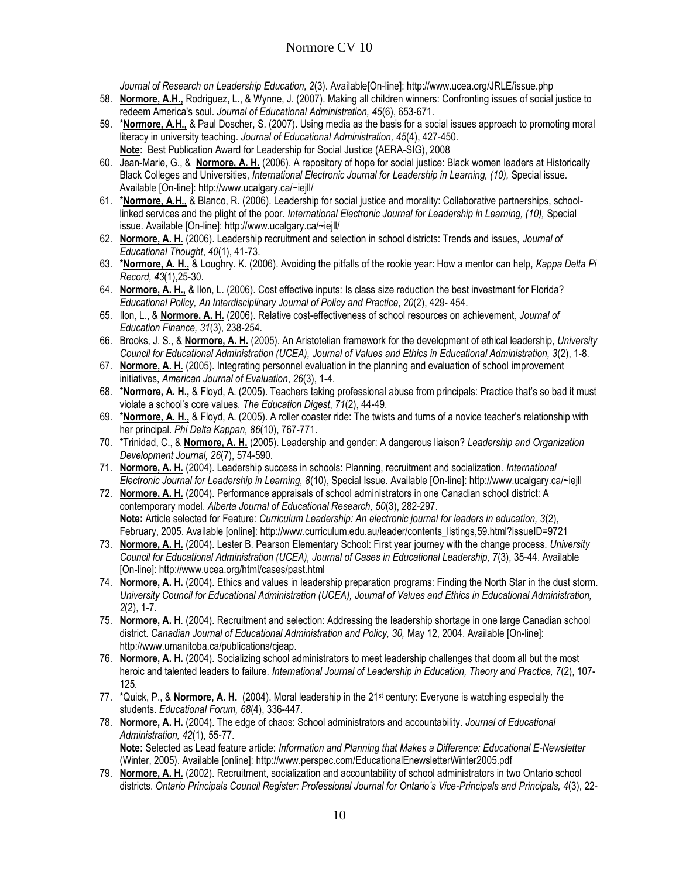*Journal of Research on Leadership Education, 2*(3). Available[On-line]: http://www.ucea.org/JRLE/issue.php

- 58. **Normore, A.H.,** Rodriguez, L., & Wynne, J. (2007). Making all children winners: Confronting issues of social justice to redeem America's soul. *Journal of Educational Administration, 45*(6), 653-671.
- 59. \***Normore, A.H.,** & Paul Doscher, S. (2007). Using media as the basis for a social issues approach to promoting moral literacy in university teaching. *Journal of Educational Administration, 45*(4), 427-450. **Note**: Best Publication Award for Leadership for Social Justice (AERA-SIG), 2008
- 60. Jean-Marie, G., & **Normore, A. H.** (2006). A repository of hope for social justice: Black women leaders at Historically Black Colleges and Universities, *International Electronic Journal for Leadership in Learning, (10),* Special issue. Available [On-line]: http://www.ucalgary.ca/~iejll/
- 61. \***Normore, A.H.,** & Blanco, R. (2006). Leadership for social justice and morality: Collaborative partnerships, schoollinked services and the plight of the poor*. International Electronic Journal for Leadership in Learning, (10),* Special issue. Available [On-line]: http://www.ucalgary.ca/~iejll/
- 62. **Normore, A. H.** (2006). Leadership recruitment and selection in school districts: Trends and issues, *Journal of Educational Thought*, *40*(1), 41-73.
- 63. \***Normore, A. H.,** & Loughry. K. (2006). Avoiding the pitfalls of the rookie year: How a mentor can help, *Kappa Delta Pi Record, 43*(1),25-30.
- 64. **Normore, A. H.,** & Ilon, L. (2006). Cost effective inputs: Is class size reduction the best investment for Florida? *Educational Policy, An Interdisciplinary Journal of Policy and Practice*, *20*(2), 429- 454.
- 65. Ilon, L., & **Normore, A. H.** (2006). Relative cost-effectiveness of school resources on achievement, *Journal of Education Finance, 31*(3), 238-254.
- 66. Brooks, J. S., & **Normore, A. H.** (2005). An Aristotelian framework for the development of ethical leadership, *University Council for Educational Administration (UCEA), Journal of Values and Ethics in Educational Administration, 3*(2), 1-8.
- 67. **Normore, A. H.** (2005). Integrating personnel evaluation in the planning and evaluation of school improvement initiatives, *American Journal of Evaluation*, *26*(3), 1-4.
- 68. \***Normore, A. H.,** & Floyd, A. (2005). Teachers taking professional abuse from principals: Practice that's so bad it must violate a school's core values. *The Education Digest*, *71*(2), 44-49.
- 69. \***Normore, A. H.,** & Floyd, A. (2005). A roller coaster ride: The twists and turns of a novice teacher's relationship with her principal. *Phi Delta Kappan, 86*(10), 767-771.
- 70. \*Trinidad, C., & **Normore, A. H.** (2005). Leadership and gender: A dangerous liaison? *Leadership and Organization Development Journal, 26*(7), 574-590.
- 71. **Normore, A. H.** (2004). Leadership success in schools: Planning, recruitment and socialization. *International Electronic Journal for Leadership in Learning, 8*(10), Special Issue*.* Available [On-line]: http://www.ucalgary.ca/~iejll
- 72. **Normore, A. H.** (2004). Performance appraisals of school administrators in one Canadian school district: A contemporary model. *Alberta Journal of Educational Research, 50*(3), 282-297. **Note:** Article selected for Feature: *Curriculum Leadership: An electronic journal for leaders in education, 3*(2), February, 2005. Available [online]: http://www.curriculum.edu.au/leader/contents\_listings,59.html?issueID=9721
- 73. **Normore, A. H.** (2004). Lester B. Pearson Elementary School: First year journey with the change process. *University Council for Educational Administration (UCEA), Journal of Cases in Educational Leadership, 7*(3), 35-44. Available [On-line]: http://www.ucea.org/html/cases/past.html
- 74. **Normore, A. H.** (2004). Ethics and values in leadership preparation programs: Finding the North Star in the dust storm. *University Council for Educational Administration (UCEA), Journal of Values and Ethics in Educational Administration, 2*(2), 1-7.
- 75. **Normore, A. H**. (2004). Recruitment and selection: Addressing the leadership shortage in one large Canadian school district. *Canadian Journal of Educational Administration and Policy, 30, May 12, 2004. Available [On-line]:* http://www.umanitoba.ca/publications/cjeap.
- 76. **Normore, A. H.** (2004). Socializing school administrators to meet leadership challenges that doom all but the most heroic and talented leaders to failure. *International Journal of Leadership in Education, Theory and Practice, 7*(2), 107- 125*.*
- 77. \*Quick, P., & **Normore, A. H.** (2004). Moral leadership in the 21st century: Everyone is watching especially the students. *Educational Forum, 68*(4), 336-447.
- 78. **Normore, A. H.** (2004). The edge of chaos: School administrators and accountability. *Journal of Educational Administration, 42*(1), 55-77. **Note:** Selected as Lead feature article: *Information and Planning that Makes a Difference: Educational E-Newsletter*

(Winter, 2005). Available [online]: http://www.perspec.com/EducationalEnewsletterWinter2005.pdf

79. **Normore, A. H.** (2002). Recruitment, socialization and accountability of school administrators in two Ontario school districts. *Ontario Principals Council Register: Professional Journal for Ontario's Vice-Principals and Principals, 4*(3), 22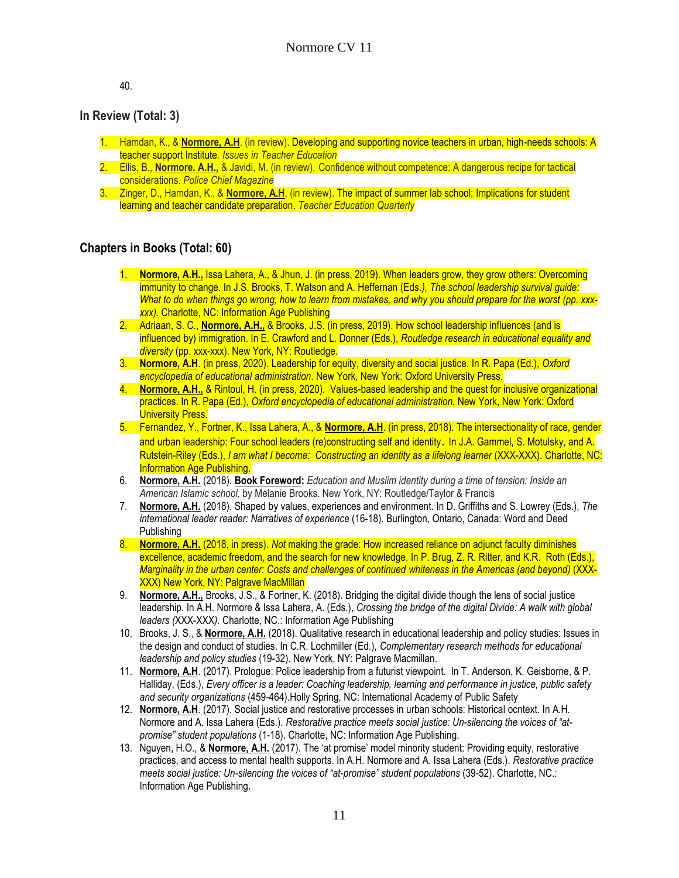40.

## **In Review (Total: 3)**

- 1. Hamdan, K., & **Normore, A.H**. (in review). Developing and supporting novice teachers in urban, high-needs schools: A teacher support Institute*. Issues in Teacher Education*
- 2. Ellis, B., **Normore. A.H.,** & Javidi, M. (in review). Confidence without competence: A dangerous recipe for tactical considerations. *Police Chief Magazine*
- 3. Zinger, D., Hamdan, K., & **Normore, A.H**. (in review). The impact of summer lab school: Implications for student learning and teacher candidate preparation. *Teacher Education Quarterly*

#### **Chapters in Books (Total: 60)**

- 1. **Normore, A.H.,** Issa Lahera, A., & Jhun, J. (in press, 2019). When leaders grow, they grow others: Overcoming immunity to change. In J.S. Brooks, T. Watson and A. Heffernan (Eds*.), The school leadership survival guide: What to do when things go wrong, how to learn from mistakes, and why you should prepare for the worst (pp. xxxxxx).* Charlotte, NC: Information Age Publishing
- 2. Adriaan, S. C., **Normore, A.H.,** & Brooks, J.S. (in press, 2019). How school leadership influences (and is influenced by) immigration. In E. Crawford and L. Donner (Eds.), *Routledge research in educational equality and diversity* (pp. xxx-xxx). New York, NY: Routledge.
- 3. **Normore, A.H**. (in press, 2020). Leadership for equity, diversity and social justice. In R. Papa (Ed.), *Oxford encyclopedia of educational administration*. New York, New York: Oxford University Press.
- 4. **Normore, A.H.,** & Rintoul, H. (in press, 2020). Values-based leadership and the quest for inclusive organizational practices. In R. Papa (Ed.), *Oxford encyclopedia of educational administration.* New York, New York: Oxford University Press.
- 5. Fernandez, Y., Fortner, K., Issa Lahera, A., & **Normore, A.H**. (in press, 2018). The intersectionality of race, gender and urban leadership: Four school leaders (re)constructing self and identity. In J.A. Gammel, S. Motulsky, and A. Rutstein-Riley (Eds.), *I am what I become: Constructing an identity as a lifelong learner* (XXX-XXX). Charlotte, NC: Information Age Publishing.
- 6. **Normore, A.H.** (2018). **Book Foreword:** *Education and Muslim identity during a time of tension: Inside an American Islamic school,* by Melanie Brooks. New York, NY: Routledge/Taylor & Francis
- 7. **Normore, A.H.** (2018). Shaped by values, experiences and environment. In D. Griffiths and S. Lowrey (Eds.), *The international leader reader: Narratives of experience* (16-18). Burlington, Ontario, Canada: Word and Deed Publishing
- 8. **Normore, A.H.** (2018, in press). *Not* making the grade: How increased reliance on adjunct faculty diminishes excellence, academic freedom, and the search for new knowledge. In P. Brug, Z. R. Ritter, and K.R. Roth (Eds.), *Marginality in the urban center: Costs and challenges of continued whiteness in the Americas (and beyond)* (XXX-XXX) New York, NY: Palgrave MacMillan
- 9. **Normore, A.H.,** Brooks, J.S., & Fortner, K. (2018). Bridging the digital divide though the lens of social justice leadership. In A.H. Normore & Issa Lahera, A. (Eds.), *Crossing the bridge of the digital Divide: A walk with global leaders (*XXX-XXX*).* Charlotte, NC.: Information Age Publishing
- 10. Brooks, J. S., & **Normore, A.H.** (2018). Qualitative research in educational leadership and policy studies: Issues in the design and conduct of studies. In C.R. Lochmiller (Ed.), *Complementary research methods for educational leadership and policy studies* (19-32). New York, NY: Palgrave Macmillan.
- 11. **Normore, A.H**. (2017). Prologue: Police leadership from a futurist viewpoint. In T. Anderson, K. Geisborne, & P. Halliday, (Eds.), *Every officer is a leader: Coaching leadership, learning and performance in justice, public safety and security organizations* (459-464).Holly Spring, NC: International Academy of Public Safety
- 12. **Normore, A.H**. (2017). Social justice and restorative processes in urban schools: Historical ocntext. In A.H. Normore and A. Issa Lahera (Eds.). *Restorative practice meets social justice: Un-silencing the voices of "atpromise" student populations* (1-18). Charlotte, NC: Information Age Publishing.
- 13. Nguyen, H.O., & **Normore, A.H.** (2017). The 'at promise' model minority student: Providing equity, restorative practices, and access to mental health supports. In A.H. Normore and A. Issa Lahera (Eds.). *Restorative practice meets social justice: Un-silencing the voices of "at-promise" student populations* (39-52). Charlotte, NC.: Information Age Publishing.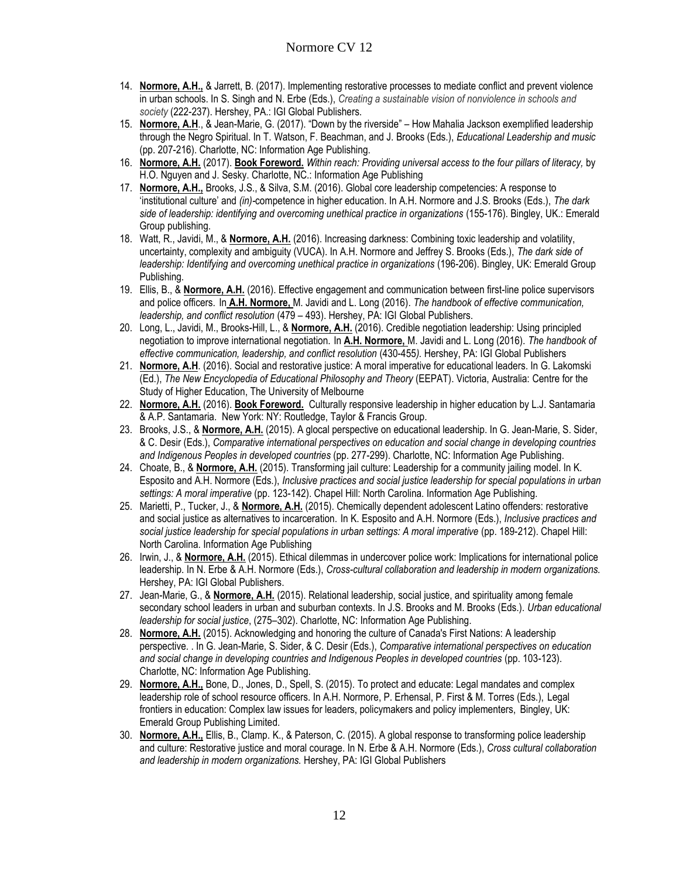- 14. **Normore, A.H.,** & Jarrett, B. (2017). Implementing restorative processes to mediate conflict and prevent violence in urban schools. In S. Singh and N. Erbe (Eds.), *Creating a sustainable vision of nonviolence in schools and society* (222-237). Hershey, PA.: IGI Global Publishers.
- 15. **Normore, A.H**., & Jean-Marie, G. (2017). "Down by the riverside" How Mahalia Jackson exemplified leadership through the Negro Spiritual. In T. Watson, F. Beachman, and J. Brooks (Eds.), *Educational Leadership and music* (pp. 207-216). Charlotte, NC: Information Age Publishing.
- 16. **Normore, A.H.** (2017). **Book Foreword.** *Within reach: Providing universal access to the four pillars of literacy,* by H.O. Nguyen and J. Sesky. Charlotte, NC.: Information Age Publishing
- 17. **Normore, A.H.,** Brooks, J.S., & Silva, S.M. (2016). Global core leadership competencies: A response to 'institutional culture' and *(in)-*competence in higher education. In A.H. Normore and J.S. Brooks (Eds.), *The dark side of leadership: identifying and overcoming unethical practice in organizations* (155-176). Bingley, UK.: Emerald Group publishing.
- 18. Watt, R., Javidi, M., & **Normore, A.H.** (2016). Increasing darkness: Combining toxic leadership and volatility, uncertainty, complexity and ambiguity (VUCA). In A.H. Normore and Jeffrey S. Brooks (Eds.), *The dark side of leadership: Identifying and overcoming unethical practice in organizations* (196-206). Bingley, UK: Emerald Group Publishing.
- 19. Ellis, B., & **Normore, A.H.** (2016). Effective engagement and communication between first-line police supervisors and police officers. In **A.H. Normore,** M. Javidi and L. Long (2016). *The handbook of effective communication, leadership, and conflict resolution* (479 – 493). Hershey, PA: IGI Global Publishers.
- 20. Long, L., Javidi, M., Brooks-Hill, L., & **Normore, A.H.** (2016). Credible negotiation leadership: Using principled negotiation to improve international negotiation. In **A.H. Normore,** M. Javidi and L. Long (2016). *The handbook of effective communication, leadership, and conflict resolution* (430-455*).* Hershey, PA: IGI Global Publishers
- 21. **Normore, A.H**. (2016). Social and restorative justice: A moral imperative for educational leaders. In G. Lakomski (Ed.), *The New Encyclopedia of Educational Philosophy and Theory* (EEPAT). Victoria, Australia: Centre for the Study of Higher Education, The University of Melbourne
- 22. **Normore, A.H.** (2016). **Book Foreword.** Culturally responsive leadership in higher education by L.J. Santamaria & A.P. Santamaria. New York: NY: Routledge, Taylor & Francis Group.
- 23. Brooks, J.S., & **Normore, A.H.** (2015). A glocal perspective on educational leadership. In G. Jean-Marie, S. Sider, & C. Desir (Eds.), *Comparative international perspectives on education and social change in developing countries and Indigenous Peoples in developed countries* (pp. 277-299). Charlotte, NC: Information Age Publishing.
- 24. Choate, B., & **Normore, A.H.** (2015). Transforming jail culture: Leadership for a community jailing model. In K. Esposito and A.H. Normore (Eds.), *Inclusive practices and social justice leadership for special populations in urban settings: A moral imperative* (pp. 123-142). Chapel Hill: North Carolina. Information Age Publishing.
- 25. Marietti, P., Tucker, J., & **Normore, A.H.** (2015). Chemically dependent adolescent Latino offenders: restorative and social justice as alternatives to incarceration. In K. Esposito and A.H. Normore (Eds.), *Inclusive practices and social justice leadership for special populations in urban settings: A moral imperative* (pp. 189-212). Chapel Hill: North Carolina. Information Age Publishing
- 26. Irwin, J., & **Normore, A.H.** (2015). Ethical dilemmas in undercover police work: Implications for international police leadership. In N. Erbe & A.H. Normore (Eds.), *Cross-cultural collaboration and leadership in modern organizations.* Hershey, PA: IGI Global Publishers.
- 27. Jean-Marie, G., & **Normore, A.H.** (2015). Relational leadership, social justice, and spirituality among female secondary school leaders in urban and suburban contexts. In J.S. Brooks and M. Brooks (Eds.). *Urban educational leadership for social justice*, (275–302). Charlotte, NC: Information Age Publishing.
- 28. **Normore, A.H.** (2015). Acknowledging and honoring the culture of Canada's First Nations: A leadership perspective. . In G. Jean-Marie, S. Sider, & C. Desir (Eds.), *Comparative international perspectives on education and social change in developing countries and Indigenous Peoples in developed countries* (pp. 103-123). Charlotte, NC: Information Age Publishing.
- 29. **Normore, A.H.,** Bone, D., Jones, D., Spell, S. (2015). To protect and educate: Legal mandates and complex leadership role of school resource officers. In A.H. Normore, P. Erhensal, P. First & M. Torres (Eds.), Legal frontiers in education: Complex law issues for leaders, policymakers and policy implementers, Bingley, UK: Emerald Group Publishing Limited.
- 30. **Normore, A.H.,** Ellis, B., Clamp. K., & Paterson, C. (2015). A global response to transforming police leadership and culture: Restorative justice and moral courage. In N. Erbe & A.H. Normore (Eds.), *Cross cultural collaboration and leadership in modern organizations.* Hershey, PA: IGI Global Publishers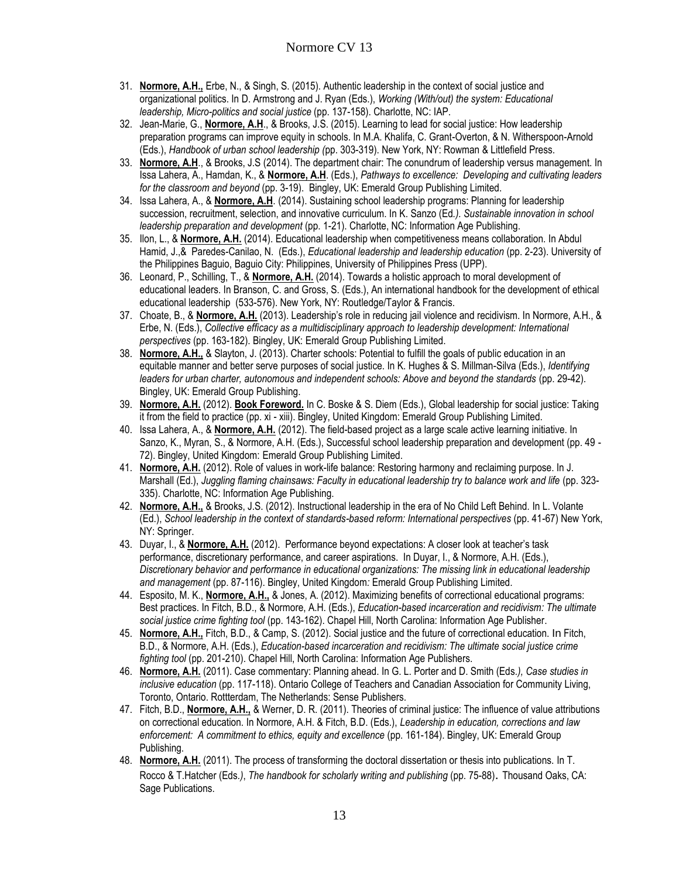- 31. **Normore, A.H.,** Erbe, N., & Singh, S. (2015). Authentic leadership in the context of social justice and organizational politics. In D. Armstrong and J. Ryan (Eds.), *Working (With/out) the system: Educational leadership, Micro-politics and social justice* (pp. 137-158). Charlotte, NC: IAP.
- 32. Jean-Marie, G., **Normore, A.H**., & Brooks, J.S. (2015). Learning to lead for social justice: How leadership preparation programs can improve equity in schools. In M.A. Khalifa, C. Grant-Overton, & N. Witherspoon-Arnold (Eds.), *Handbook of urban school leadership (*pp. 303-319). New York, NY: Rowman & Littlefield Press.
- 33. **Normore, A.H**., & Brooks, J.S (2014). The department chair: The conundrum of leadership versus management. In Issa Lahera, A., Hamdan, K., & **Normore, A.H**. (Eds.), *Pathways to excellence: Developing and cultivating leaders for the classroom and beyond* (pp. 3-19). Bingley, UK: Emerald Group Publishing Limited.
- 34. Issa Lahera, A., & **Normore, A.H**. (2014). Sustaining school leadership programs: Planning for leadership succession, recruitment, selection, and innovative curriculum. In K. Sanzo (Ed*.). Sustainable innovation in school leadership preparation and development* (pp. 1-21). Charlotte, NC: Information Age Publishing.
- 35. Ilon, L., & **Normore, A.H.** (2014). Educational leadership when competitiveness means collaboration. In Abdul Hamid, J.,& Paredes-Canilao, N. (Eds.), *Educational leadership and leadership education* (pp. 2-23). University of the Philippines Baguio, Baguio City: Philippines, University of Philippines Press (UPP).
- 36. Leonard, P., Schilling, T., & **Normore, A.H.** (2014). Towards a holistic approach to moral development of educational leaders. In Branson, C. and Gross, S. (Eds.), An international handbook for the development of ethical educational leadership (533-576). New York, NY: Routledge/Taylor & Francis.
- 37. Choate, B., & **Normore, A.H.** (2013). Leadership's role in reducing jail violence and recidivism. In Normore, A.H., & Erbe, N. (Eds.), *Collective efficacy as a multidisciplinary approach to leadership development: International perspectives* (pp. 163-182). Bingley, UK: Emerald Group Publishing Limited.
- 38. **Normore, A.H.,** & Slayton, J. (2013). Charter schools: Potential to fulfill the goals of public education in an equitable manner and better serve purposes of social justice. In K. Hughes & S. Millman-Silva (Eds.), *Identifying leaders for urban charter, autonomous and independent schools: Above and beyond the standards* (pp. 29-42). Bingley, UK: Emerald Group Publishing.
- 39. **Normore, A.H.** (2012). **Book Foreword.** In C. Boske & S. Diem (Eds.), Global leadership for social justice: Taking it from the field to practice (pp. xi - xiii). Bingley, United Kingdom: Emerald Group Publishing Limited.
- 40. Issa Lahera, A., & **Normore, A.H.** (2012). The field-based project as a large scale active learning initiative. In Sanzo, K., Myran, S., & Normore, A.H. (Eds.), Successful school leadership preparation and development (pp. 49 - 72). Bingley, United Kingdom: Emerald Group Publishing Limited.
- 41. **Normore, A.H.** (2012). Role of values in work-life balance: Restoring harmony and reclaiming purpose. In J. Marshall (Ed.), *Juggling flaming chainsaws: Faculty in educational leadership try to balance work and life (pp. 323-*335). Charlotte, NC: Information Age Publishing.
- 42. **Normore, A.H.,** & Brooks, J.S. (2012). Instructional leadership in the era of No Child Left Behind*.* In L. Volante (Ed.), *School leadership in the context of standards-based reform: International perspectives* (pp. 41-67) New York, NY: Springer.
- 43. Duyar, I., & **Normore, A.H.** (2012). Performance beyond expectations: A closer look at teacher's task performance, discretionary performance, and career aspirations. In Duyar, I., & Normore, A.H. (Eds.), *Discretionary behavior and performance in educational organizations: The missing link in educational leadership and management* (pp. 87-116). Bingley, United Kingdom*:* Emerald Group Publishing Limited.
- 44. Esposito, M. K., **Normore, A.H.,** & Jones, A. (2012). Maximizing benefits of correctional educational programs: Best practices. In Fitch, B.D., & Normore, A.H. (Eds.), *Education-based incarceration and recidivism: The ultimate social justice crime fighting tool* (pp. 143-162). Chapel Hill, North Carolina: Information Age Publisher.
- 45. **Normore, A.H.,** Fitch, B.D., & Camp, S. (2012). Social justice and the future of correctional education. In Fitch, B.D., & Normore, A.H. (Eds.), *Education-based incarceration and recidivism: The ultimate social justice crime fighting tool* (pp. 201-210). Chapel Hill, North Carolina: Information Age Publishers.
- 46. **Normore, A.H.** (2011). Case commentary: Planning ahead. In G. L. Porter and D. Smith (Eds*.), Case studies in inclusive education* (pp. 117-118). Ontario College of Teachers and Canadian Association for Community Living, Toronto, Ontario. Rottterdam, The Netherlands: Sense Publishers.
- 47. Fitch, B.D., **Normore, A.H.,** & Werner, D. R. (2011). Theories of criminal justice: The influence of value attributions on correctional education. In Normore, A.H. & Fitch, B.D. (Eds.), *Leadership in education, corrections and law enforcement: A commitment to ethics, equity and excellence* (pp. 161-184). Bingley, UK: Emerald Group Publishing.
- 48. **Normore, A.H.** (2011). The process of transforming the doctoral dissertation or thesis into publications. In T. Rocco & T.Hatcher (Eds*.)*, *The handbook for scholarly writing and publishing* (pp. 75-88). Thousand Oaks, CA: Sage Publications.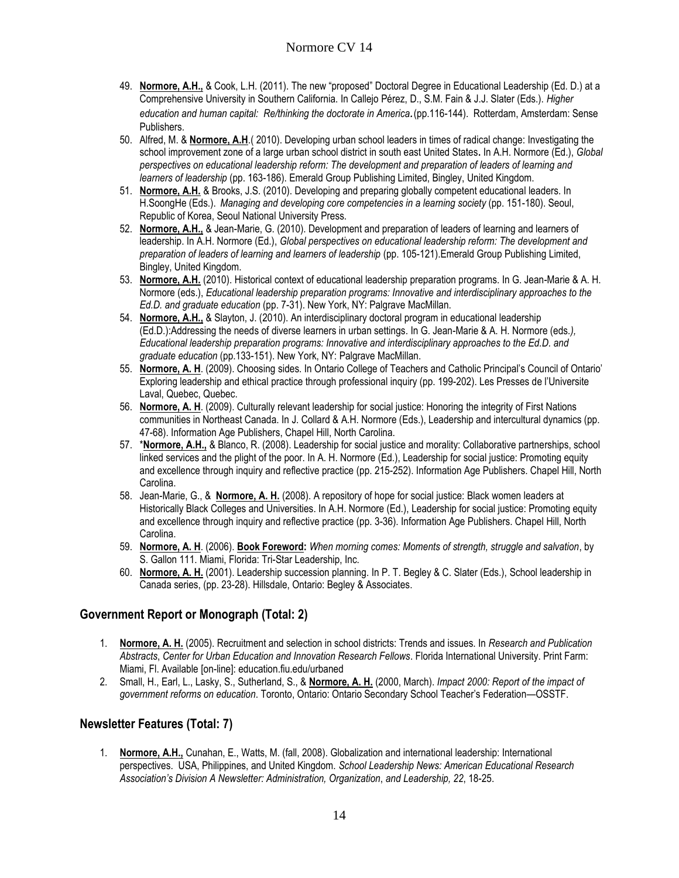- 49. **Normore, A.H.,** & Cook, L.H. (2011). The new "proposed" Doctoral Degree in Educational Leadership (Ed. D.) at a Comprehensive University in Southern California. In Callejo Pérez, D., S.M. Fain & J.J. Slater (Eds.). *Higher education and human capital: Re/thinking the doctorate in America.*(pp.116-144). Rotterdam, Amsterdam: Sense Publishers.
- 50. Alfred, M. & **Normore, A.H**.( 2010). Developing urban school leaders in times of radical change: Investigating the school improvement zone of a large urban school district in south east United States**.** In A.H. Normore (Ed.), *Global perspectives on educational leadership reform: The development and preparation of leaders of learning and learners of leadership* (pp. 163-186). Emerald Group Publishing Limited, Bingley, United Kingdom.
- 51. **Normore, A.H.** & Brooks, J.S. (2010). Developing and preparing globally competent educational leaders. In H.SoongHe (Eds.). *Managing and developing core competencies in a learning society* (pp. 151-180). Seoul, Republic of Korea, Seoul National University Press.
- 52. **Normore, A.H.,** & Jean-Marie, G. (2010). Development and preparation of leaders of learning and learners of leadership. In A.H. Normore (Ed.), *Global perspectives on educational leadership reform: The development and preparation of leaders of learning and learners of leadership* (pp. 105-121).Emerald Group Publishing Limited, Bingley, United Kingdom.
- 53. **Normore, A.H.** (2010). Historical context of educational leadership preparation programs. In G. Jean-Marie & A. H. Normore (eds.), *Educational leadership preparation programs: Innovative and interdisciplinary approaches to the Ed.D. and graduate education* (pp. 7-31). New York, NY: Palgrave MacMillan.
- 54. **Normore, A.H.,** & Slayton, J. (2010). An interdisciplinary doctoral program in educational leadership (Ed.D.):Addressing the needs of diverse learners in urban settings. In G. Jean-Marie & A. H. Normore (eds*.), Educational leadership preparation programs: Innovative and interdisciplinary approaches to the Ed.D. and graduate education* (pp.133-151). New York, NY: Palgrave MacMillan.
- 55. **Normore, A. H**. (2009). Choosing sides. In Ontario College of Teachers and Catholic Principal's Council of Ontario' Exploring leadership and ethical practice through professional inquiry (pp. 199-202). Les Presses de l'Universite Laval, Quebec, Quebec.
- 56. **Normore, A. H**. (2009). Culturally relevant leadership for social justice: Honoring the integrity of First Nations communities in Northeast Canada. In J. Collard & A.H. Normore (Eds.), Leadership and intercultural dynamics (pp. 47-68). Information Age Publishers, Chapel Hill, North Carolina.
- 57. \***Normore, A.H.,** & Blanco, R. (2008). Leadership for social justice and morality: Collaborative partnerships, school linked services and the plight of the poor. In A. H. Normore (Ed.), Leadership for social justice: Promoting equity and excellence through inquiry and reflective practice (pp. 215-252). Information Age Publishers. Chapel Hill, North Carolina.
- 58. Jean-Marie, G., & **Normore, A. H.** (2008). A repository of hope for social justice: Black women leaders at Historically Black Colleges and Universities. In A.H. Normore (Ed.), Leadership for social justice: Promoting equity and excellence through inquiry and reflective practice (pp. 3-36). Information Age Publishers. Chapel Hill, North Carolina.
- 59. **Normore, A. H**. (2006). **Book Foreword:** *When morning comes: Moments of strength, struggle and salvation*, by S. Gallon 111. Miami, Florida: Tri-Star Leadership, Inc.
- 60. **Normore, A. H.** (2001). Leadership succession planning. In P. T. Begley & C. Slater (Eds.), School leadership in Canada series, (pp. 23-28). Hillsdale, Ontario: Begley & Associates.

## **Government Report or Monograph (Total: 2)**

- 1. **Normore, A. H.** (2005). Recruitment and selection in school districts: Trends and issues. In *Research and Publication Abstracts*, *Center for Urban Education and Innovation Research Fellows*. Florida International University. Print Farm: Miami, Fl. Available [on-line]: education.fiu.edu/urbaned
- 2. Small, H., Earl, L., Lasky, S., Sutherland, S., & **Normore, A. H.** (2000, March). *Impact 2000: Report of the impact of government reforms on education*. Toronto, Ontario: Ontario Secondary School Teacher's Federation—OSSTF.

## **Newsletter Features (Total: 7)**

1. **Normore, A.H.,** Cunahan, E., Watts, M. (fall, 2008). Globalization and international leadership: International perspectives. USA, Philippines, and United Kingdom. *School Leadership News: American Educational Research Association's Division A Newsletter: Administration, Organization*, *and Leadership, 22*, 18-25.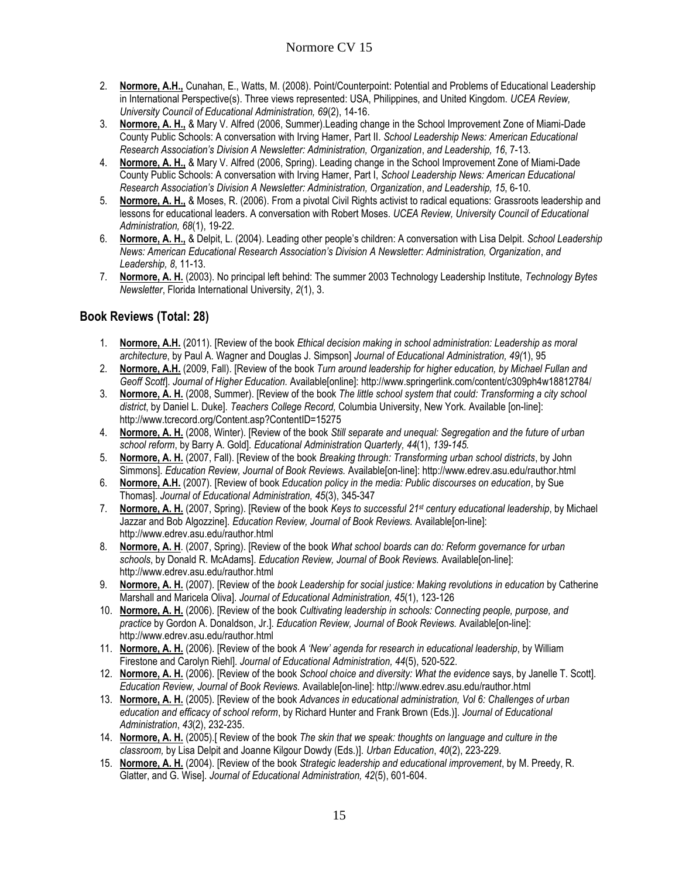- 2. **Normore, A.H.,** Cunahan, E., Watts, M. (2008). Point/Counterpoint: Potential and Problems of Educational Leadership in International Perspective(s). Three views represented: USA, Philippines, and United Kingdom. *UCEA Review, University Council of Educational Administration, 69*(2), 14-16.
- 3. **Normore, A. H.,** & Mary V. Alfred (2006, Summer).Leading change in the School Improvement Zone of Miami-Dade County Public Schools: A conversation with Irving Hamer, Part II. *School Leadership News: American Educational Research Association's Division A Newsletter: Administration, Organization*, *and Leadership, 16*, 7-13.
- 4. **Normore, A. H.,** & Mary V. Alfred (2006, Spring). Leading change in the School Improvement Zone of Miami-Dade County Public Schools: A conversation with Irving Hamer, Part I, *School Leadership News: American Educational Research Association's Division A Newsletter: Administration, Organization*, *and Leadership, 15*, 6-10.
- 5. **Normore, A. H.,** & Moses, R. (2006). From a pivotal Civil Rights activist to radical equations: Grassroots leadership and lessons for educational leaders. A conversation with Robert Moses. *UCEA Review, University Council of Educational Administration, 68*(1), 19-22.
- 6. **Normore, A. H.,** & Delpit, L. (2004). Leading other people's children: A conversation with Lisa Delpit. *School Leadership News: American Educational Research Association's Division A Newsletter: Administration, Organization*, *and Leadership, 8*, 11-13.
- 7. **Normore, A. H.** (2003). No principal left behind: The summer 2003 Technology Leadership Institute, *Technology Bytes Newsletter*, Florida International University, *2*(1), 3.

## **Book Reviews (Total: 28)**

- 1. **Normore, A.H.** (2011). [Review of the book *Ethical decision making in school administration: Leadership as moral architecture*, by Paul A. Wagner and Douglas J. Simpson] *Journal of Educational Administration, 49(*1), 95
- 2. **Normore, A.H.** (2009, Fall). [Review of the book *Turn around leadership for higher education, by Michael Fullan and Geoff Scott*]. *Journal of Higher Education.* Available[online]: http://www.springerlink.com/content/c309ph4w18812784/
- 3. **Normore, A. H.** (2008, Summer). [Review of the book *The little school system that could: Transforming a city school district*, by Daniel L. Duke]. *Teachers College Record,* Columbia University, New York. Available [on-line]: http://www.tcrecord.org/Content.asp?ContentID=15275
- 4. **Normore, A. H.** (2008, Winter). [Review of the book *Still separate and unequal: Segregation and the future of urban school reform*, by Barry A. Gold]. *Educational Administration Quarterly, 44*(1), *139-145.*
- 5. **Normore, A. H.** (2007, Fall). [Review of the book *Breaking through: Transforming urban school districts*, by John Simmons]. *Education Review, Journal of Book Reviews.* Available[on-line]: http://www.edrev.asu.edu/rauthor.html
- 6. **Normore, A.H.** (2007). [Review of book *Education policy in the media: Public discourses on education*, by Sue Thomas]. *Journal of Educational Administration, 45*(3), 345-347
- 7. **Normore, A. H.** (2007, Spring). [Review of the book *Keys to successful 21st century educational leadership*, by Michael Jazzar and Bob Algozzine]. *Education Review, Journal of Book Reviews.* Available[on-line]: http://www.edrev.asu.edu/rauthor.html
- 8. **Normore, A. H**. (2007, Spring). [Review of the book *What school boards can do: Reform governance for urban schools*, by Donald R. McAdams]. *Education Review, Journal of Book Reviews.* Available[on-line]: http://www.edrev.asu.edu/rauthor.html
- 9. **Normore, A. H.** (2007). [Review of the *book Leadership for social justice: Making revolutions in education* by Catherine Marshall and Maricela Oliva]. *Journal of Educational Administration, 45*(1), 123-126
- 10. **Normore, A. H.** (2006). [Review of the book *Cultivating leadership in schools: Connecting people, purpose, and practice* by Gordon A. Donaldson, Jr.]. *Education Review, Journal of Book Reviews.* Available[on-line]: http://www.edrev.asu.edu/rauthor.html
- 11. **Normore, A. H.** (2006). [Review of the book *A 'New' agenda for research in educational leadership*, by William Firestone and Carolyn Riehl]. *Journal of Educational Administration, 44*(5), 520-522.
- 12. **Normore, A. H.** (2006). [Review of the book *School choice and diversity: What the evidence* says, by Janelle T. Scott]. *Education Review, Journal of Book Reviews.* Available[on-line]: http://www.edrev.asu.edu/rauthor.html
- 13. **Normore, A. H.** (2005). [Review of the book *Advances in educational administration, Vol 6: Challenges of urban education and efficacy of school reform*, by Richard Hunter and Frank Brown (Eds.)]. *Journal of Educational Administration*, *43*(2), 232-235.
- 14. **Normore, A. H.** (2005).[ Review of the book *The skin that we speak: thoughts on language and culture in the classroom,* by Lisa Delpit and Joanne Kilgour Dowdy (Eds.)]. *Urban Education*, *40*(2), 223-229.
- 15. **Normore, A. H.** (2004). [Review of the book *Strategic leadership and educational improvement*, by M. Preedy, R. Glatter, and G. Wise]. *Journal of Educational Administration, 42*(5), 601-604.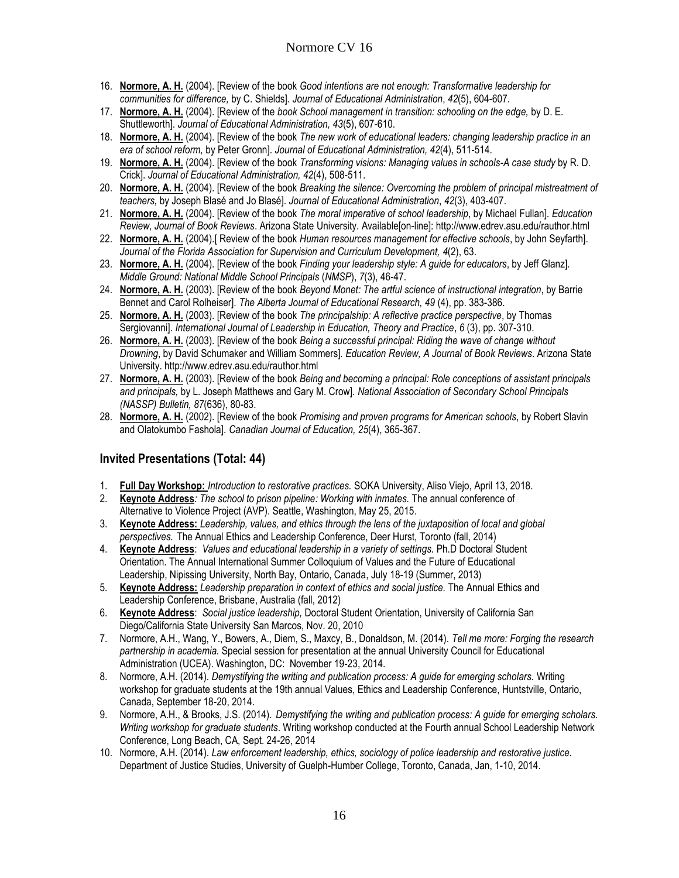- 16. **Normore, A. H.** (2004). [Review of the book *Good intentions are not enough: Transformative leadership for communities for difference,* by C. Shields]. *Journal of Educational Administration*, *42*(5), 604-607.
- 17. **Normore, A. H.** (2004). [Review of the *book School management in transition: schooling on the edge,* by D. E. Shuttleworth]. *Journal of Educational Administration, 43*(5), 607-610.
- 18. **Normore, A. H.** (2004). [Review of the book *The new work of educational leaders: changing leadership practice in an era of school reform,* by Peter Gronn]. *Journal of Educational Administration, 42*(4), 511-514.
- 19. **Normore, A. H.** (2004). [Review of the book *Transforming visions: Managing values in schools-A case study* by R. D. Crick]. *Journal of Educational Administration, 42*(4), 508-511.
- 20. **Normore, A. H.** (2004). [Review of the book *Breaking the silence: Overcoming the problem of principal mistreatment of teachers,* by Joseph Blasé and Jo Blasé]. *Journal of Educational Administration*, *42*(3), 403-407.
- 21. **Normore, A. H.** (2004). [Review of the book *The moral imperative of school leadership*, by Michael Fullan]*. Education Review, Journal of Book Reviews*. Arizona State University. Available[on-line]: http://www.edrev.asu.edu/rauthor.html
- 22. **Normore, A. H.** (2004).[ Review of the book *Human resources management for effective schools*, by John Seyfarth]. *Journal of the Florida Association for Supervision and Curriculum Development, 4*(2), 63.
- 23. **Normore, A. H.** (2004). [Review of the book *Finding your leadership style: A guide for educators*, by Jeff Glanz]. *Middle Ground: National Middle School Principals* (*NMSP*), *7*(3), 46-47.
- 24. **Normore, A. H.** (2003). [Review of the book *Beyond Monet: The artful science of instructional integration*, by Barrie Bennet and Carol Rolheiser]. *The Alberta Journal of Educational Research, 49* (4), pp. 383-386.
- 25. **Normore, A. H.** (2003). [Review of the book *The principalship: A reflective practice perspective*, by Thomas Sergiovanni]. *International Journal of Leadership in Education, Theory and Practice*, *6* (3), pp. 307-310.
- 26. **Normore, A. H.** (2003). [Review of the book *Being a successful principal: Riding the wave of change without Drowning*, by David Schumaker and William Sommers]*. Education Review, A Journal of Book Reviews*. Arizona State University. http://www.edrev.asu.edu/rauthor.html
- 27. **Normore, A. H.** (2003). [Review of the book *Being and becoming a principal: Role conceptions of assistant principals and principals,* by L. Joseph Matthews and Gary M. Crow]. *National Association of Secondary School Principals (NASSP) Bulletin, 87*(636), 80-83.
- 28. **Normore, A. H.** (2002). [Review of the book *Promising and proven programs for American schools*, by Robert Slavin and Olatokumbo Fashola]. *Canadian Journal of Education, 25*(4), 365-367.

#### **Invited Presentations (Total: 44)**

- 1. **Full Day Workshop:** *Introduction to restorative practices.* SOKA University, Aliso Viejo, April 13, 2018.
- 2. **Keynote Address***: The school to prison pipeline: Working with inmates.* The annual conference of Alternative to Violence Project (AVP). Seattle, Washington, May 25, 2015.
- 3. **Keynote Address:** *Leadership, values, and ethics through the lens of the juxtaposition of local and global perspectives.* The Annual Ethics and Leadership Conference, Deer Hurst, Toronto (fall, 2014)
- 4. **Keynote Address**: *Values and educational leadership in a variety of settings.* Ph.D Doctoral Student Orientation. The Annual International Summer Colloquium of Values and the Future of Educational Leadership, Nipissing University, North Bay, Ontario, Canada, July 18-19 (Summer, 2013)
- 5. **Keynote Address:** *Leadership preparation in context of ethics and social justice.* The Annual Ethics and Leadership Conference, Brisbane, Australia (fall, 2012)
- 6. **Keynote Address**: *Social justice leadership,* Doctoral Student Orientation, University of California San Diego/California State University San Marcos, Nov. 20, 2010
- 7. Normore, A.H., Wang, Y., Bowers, A., Diem, S., Maxcy, B., Donaldson, M. (2014). *Tell me more: Forging the research partnership in academia.* Special session for presentation at the annual University Council for Educational Administration (UCEA). Washington, DC: November 19-23, 2014.
- 8. Normore, A.H. (2014). *Demystifying the writing and publication process: A guide for emerging scholars.* Writing workshop for graduate students at the 19th annual Values, Ethics and Leadership Conference, Huntstville, Ontario, Canada, September 18-20, 2014.
- 9. Normore, A.H., & Brooks, J.S. (2014). *Demystifying the writing and publication process: A guide for emerging scholars. Writing workshop for graduate students*. Writing workshop conducted at the Fourth annual School Leadership Network Conference, Long Beach, CA, Sept. 24-26, 2014
- 10. Normore, A.H. (2014). *Law enforcement leadership, ethics, sociology of police leadership and restorative justice.* Department of Justice Studies, University of Guelph-Humber College, Toronto, Canada, Jan, 1-10, 2014.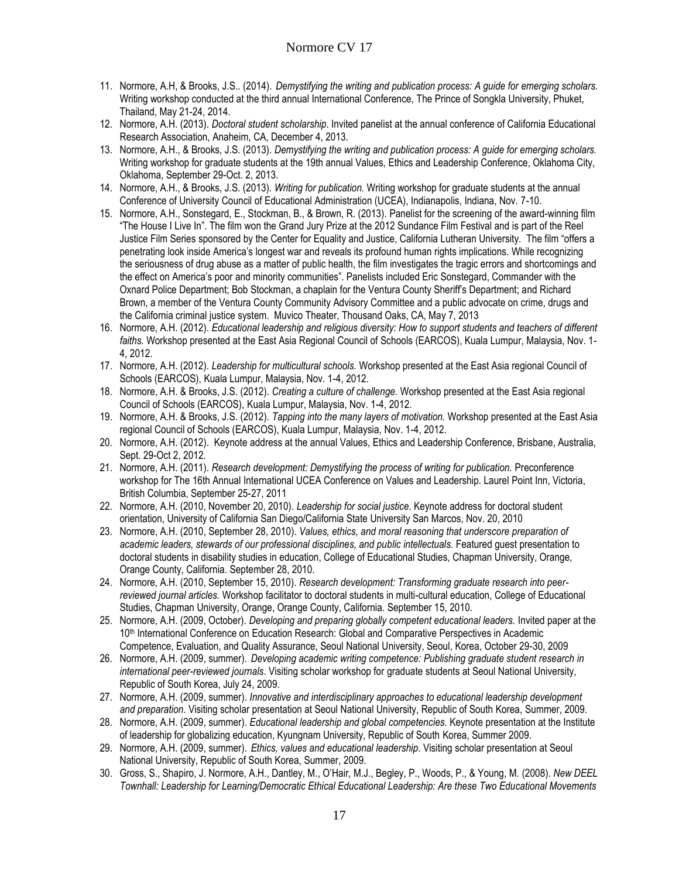- 11. Normore, A.H, & Brooks, J.S.. (2014). *Demystifying the writing and publication process: A guide for emerging scholars.*  Writing workshop conducted at the third annual International Conference, The Prince of Songkla University, Phuket, Thailand, May 21-24, 2014.
- 12. Normore, A.H. (2013). *Doctoral student scholarship*. Invited panelist at the annual conference of California Educational Research Association, Anaheim, CA, December 4, 2013.
- 13. Normore, A.H., & Brooks, J.S. (2013). *Demystifying the writing and publication process: A guide for emerging scholars.*  Writing workshop for graduate students at the 19th annual Values, Ethics and Leadership Conference, Oklahoma City, Oklahoma, September 29-Oct. 2, 2013.
- 14. Normore, A.H., & Brooks, J.S. (2013). *Writing for publication.* Writing workshop for graduate students at the annual Conference of University Council of Educational Administration (UCEA), Indianapolis, Indiana, Nov. 7-10.
- 15. Normore, A.H., Sonstegard, E., Stockman, B., & Brown, R. (2013). Panelist for the screening of the award-winning film "The House I Live In". The film won the Grand Jury Prize at the 2012 Sundance Film Festival and is part of the Reel Justice Film Series sponsored by the Center for Equality and Justice, California Lutheran University. The film "offers a penetrating look inside America's longest war and reveals its profound human rights implications. While recognizing the seriousness of drug abuse as a matter of public health, the film investigates the tragic errors and shortcomings and the effect on America's poor and minority communities". Panelists included Eric Sonstegard, Commander with the Oxnard Police Department; Bob Stockman, a chaplain for the Ventura County Sheriff's Department; and Richard Brown, a member of the Ventura County Community Advisory Committee and a public advocate on crime, drugs and the California criminal justice system. Muvico Theater, Thousand Oaks, CA, May 7, 2013
- 16. Normore, A.H. (2012). *Educational leadership and religious diversity: How to support students and teachers of different faiths.* Workshop presented at the East Asia Regional Council of Schools (EARCOS), Kuala Lumpur, Malaysia, Nov. 1- 4, 2012.
- 17. Normore, A.H. (2012). *Leadership for multicultural schools.* Workshop presented at the East Asia regional Council of Schools (EARCOS), Kuala Lumpur, Malaysia, Nov. 1-4, 2012.
- 18. Normore, A.H. & Brooks, J.S. (2012). *Creating a culture of challenge.* Workshop presented at the East Asia regional Council of Schools (EARCOS), Kuala Lumpur, Malaysia, Nov. 1-4, 2012.
- 19. Normore, A.H. & Brooks, J.S. (2012). *Tapping into the many layers of motivation.* Workshop presented at the East Asia regional Council of Schools (EARCOS), Kuala Lumpur, Malaysia, Nov. 1-4, 2012.
- 20. Normore, A.H. (2012).Keynote address at the annual Values, Ethics and Leadership Conference, Brisbane, Australia, Sept. 29-Oct 2, 2012.
- 21. Normore, A.H. (2011). *Research development: Demystifying the process of writing for publication.* Preconference workshop for The 16th Annual International UCEA Conference on Values and Leadership. Laurel Point Inn, Victoria, British Columbia, September 25-27, 2011
- 22. Normore, A.H. (2010, November 20, 2010). *Leadership for social justice*. Keynote address for doctoral student orientation, University of California San Diego/California State University San Marcos, Nov. 20, 2010
- 23. Normore, A.H. (2010, September 28, 2010). *Values, ethics, and moral reasoning that underscore preparation of academic leaders, stewards of our professional disciplines, and public intellectuals.* Featured guest presentation to doctoral students in disability studies in education, College of Educational Studies, Chapman University, Orange, Orange County, California. September 28, 2010.
- 24. Normore, A.H. (2010, September 15, 2010). *Research development: Transforming graduate research into peerreviewed journal articles.* Workshop facilitator to doctoral students in multi-cultural education, College of Educational Studies, Chapman University, Orange, Orange County, California. September 15, 2010.
- 25. Normore, A.H. (2009, October). *Developing and preparing globally competent educational leaders.* Invited paper at the 10th International Conference on Education Research: Global and Comparative Perspectives in Academic Competence, Evaluation, and Quality Assurance, Seoul National University, Seoul, Korea, October 29-30, 2009
- 26. Normore, A.H. (2009, summer). *Developing academic writing competence: Publishing graduate student research in international peer-reviewed journals*. Visiting scholar workshop for graduate students at Seoul National University, Republic of South Korea, July 24, 2009.
- 27. Normore, A.H. (2009, summer). *Innovative and interdisciplinary approaches to educational leadership development and preparation*. Visiting scholar presentation at Seoul National University, Republic of South Korea, Summer, 2009.
- 28. Normore, A.H. (2009, summer). *Educational leadership and global competencies.* Keynote presentation at the Institute of leadership for globalizing education, Kyungnam University, Republic of South Korea, Summer 2009.
- 29. Normore, A.H. (2009, summer). *Ethics, values and educational leadership*. Visiting scholar presentation at Seoul National University, Republic of South Korea, Summer, 2009.
- 30. Gross, S., Shapiro, J. Normore, A.H., Dantley, M., O'Hair, M.J., Begley, P., Woods, P., & Young, M. (2008). *New DEEL Townhall: Leadership for Learning/Democratic Ethical Educational Leadership: Are these Two Educational Movements*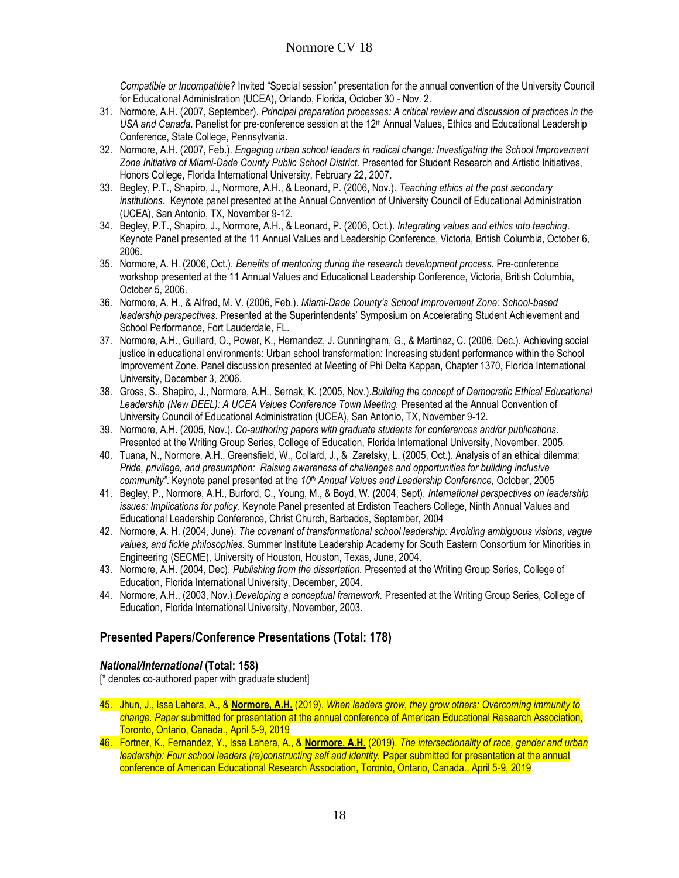*Compatible or Incompatible?* Invited "Special session" presentation for the annual convention of the University Council for Educational Administration (UCEA), Orlando, Florida, October 30 - Nov. 2.

- 31. Normore, A.H. (2007, September). *Principal preparation processes: A critical review and discussion of practices in the*  USA and Canada. Panelist for pre-conference session at the 12<sup>th</sup> Annual Values, Ethics and Educational Leadership Conference, State College, Pennsylvania.
- 32. Normore, A.H. (2007, Feb.). *Engaging urban school leaders in radical change: Investigating the School Improvement*  Zone Initiative of Miami-Dade County Public School District. Presented for Student Research and Artistic Initiatives, Honors College, Florida International University, February 22, 2007.
- 33. Begley, P.T., Shapiro, J., Normore, A.H., & Leonard, P. (2006, Nov.). *Teaching ethics at the post secondary institutions.* Keynote panel presented at the Annual Convention of University Council of Educational Administration (UCEA), San Antonio, TX, November 9-12.
- 34. Begley, P.T., Shapiro, J., Normore, A.H., & Leonard, P. (2006, Oct.). *Integrating values and ethics into teaching*. Keynote Panel presented at the 11 Annual Values and Leadership Conference, Victoria, British Columbia, October 6, 2006.
- 35. Normore, A. H. (2006, Oct.). *Benefits of mentoring during the research development process.* Pre-conference workshop presented at the 11 Annual Values and Educational Leadership Conference, Victoria, British Columbia, October 5, 2006.
- 36. Normore, A. H., & Alfred, M. V. (2006, Feb.). *Miami-Dade County's School Improvement Zone: School-based leadership perspectives*. Presented at the Superintendents' Symposium on Accelerating Student Achievement and School Performance, Fort Lauderdale, FL.
- 37. Normore, A.H., Guillard, O., Power, K., Hernandez, J. Cunningham, G., & Martinez, C. (2006, Dec.). Achieving social justice in educational environments: Urban school transformation: Increasing student performance within the School Improvement Zone. Panel discussion presented at Meeting of Phi Delta Kappan, Chapter 1370, Florida International University, December 3, 2006.
- 38. Gross, S., Shapiro, J., Normore, A.H., Sernak, K. (2005, Nov.).*Building the concept of Democratic Ethical Educational*  Leadership (New DEEL): A UCEA Values Conference Town Meeting. Presented at the Annual Convention of University Council of Educational Administration (UCEA), San Antonio, TX, November 9-12.
- 39. Normore, A.H. (2005, Nov.). *Co-authoring papers with graduate students for conferences and/or publications*. Presented at the Writing Group Series, College of Education, Florida International University, November. 2005.
- 40. Tuana, N., Normore, A.H., Greensfield, W., Collard, J., & Zaretsky, L. (2005, Oct.). Analysis of an ethical dilemma: *Pride, privilege, and presumption: Raising awareness of challenges and opportunities for building inclusive community"*. Keynote panel presented at the *10th Annual Values and Leadership Conference,* October, 2005
- 41. Begley, P., Normore, A.H., Burford, C., Young, M., & Boyd, W. (2004, Sept). *International perspectives on leadership issues: Implications for policy.* Keynote Panel presented at Erdiston Teachers College, Ninth Annual Values and Educational Leadership Conference, Christ Church, Barbados, September, 2004
- 42. Normore, A. H. (2004, June). *The covenant of transformational school leadership: Avoiding ambiguous visions, vague values, and fickle philosophies.* Summer Institute Leadership Academy for South Eastern Consortium for Minorities in Engineering (SECME), University of Houston, Houston, Texas, June, 2004.
- 43. Normore, A.H. (2004, Dec). *Publishing from the dissertation.* Presented at the Writing Group Series, College of Education, Florida International University, December, 2004.
- 44. Normore, A.H., (2003, Nov.).*Developing a conceptual framework.* Presented at the Writing Group Series, College of Education, Florida International University, November, 2003.

## **Presented Papers/Conference Presentations (Total: 178)**

#### *National/International* **(Total: 158)**

[\* denotes co-authored paper with graduate student]

- 45. Jhun, J., Issa Lahera, A., & **Normore, A.H.** (2019). *When leaders grow, they grow others: Overcoming immunity to change. Paper* submitted for presentation at the annual conference of American Educational Research Association, Toronto, Ontario, Canada., April 5-9, 2019
- 46. Fortner, K., Fernandez, Y., Issa Lahera, A., & **Normore, A.H.** (2019). *The intersectionality of race, gender and urban leadership: Four school leaders (re)constructing self and identity. Paper submitted for presentation at the annual* conference of American Educational Research Association, Toronto, Ontario, Canada., April 5-9, 2019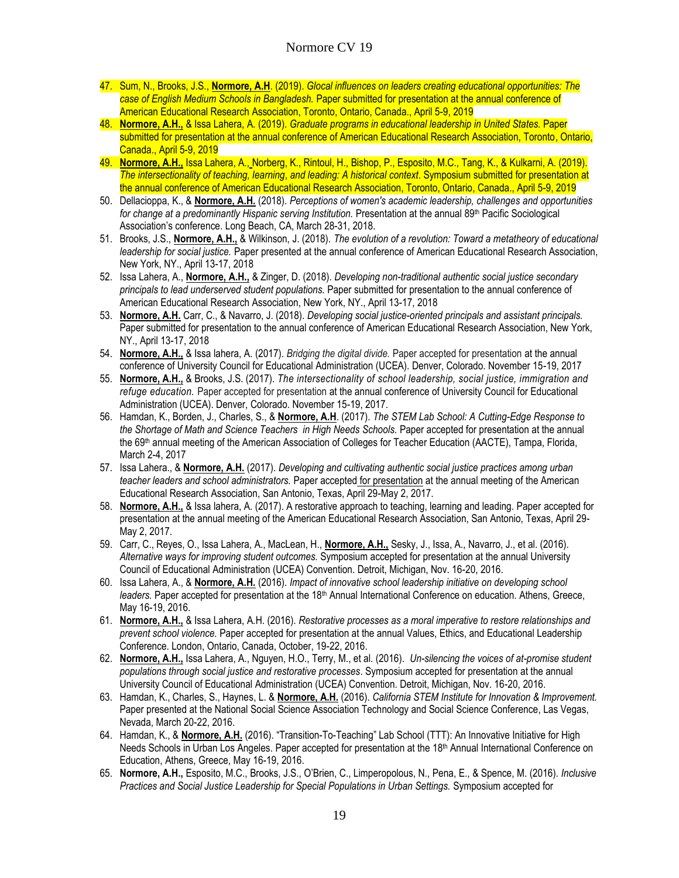- 47. Sum, N., Brooks, J.S., **Normore, A.H**. (2019). *Glocal influences on leaders creating educational opportunities: The case of English Medium Schools in Bangladesh.* Paper submitted for presentation at the annual conference of American Educational Research Association, Toronto, Ontario, Canada., April 5-9, 2019
- 48. **Normore, A.H.,** & Issa Lahera, A. (2019). *Graduate programs in educational leadership in United States.* Paper submitted for presentation at the annual conference of American Educational Research Association, Toronto, Ontario, Canada., April 5-9, 2019
- 49. **Normore, A.H.,** Issa Lahera, A., Norberg, K., Rintoul, H., Bishop, P., Esposito, M.C., Tang, K., & Kulkarni, A. (2019). *The intersectionality of teaching, learning*, *and leading: A historical context*. Symposium submitted for presentation at the annual conference of American Educational Research Association, Toronto, Ontario, Canada., April 5-9, 2019
- 50. Dellacioppa, K., & **Normore, A.H.** (2018). *Perceptions of women's academic leadership, challenges and opportunities for change at a predominantly Hispanic serving Institution.* Presentation at the annual 89<sup>th</sup> Pacific Sociological Association's conference. Long Beach, CA, March 28-31, 2018.
- 51. Brooks, J.S., **Normore, A.H.,** & Wilkinson, J. (2018). *The evolution of a revolution: Toward a metatheory of educational leadership for social justice.* Paper presented at the annual conference of American Educational Research Association, New York, NY., April 13-17, 2018
- 52. Issa Lahera, A., **Normore, A.H.,** & Zinger, D. (2018). *Developing non-traditional authentic social justice secondary principals to lead underserved student populations.* Paper submitted for presentation to the annual conference of American Educational Research Association, New York, NY., April 13-17, 2018
- 53. **Normore, A.H.** Carr, C., & Navarro, J. (2018). *Developing social justice-oriented principals and assistant principals.*  Paper submitted for presentation to the annual conference of American Educational Research Association, New York, NY., April 13-17, 2018
- 54. **Normore, A.H.,** & Issa lahera, A. (2017). *Bridging the digital divide.* Paper accepted for presentation at the annual conference of University Council for Educational Administration (UCEA). Denver, Colorado. November 15-19, 2017
- 55. **Normore, A.H.,** & Brooks, J.S. (2017). *The intersectionality of school leadership, social justice, immigration and refuge education.* Paper accepted for presentation at the annual conference of University Council for Educational Administration (UCEA). Denver, Colorado. November 15-19, 2017.
- 56. Hamdan, K., Borden, J., Charles, S., & **Normore, A.H**. (2017). *The STEM Lab School: A Cutting-Edge Response to the Shortage of Math and Science Teachers in High Needs Schools.* Paper accepted for presentation at the annual the 69<sup>th</sup> annual meeting of the American Association of Colleges for Teacher Education (AACTE), Tampa, Florida, March 2-4, 2017
- 57. Issa Lahera., & **Normore, A.H.** (2017). *Developing and cultivating authentic social justice practices among urban teacher leaders and school administrators.* Paper accepted for presentation at the annual meeting of the American Educational Research Association, San Antonio, Texas, April 29-May 2, 2017.
- 58. **Normore, A.H.,** & Issa lahera, A. (2017). A restorative approach to teaching, learning and leading. Paper accepted for presentation at the annual meeting of the American Educational Research Association, San Antonio, Texas, April 29- May 2, 2017.
- 59. Carr, C., Reyes, O., Issa Lahera, A., MacLean, H., **Normore, A.H.,** Sesky, J., Issa, A., Navarro, J., et al. (2016). *Alternative ways for improving student outcomes.* Symposium accepted for presentation at the annual University Council of Educational Administration (UCEA) Convention. Detroit, Michigan, Nov. 16-20, 2016.
- 60. Issa Lahera, A., & **Normore, A.H.** (2016). *Impact of innovative school leadership initiative on developing school*  leaders. Paper accepted for presentation at the 18<sup>th</sup> Annual International Conference on education. Athens, Greece, May 16-19, 2016.
- 61. **Normore, A.H.,** & Issa Lahera, A.H. (2016). *Restorative processes as a moral imperative to restore relationships and prevent school violence.* Paper accepted for presentation at the annual Values, Ethics, and Educational Leadership Conference. London, Ontario, Canada, October, 19-22, 2016.
- 62. **Normore, A.H.,** Issa Lahera, A., Nguyen, H.O., Terry, M., et al. (2016). *Un-silencing the voices of at-promise student populations through social justice and restorative processes*. Symposium accepted for presentation at the annual University Council of Educational Administration (UCEA) Convention. Detroit, Michigan, Nov. 16-20, 2016.
- 63. Hamdan, K., Charles, S., Haynes, L. & **Normore, A.H.** (2016). *California STEM Institute for Innovation & Improvement.* Paper presented at the National Social Science Association Technology and Social Science Conference, Las Vegas, Nevada, March 20-22, 2016.
- 64. Hamdan, K., & **Normore, A.H.** (2016). "Transition-To-Teaching" Lab School (TTT): An Innovative Initiative for High Needs Schools in Urban Los Angeles. Paper accepted for presentation at the 18<sup>th</sup> Annual International Conference on Education, Athens, Greece, May 16-19, 2016.
- 65. **Normore, A.H.,** Esposito, M.C., Brooks, J.S., O'Brien, C., Limperopolous, N., Pena, E., & Spence, M. (2016). *Inclusive Practices and Social Justice Leadership for Special Populations in Urban Settings.* Symposium accepted for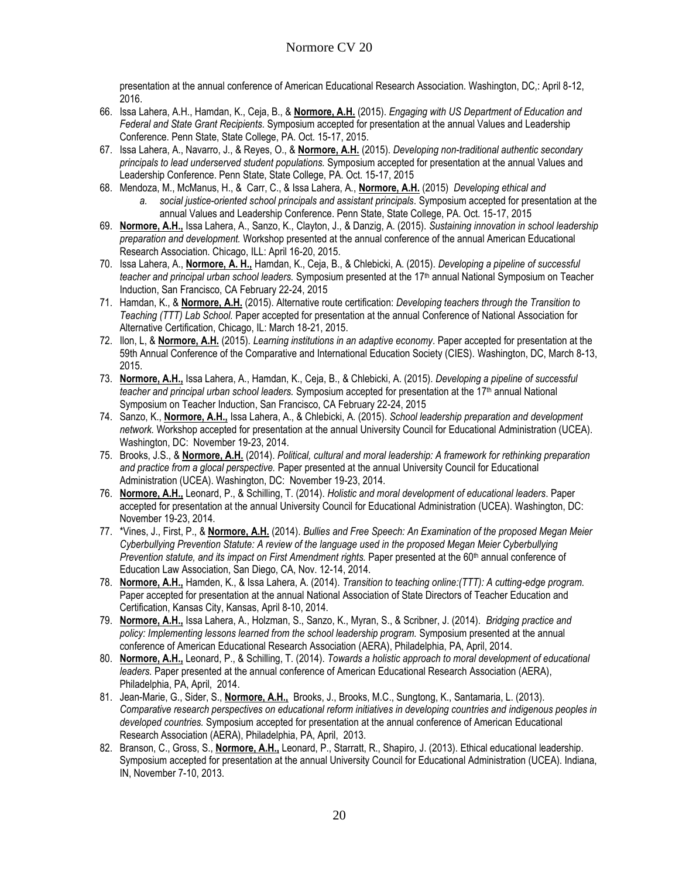presentation at the annual conference of American Educational Research Association. Washington, DC,: April 8-12, 2016.

- 66. Issa Lahera, A.H., Hamdan, K., Ceja, B., & **Normore, A.H.** (2015). *Engaging with US Department of Education and Federal and State Grant Recipients.* Symposium accepted for presentation at the annual Values and Leadership Conference. Penn State, State College, PA. Oct. 15-17, 2015.
- 67. Issa Lahera, A., Navarro, J., & Reyes, O., & **Normore, A.H.** (2015). *Developing non-traditional authentic secondary principals to lead underserved student populations.* Symposium accepted for presentation at the annual Values and Leadership Conference. Penn State, State College, PA. Oct. 15-17, 2015
- 68. Mendoza, M., McManus, H., & Carr, C., & Issa Lahera, A., **Normore, A.H.** (2015) *Developing ethical and a. social justice-oriented school principals and assistant principals*. Symposium accepted for presentation at the annual Values and Leadership Conference. Penn State, State College, PA. Oct. 15-17, 2015
- 69. **Normore, A.H.,** Issa Lahera, A., Sanzo, K., Clayton, J., & Danzig, A. (2015). *Sustaining innovation in school leadership preparation and development.* Workshop presented at the annual conference of the annual American Educational Research Association. Chicago, ILL: April 16-20, 2015.
- 70. Issa Lahera, A., **Normore, A. H.,** Hamdan, K., Ceja, B., & Chlebicki, A. (2015). *Developing a pipeline of successful teacher and principal urban school leaders.* Symposium presented at the 17th annual National Symposium on Teacher Induction, San Francisco, CA February 22-24, 2015
- 71. Hamdan, K., & **Normore, A.H.** (2015). Alternative route certification: *Developing teachers through the Transition to Teaching (TTT) Lab School.* Paper accepted for presentation at the annual Conference of National Association for Alternative Certification, Chicago, IL: March 18-21, 2015.
- 72. Ilon, L, & **Normore, A.H.** (2015). *Learning institutions in an adaptive economy*. Paper accepted for presentation at the 59th Annual Conference of the Comparative and International Education Society (CIES). Washington, DC, March 8-13, 2015.
- 73. **Normore, A.H.,** Issa Lahera, A., Hamdan, K., Ceja, B., & Chlebicki, A. (2015). *Developing a pipeline of successful teacher and principal urban school leaders.* Symposium accepted for presentation at the 17th annual National Symposium on Teacher Induction, San Francisco, CA February 22-24, 2015
- 74. Sanzo, K., **Normore, A.H.,** Issa Lahera, A., & Chlebicki, A. (2015). *School leadership preparation and development network.* Workshop accepted for presentation at the annual University Council for Educational Administration (UCEA). Washington, DC: November 19-23, 2014.
- 75. Brooks, J.S., & **Normore, A.H.** (2014). *Political, cultural and moral leadership: A framework for rethinking preparation and practice from a glocal perspective.* Paper presented at the annual University Council for Educational Administration (UCEA). Washington, DC: November 19-23, 2014.
- 76. **Normore, A.H.,** Leonard, P., & Schilling, T. (2014). *Holistic and moral development of educational leaders*. Paper accepted for presentation at the annual University Council for Educational Administration (UCEA). Washington, DC: November 19-23, 2014.
- 77. \*Vines, J., First, P., & **Normore, A.H.** (2014). *Bullies and Free Speech: An Examination of the proposed Megan Meier Cyberbullying Prevention Statute: A review of the language used in the proposed Megan Meier Cyberbullying Prevention statute, and its impact on First Amendment <i>rights*. Paper presented at the 60<sup>th</sup> annual conference of Education Law Association, San Diego, CA, Nov. 12-14, 2014.
- 78. **Normore, A.H.,** Hamden, K., & Issa Lahera, A. (2014). *Transition to teaching online:(TTT): A cutting-edge program.*  Paper accepted for presentation at the annual National Association of State Directors of Teacher Education and Certification, Kansas City, Kansas, April 8-10, 2014.
- 79. **Normore, A.H.,** Issa Lahera, A., Holzman, S., Sanzo, K., Myran, S., & Scribner, J. (2014). *Bridging practice and policy: Implementing lessons learned from the school leadership program.* Symposium presented at the annual conference of American Educational Research Association (AERA), Philadelphia, PA, April, 2014.
- 80. **Normore, A.H.,** Leonard, P., & Schilling, T. (2014). *Towards a holistic approach to moral development of educational leaders.* Paper presented at the annual conference of American Educational Research Association (AERA), Philadelphia, PA, April, 2014.
- 81. Jean-Marie, G., Sider, S., **Normore, A.H.,** Brooks, J., Brooks, M.C., Sungtong, K., Santamaria, L. (2013). *Comparative research perspectives on educational reform initiatives in developing countries and indigenous peoples in developed countries.* Symposium accepted for presentation at the annual conference of American Educational Research Association (AERA), Philadelphia, PA, April, 2013.
- 82. Branson, C., Gross, S., **Normore, A.H.,** Leonard, P., Starratt, R., Shapiro, J. (2013). Ethical educational leadership. Symposium accepted for presentation at the annual University Council for Educational Administration (UCEA). Indiana, IN, November 7-10, 2013.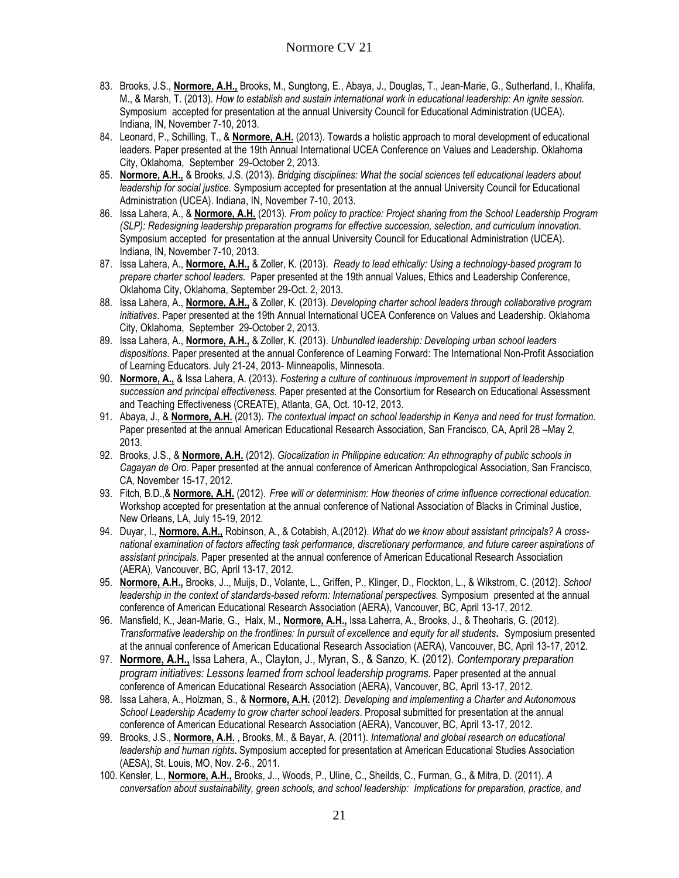- 83. Brooks, J.S., **Normore, A.H.,** Brooks, M., Sungtong, E., Abaya, J., Douglas, T., Jean-Marie, G., Sutherland, I., Khalifa, M., & Marsh, T. (2013). *How to establish and sustain international work in educational leadership: An ignite session.* Symposium accepted for presentation at the annual University Council for Educational Administration (UCEA). Indiana, IN, November 7-10, 2013.
- 84. Leonard, P., Schilling, T., & **Normore, A.H.** (2013). Towards a holistic approach to moral development of educational leaders. Paper presented at the 19th Annual International UCEA Conference on Values and Leadership. Oklahoma City, Oklahoma, September 29-October 2, 2013.
- 85. **Normore, A.H.,** & Brooks, J.S. (2013). *Bridging disciplines: What the social sciences tell educational leaders about leadership for social justice.* Symposium accepted for presentation at the annual University Council for Educational Administration (UCEA). Indiana, IN, November 7-10, 2013.
- 86. Issa Lahera, A., & **Normore, A.H.** (2013). *From policy to practice: Project sharing from the School Leadership Program (SLP): Redesigning leadership preparation programs for effective succession, selection, and curriculum innovation.* Symposium accepted for presentation at the annual University Council for Educational Administration (UCEA). Indiana, IN, November 7-10, 2013.
- 87. Issa Lahera, A., **Normore, A.H.,** & Zoller, K. (2013). *Ready to lead ethically: Using a technology-based program to prepare charter school leaders.* Paper presented at the 19th annual Values, Ethics and Leadership Conference, Oklahoma City, Oklahoma, September 29-Oct. 2, 2013.
- 88. Issa Lahera, A., **Normore, A.H.,** & Zoller, K. (2013). *Developing charter school leaders through collaborative program initiatives*. Paper presented at the 19th Annual International UCEA Conference on Values and Leadership. Oklahoma City, Oklahoma, September 29-October 2, 2013.
- 89. Issa Lahera, A., **Normore, A.H.,** & Zoller, K. (2013). *Unbundled leadership: Developing urban school leaders dispositions*. Paper presented at the annual Conference of Learning Forward: The International Non-Profit Association of Learning Educators. July 21-24, 2013- Minneapolis, Minnesota.
- 90. **Normore, A.,** & Issa Lahera, A. (2013). *Fostering a culture of continuous improvement in support of leadership succession and principal effectiveness.* Paper presented at the Consortium for Research on Educational Assessment and Teaching Effectiveness (CREATE), Atlanta, GA, Oct. 10-12, 2013.
- 91. Abaya, J., & **Normore, A.H.** (2013). *The contextual impact on school leadership in Kenya and need for trust formation.*  Paper presented at the annual American Educational Research Association, San Francisco, CA, April 28 –May 2, 2013*.*
- 92. Brooks, J.S., & **Normore, A.H.** (2012). *Glocalization in Philippine education: An ethnography of public schools in Cagayan de Oro.* Paper presented at the annual conference of American Anthropological Association, San Francisco, CA, November 15-17, 2012.
- 93. Fitch, B.D.,& **Normore, A.H.** (2012). *Free will or determinism: How theories of crime influence correctional education.* Workshop accepted for presentation at the annual conference of National Association of Blacks in Criminal Justice, New Orleans, LA, July 15-19, 2012.
- 94. Duyar, I., **Normore, A.H.,** Robinson, A., & Cotabish, A.(2012). *What do we know about assistant principals? A crossnational examination of factors affecting task performance, discretionary performance, and future career aspirations of assistant principals.* Paper presented at the annual conference of American Educational Research Association (AERA), Vancouver, BC, April 13-17, 2012.
- 95. **Normore, A.H.,** Brooks, J.., Muijs, D., Volante, L., Griffen, P., Klinger, D., Flockton, L., & Wikstrom, C. (2012). *School leadership in the context of standards-based reform: International perspectives.* Symposium presented at the annual conference of American Educational Research Association (AERA), Vancouver, BC, April 13-17, 2012.
- 96. Mansfield, K., Jean-Marie, G., Halx, M., **Normore, A.H.,** Issa Laherra, A., Brooks, J., & Theoharis, G. (2012). *Transformative leadership on the frontlines: In pursuit of excellence and equity for all students***.** Symposium presented at the annual conference of American Educational Research Association (AERA), Vancouver, BC, April 13-17, 2012.
- 97. **Normore, A.H.,** Issa Lahera, A., Clayton, J., Myran, S., & Sanzo, K. (2012). *Contemporary preparation program initiatives: Lessons learned from school leadership programs.* Paper presented at the annual conference of American Educational Research Association (AERA), Vancouver, BC, April 13-17, 2012.
- 98. Issa Lahera, A., Holzman, S., & **Normore, A.H.** (2012). *Developing and implementing a Charter and Autonomous School Leadership Academy to grow charter school leaders*. Proposal submitted for presentation at the annual conference of American Educational Research Association (AERA), Vancouver, BC, April 13-17, 2012.
- 99. Brooks, J.S., **Normore, A.H.** , Brooks, M., & Bayar, A. (2011). *International and global research on educational leadership and human rights***.** Symposium accepted for presentation at American Educational Studies Association (AESA), St. Louis, MO, Nov. 2-6., 2011.
- 100. Kensler, L., **Normore, A.H.,** Brooks, J.., Woods, P., Uline, C., Sheilds, C., Furman, G., & Mitra, D. (2011). *A conversation about sustainability, green schools, and school leadership: Implications for preparation, practice, and*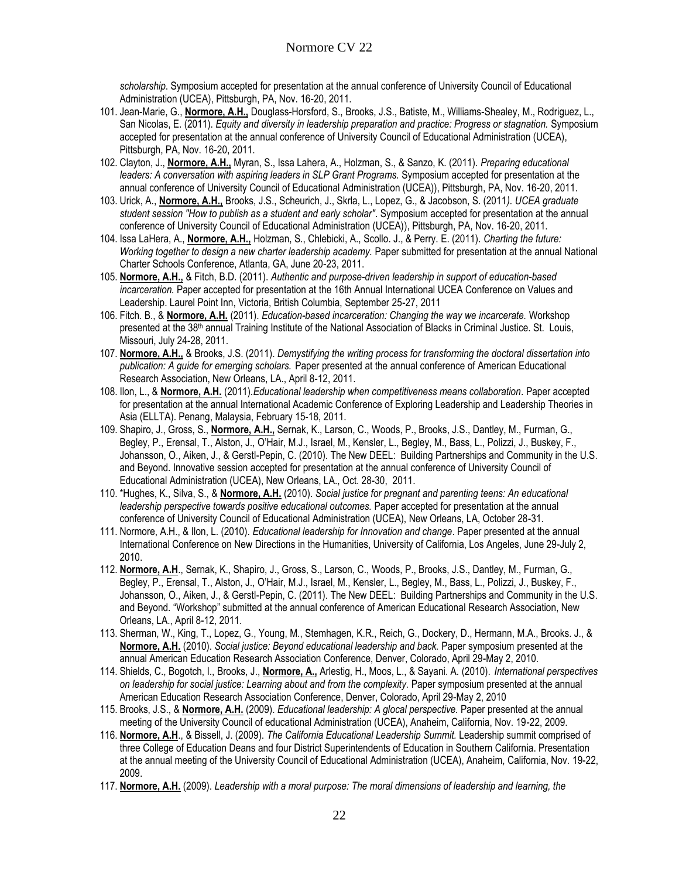*scholarship*. Symposium accepted for presentation at the annual conference of University Council of Educational Administration (UCEA), Pittsburgh, PA, Nov. 16-20, 2011.

- 101. Jean-Marie, G., **Normore, A.H.,** Douglass-Horsford, S., Brooks, J.S., Batiste, M., Williams-Shealey, M., Rodriguez, L., San Nicolas, E. (2011). *Equity and diversity in leadership preparation and practice: Progress or stagnation.* Symposium accepted for presentation at the annual conference of University Council of Educational Administration (UCEA), Pittsburgh, PA, Nov. 16-20, 2011.
- 102. Clayton, J., **Normore, A.H.,** Myran, S., Issa Lahera, A., Holzman, S., & Sanzo, K. (2011). *Preparing educational leaders: A conversation with aspiring leaders in SLP Grant Programs.* Symposium accepted for presentation at the annual conference of University Council of Educational Administration (UCEA)), Pittsburgh, PA, Nov. 16-20, 2011.
- 103. Urick, A., **Normore, A.H.,** Brooks, J.S., Scheurich, J., Skrla, L., Lopez, G., & Jacobson, S. (2011*). UCEA graduate student session "How to publish as a student and early scholar"*. Symposium accepted for presentation at the annual conference of University Council of Educational Administration (UCEA)), Pittsburgh, PA, Nov. 16-20, 2011.
- 104. Issa LaHera, A., **Normore, A.H.,** Holzman, S., Chlebicki, A., Scollo. J., & Perry. E. (2011). *Charting the future: Working together to design a new charter leadership academy.* Paper submitted for presentation at the annual National Charter Schools Conference, Atlanta, GA, June 20-23, 2011.
- 105. **Normore, A.H.,** & Fitch, B.D. (2011). *Authentic and purpose-driven leadership in support of education-based incarceration.* Paper accepted for presentation at the 16th Annual International UCEA Conference on Values and Leadership. Laurel Point Inn, Victoria, British Columbia, September 25-27, 2011
- 106. Fitch. B., & **Normore, A.H.** (2011). *Education-based incarceration: Changing the way we incarcerate.* Workshop presented at the 38<sup>th</sup> annual Training Institute of the National Association of Blacks in Criminal Justice. St. Louis, Missouri, July 24-28, 2011.
- 107. **Normore, A.H.,** & Brooks, J.S. (2011). *Demystifying the writing process for transforming the doctoral dissertation into publication: A guide for emerging scholars.* Paper presented at the annual conference of American Educational Research Association, New Orleans, LA., April 8-12, 2011.
- 108. Ilon, L., & **Normore, A.H.** (2011).*Educational leadership when competitiveness means collaboration*. Paper accepted for presentation at the annual International Academic Conference of Exploring Leadership and Leadership Theories in Asia (ELLTA). Penang, Malaysia, February 15-18, 2011.
- 109. Shapiro, J., Gross, S., **Normore, A.H.,** Sernak, K., Larson, C., Woods, P., Brooks, J.S., Dantley, M., Furman, G., Begley, P., Erensal, T., Alston, J., O'Hair, M.J., Israel, M., Kensler, L., Begley, M., Bass, L., Polizzi, J., Buskey, F., Johansson, O., Aiken, J., & Gerstl-Pepin, C. (2010). The New DEEL: Building Partnerships and Community in the U.S. and Beyond. Innovative session accepted for presentation at the annual conference of University Council of Educational Administration (UCEA), New Orleans, LA., Oct. 28-30, 2011.
- 110. \*Hughes, K., Silva, S., & **Normore, A.H.** (2010). *Social justice for pregnant and parenting teens: An educational leadership perspective towards positive educational outcomes.* Paper accepted for presentation at the annual conference of University Council of Educational Administration (UCEA), New Orleans, LA, October 28-31.
- 111. Normore, A.H., & Ilon, L. (2010). *Educational leadership for Innovation and change*. Paper presented at the annual International Conference on New Directions in the Humanities, University of California, Los Angeles, June 29-July 2, 2010.
- 112. **Normore, A.H**., Sernak, K., Shapiro, J., Gross, S., Larson, C., Woods, P., Brooks, J.S., Dantley, M., Furman, G., Begley, P., Erensal, T., Alston, J., O'Hair, M.J., Israel, M., Kensler, L., Begley, M., Bass, L., Polizzi, J., Buskey, F., Johansson, O., Aiken, J., & Gerstl-Pepin, C. (2011). The New DEEL: Building Partnerships and Community in the U.S. and Beyond. "Workshop" submitted at the annual conference of American Educational Research Association, New Orleans, LA., April 8-12, 2011.
- 113. Sherman, W., King, T., Lopez, G., Young, M., Stemhagen, K.R., Reich, G., Dockery, D., Hermann, M.A., Brooks. J., & **Normore, A.H.** (2010). *Social justice: Beyond educational leadership and back.* Paper symposium presented at the annual American Education Research Association Conference, Denver, Colorado, April 29-May 2, 2010.
- 114. Shields, C., Bogotch, I., Brooks, J., **Normore, A.,** Arlestig, H., Moos, L., & Sayani. A. (2010). *International perspectives on leadership for social justice: Learning about and from the complexity. Paper symposium presented at the annual* American Education Research Association Conference, Denver, Colorado, April 29-May 2, 2010
- 115. Brooks, J.S., & **Normore, A.H.** (2009). *Educational leadership: A glocal perspective.* Paper presented at the annual meeting of the University Council of educational Administration (UCEA), Anaheim, California, Nov. 19-22, 2009.
- 116. **Normore, A.H**., & Bissell, J. (2009). *The California Educational Leadership Summit.* Leadership summit comprised of three College of Education Deans and four District Superintendents of Education in Southern California. Presentation at the annual meeting of the University Council of Educational Administration (UCEA), Anaheim, California, Nov. 19-22, 2009.
- 117. **Normore, A.H.** (2009). *Leadership with a moral purpose: The moral dimensions of leadership and learning, the*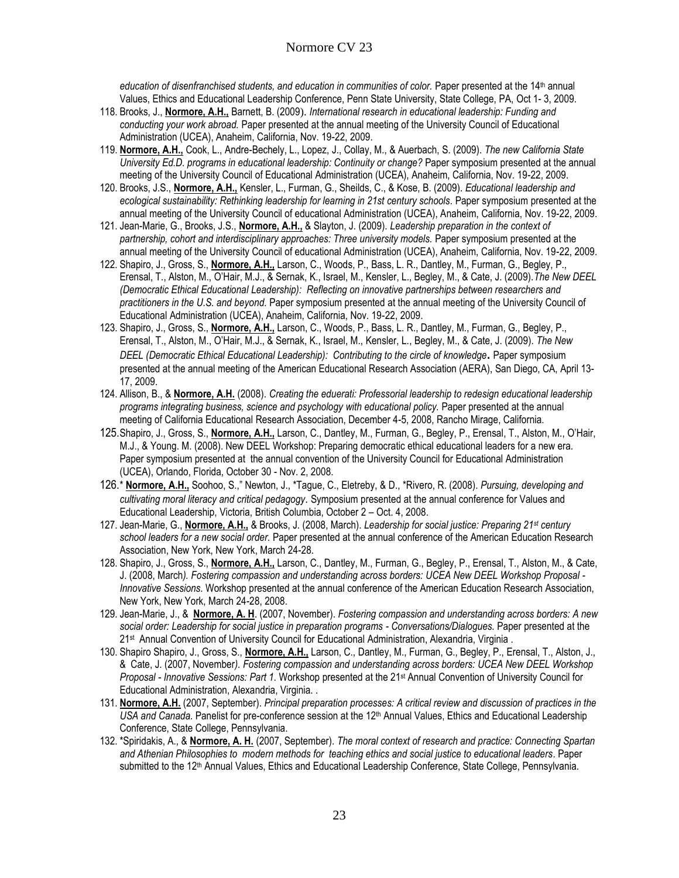education of disenfranchised students, and education in communities of color. Paper presented at the 14<sup>th</sup> annual Values, Ethics and Educational Leadership Conference, Penn State University, State College, PA, Oct 1- 3, 2009.

- 118. Brooks, J., **Normore, A.H.,** Barnett, B. (2009). *International research in educational leadership: Funding and conducting your work abroad.* Paper presented at the annual meeting of the University Council of Educational Administration (UCEA), Anaheim, California, Nov. 19-22, 2009.
- 119. **Normore, A.H.,** Cook, L., Andre-Bechely, L., Lopez, J., Collay, M., & Auerbach, S. (2009). *The new California State University Ed.D. programs in educational leadership: Continuity or change?* Paper symposium presented at the annual meeting of the University Council of Educational Administration (UCEA), Anaheim, California, Nov. 19-22, 2009.
- 120. Brooks, J.S., **Normore, A.H.,** Kensler, L., Furman, G., Sheilds, C., & Kose, B. (2009). *Educational leadership and*  ecological sustainability: Rethinking leadership for learning in 21st century schools. Paper symposium presented at the annual meeting of the University Council of educational Administration (UCEA), Anaheim, California, Nov. 19-22, 2009.
- 121. Jean-Marie, G., Brooks, J.S., **Normore, A.H.,** & Slayton, J. (2009). *Leadership preparation in the context of partnership, cohort and interdisciplinary approaches: Three university models.* Paper symposium presented at the annual meeting of the University Council of educational Administration (UCEA), Anaheim, California, Nov. 19-22, 2009.
- 122. Shapiro, J., Gross, S., **Normore, A.H.,** Larson, C., Woods, P., Bass, L. R., Dantley, M., Furman, G., Begley, P., Erensal, T., Alston, M., O'Hair, M.J., & Sernak, K., Israel, M., Kensler, L., Begley, M., & Cate, J. (2009).*The New DEEL (Democratic Ethical Educational Leadership): Reflecting on innovative partnerships between researchers and practitioners in the U.S. and beyond.* Paper symposium presented at the annual meeting of the University Council of Educational Administration (UCEA), Anaheim, California, Nov. 19-22, 2009.
- 123. Shapiro, J., Gross, S., **Normore, A.H.,** Larson, C., Woods, P., Bass, L. R., Dantley, M., Furman, G., Begley, P., Erensal, T., Alston, M., O'Hair, M.J., & Sernak, K., Israel, M., Kensler, L., Begley, M., & Cate, J. (2009). *The New DEEL (Democratic Ethical Educational Leadership): Contributing to the circle of knowledge***.** Paper symposium presented at the annual meeting of the American Educational Research Association (AERA), San Diego, CA, April 13- 17, 2009.
- 124. Allison, B., & **Normore, A.H.** (2008). *Creating the eduerati: Professorial leadership to redesign educational leadership programs integrating business, science and psychology with educational policy.* Paper presented at the annual meeting of California Educational Research Association, December 4-5, 2008, Rancho Mirage, California.
- 125.Shapiro, J., Gross, S., **Normore, A.H.,** Larson, C., Dantley, M., Furman, G., Begley, P., Erensal, T., Alston, M., O'Hair, M.J., & Young. M. (2008). New DEEL Workshop: Preparing democratic ethical educational leaders for a new era. Paper symposium presented at the annual convention of the University Council for Educational Administration (UCEA), Orlando, Florida, October 30 - Nov. 2, 2008.
- 126.\* **Normore, A.H.,** Soohoo, S.," Newton, J., \*Tague, C., Eletreby, & D., \*Rivero, R. (2008). *Pursuing, developing and cultivating moral literacy and critical pedagogy*. Symposium presented at the annual conference for Values and Educational Leadership, Victoria, British Columbia, October 2 – Oct. 4, 2008.
- 127. Jean-Marie, G., **Normore, A.H.,** & Brooks, J. (2008, March). *Leadership for social justice: Preparing 21st century school leaders for a new social order.* Paper presented at the annual conference of the American Education Research Association, New York, New York, March 24-28.
- 128. Shapiro, J., Gross, S., **Normore, A.H.,** Larson, C., Dantley, M., Furman, G., Begley, P., Erensal, T., Alston, M., & Cate, J. (2008, March*). Fostering compassion and understanding across borders: UCEA New DEEL Workshop Proposal - Innovative Sessions.* Workshop presented at the annual conference of the American Education Research Association, New York, New York, March 24-28, 2008.
- 129. Jean-Marie, J., & **Normore, A. H**. (2007, November). *Fostering compassion and understanding across borders: A new social order: Leadership for social justice in preparation programs - Conversations/Dialogues.* Paper presented at the 21st Annual Convention of University Council for Educational Administration, Alexandria, Virginia .
- 130. Shapiro Shapiro, J., Gross, S., **Normore, A.H.,** Larson, C., Dantley, M., Furman, G., Begley, P., Erensal, T., Alston, J., & Cate, J. (2007, November*). Fostering compassion and understanding across borders: UCEA New DEEL Workshop Proposal - Innovative Sessions: Part 1.* Workshop presented at the 21st Annual Convention of University Council for Educational Administration, Alexandria, Virginia. .
- 131. **Normore, A.H.** (2007, September). *Principal preparation processes: A critical review and discussion of practices in the USA and Canada.* Panelist for pre-conference session at the 12th Annual Values, Ethics and Educational Leadership Conference, State College, Pennsylvania.
- 132. \*Spiridakis, A., & **Normore, A. H.** (2007, September). *The moral context of research and practice: Connecting Spartan and Athenian Philosophies to modern methods for teaching ethics and social justice to educational leaders*. Paper submitted to the 12<sup>th</sup> Annual Values, Ethics and Educational Leadership Conference, State College, Pennsylvania.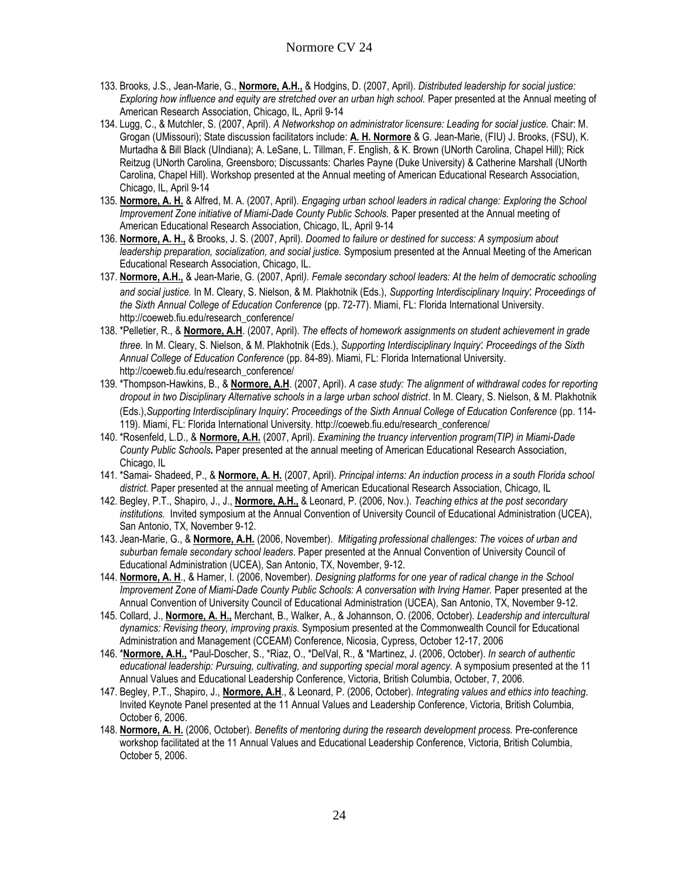- 133. Brooks, J.S., Jean-Marie, G., **Normore, A.H.,** & Hodgins, D. (2007, April). *Distributed leadership for social justice: Exploring how influence and equity are stretched over an urban high school. Paper presented at the Annual meeting of* American Research Association, Chicago, IL, April 9-14
- 134. Lugg, C., & Mutchler, S. (2007, April). *A Networkshop on administrator licensure: Leading for social justice.* Chair: M. Grogan (UMissouri); State discussion facilitators include: **A. H. Normore** & G. Jean-Marie, (FIU) J. Brooks, (FSU), K. Murtadha & Bill Black (UIndiana); A. LeSane, L. Tillman, F. English, & K. Brown (UNorth Carolina, Chapel Hill); Rick Reitzug (UNorth Carolina, Greensboro; Discussants: Charles Payne (Duke University) & Catherine Marshall (UNorth Carolina, Chapel Hill). Workshop presented at the Annual meeting of American Educational Research Association, Chicago, IL, April 9-14
- 135. **Normore, A. H.** & Alfred, M. A. (2007, April). *Engaging urban school leaders in radical change: Exploring the School Improvement Zone initiative of Miami-Dade County Public Schools.* Paper presented at the Annual meeting of American Educational Research Association, Chicago, IL, April 9-14
- 136. **Normore, A. H.,** & Brooks, J. S. (2007, April). *Doomed to failure or destined for success: A symposium about leadership preparation, socialization, and social justice.* Symposium presented at the Annual Meeting of the American Educational Research Association, Chicago, IL.
- 137. **Normore, A.H.,** & Jean-Marie, G. (2007, April*). Female secondary school leaders: At the helm of democratic schooling and social justice.* In M. Cleary, S. Nielson, & M. Plakhotnik (Eds.), *Supporting Interdisciplinary Inquiry*: *Proceedings of the Sixth Annual College of Education Conference* (pp. 72-77). Miami, FL: Florida International University. http://coeweb.fiu.edu/research\_conference/
- 138. \*Pelletier, R., & **Normore, A.H**. (2007, April). *The effects of homework assignments on student achievement in grade three.* In M. Cleary, S. Nielson, & M. Plakhotnik (Eds.), *Supporting Interdisciplinary Inquiry*: *Proceedings of the Sixth Annual College of Education Conference* (pp. 84-89). Miami, FL: Florida International University. http://coeweb.fiu.edu/research\_conference/
- 139. \*Thompson-Hawkins, B., & **Normore, A.H**. (2007, April). *A case study: The alignment of withdrawal codes for reporting dropout in two Disciplinary Alternative schools in a large urban school district*. In M. Cleary, S. Nielson, & M. Plakhotnik (Eds.),*Supporting Interdisciplinary Inquiry*: *Proceedings of the Sixth Annual College of Education Conference* (pp. 114- 119). Miami, FL: Florida International University. http://coeweb.fiu.edu/research\_conference/
- 140. \*Rosenfeld, L.D., & **Normore, A.H.** (2007, April). *Examining the truancy intervention program(TIP) in Miami-Dade County Public Schools.* Paper presented at the annual meeting of American Educational Research Association, Chicago, IL
- 141. \*Samai- Shadeed, P., & **Normore, A. H.** (2007, April). *Principal interns: An induction process in a south Florida school district.* Paper presented at the annual meeting of American Educational Research Association, Chicago, IL
- 142. Begley, P.T., Shapiro, J., J., **Normore, A.H.,** & Leonard, P. (2006, Nov.). *Teaching ethics at the post secondary institutions.* Invited symposium at the Annual Convention of University Council of Educational Administration (UCEA), San Antonio, TX, November 9-12.
- 143. Jean-Marie, G., & **Normore, A.H.** (2006, November).*Mitigating professional challenges: The voices of urban and suburban female secondary school leaders*. Paper presented at the Annual Convention of University Council of Educational Administration (UCEA), San Antonio, TX, November, 9-12.
- 144. **Normore, A. H**., & Hamer, I. (2006, November). *Designing platforms for one year of radical change in the School Improvement Zone of Miami-Dade County Public Schools: A conversation with Irving Hamer.* Paper presented at the Annual Convention of University Council of Educational Administration (UCEA), San Antonio, TX, November 9-12.
- 145. Collard, J., **Normore, A. H.,** Merchant, B., Walker, A., & Johannson, O. (2006, October). *Leadership and intercultural dynamics: Revising theory, improving praxis.* Symposium presented at the Commonwealth Council for Educational Administration and Management (CCEAM) Conference, Nicosia, Cypress, October 12-17, 2006
- 146. \***Normore, A.H.,** \*Paul-Doscher, S., \*Riaz, O., \*DelVal, R., & \*Martinez, J. (2006, October). *In search of authentic educational leadership: Pursuing, cultivating, and supporting special moral agency.* A symposium presented at the 11 Annual Values and Educational Leadership Conference, Victoria, British Columbia, October, 7, 2006.
- 147. Begley, P.T., Shapiro, J., **Normore, A.H**., & Leonard, P. (2006, October). *Integrating values and ethics into teaching*. Invited Keynote Panel presented at the 11 Annual Values and Leadership Conference, Victoria, British Columbia, October 6, 2006.
- 148. **Normore, A. H.** (2006, October). *Benefits of mentoring during the research development process.* Pre-conference workshop facilitated at the 11 Annual Values and Educational Leadership Conference, Victoria, British Columbia, October 5, 2006.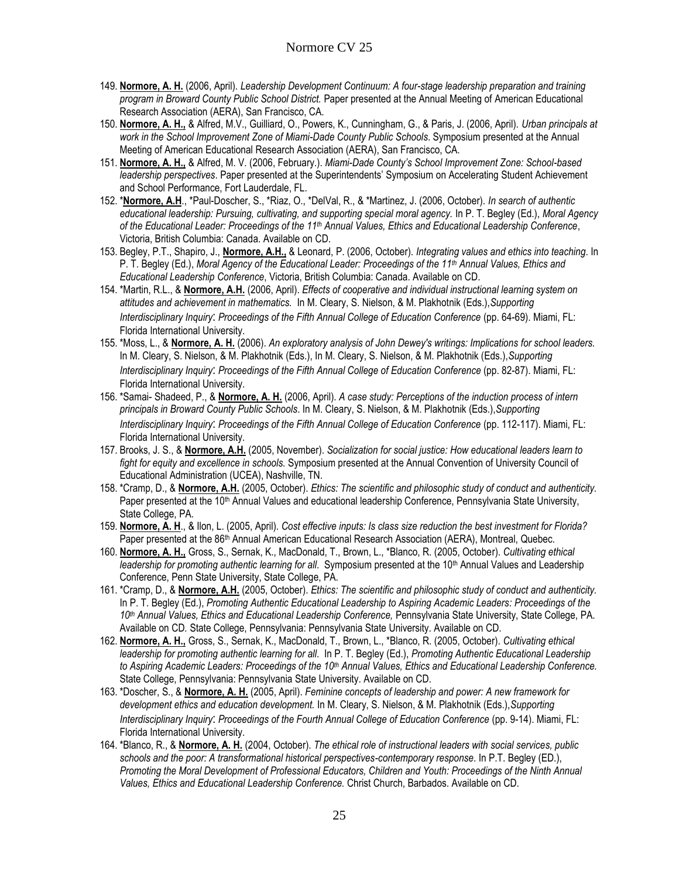- 149. **Normore, A. H.** (2006, April). *Leadership Development Continuum: A four-stage leadership preparation and training program in Broward County Public School District.* Paper presented at the Annual Meeting of American Educational Research Association (AERA), San Francisco, CA.
- 150. **Normore, A. H.,** & Alfred, M.V., Guilliard, O., Powers, K., Cunningham, G., & Paris, J. (2006, April). *Urban principals at work in the School Improvement Zone of Miami-Dade County Public Schools*. Symposium presented at the Annual Meeting of American Educational Research Association (AERA), San Francisco, CA.
- 151. **Normore, A. H.,** & Alfred, M. V. (2006, February.). *Miami-Dade County's School Improvement Zone: School-based leadership perspectives*. Paper presented at the Superintendents' Symposium on Accelerating Student Achievement and School Performance, Fort Lauderdale, FL.
- 152. \***Normore, A.H**., \*Paul-Doscher, S., \*Riaz, O., \*DelVal, R., & \*Martinez, J. (2006, October). *In search of authentic educational leadership: Pursuing, cultivating, and supporting special moral agency.* In P. T. Begley (Ed.), *Moral Agency of the Educational Leader: Proceedings of the 11th Annual Values, Ethics and Educational Leadership Conference*, Victoria, British Columbia: Canada. Available on CD.
- 153. Begley, P.T., Shapiro, J., **Normore, A.H.,** & Leonard, P. (2006, October). *Integrating values and ethics into teaching*. In P. T. Begley (Ed.), *Moral Agency of the Educational Leader: Proceedings of the 11th Annual Values, Ethics and Educational Leadership Conference*, Victoria, British Columbia: Canada. Available on CD.
- 154. \*Martin, R.L., & **Normore, A.H.** (2006, April). *Effects of cooperative and individual instructional learning system on attitudes and achievement in mathematics.* In M. Cleary, S. Nielson, & M. Plakhotnik (Eds.),*Supporting Interdisciplinary Inquiry*: *Proceedings of the Fifth Annual College of Education Conference* (pp. 64-69). Miami, FL: Florida International University.
- 155. \*Moss, L., & **Normore, A. H.** (2006). *An exploratory analysis of John Dewey's writings: Implications for school leaders.* In M. Cleary, S. Nielson, & M. Plakhotnik (Eds.), In M. Cleary, S. Nielson, & M. Plakhotnik (Eds.),*Supporting Interdisciplinary Inquiry*: *Proceedings of the Fifth Annual College of Education Conference* (pp. 82-87). Miami, FL: Florida International University.
- 156. \*Samai- Shadeed, P., & **Normore, A. H.** (2006, April). *A case study: Perceptions of the induction process of intern principals in Broward County Public Schools*. In M. Cleary, S. Nielson, & M. Plakhotnik (Eds.),*Supporting Interdisciplinary Inquiry*: *Proceedings of the Fifth Annual College of Education Conference* (pp. 112-117). Miami, FL: Florida International University.
- 157. Brooks, J. S., & **Normore, A.H.** (2005, November). *Socialization for social justice: How educational leaders learn to fight for equity and excellence in schools.* Symposium presented at the Annual Convention of University Council of Educational Administration (UCEA), Nashville, TN.
- 158. \*Cramp, D., & **Normore, A.H.** (2005, October). *Ethics: The scientific and philosophic study of conduct and authenticity.* Paper presented at the 10<sup>th</sup> Annual Values and educational leadership Conference, Pennsylvania State University, State College, PA.
- 159. **Normore, A. H**., & Ilon, L. (2005, April). *Cost effective inputs: Is class size reduction the best investment for Florida?* Paper presented at the 86<sup>th</sup> Annual American Educational Research Association (AERA), Montreal, Quebec.
- 160. **Normore, A. H.,** Gross, S., Sernak, K., MacDonald, T., Brown, L., \*Blanco, R. (2005, October). *Cultivating ethical*  leadership for promoting authentic learning for all. Symposium presented at the 10<sup>th</sup> Annual Values and Leadership Conference, Penn State University, State College, PA.
- 161. \*Cramp, D., & **Normore, A.H.** (2005, October). *Ethics: The scientific and philosophic study of conduct and authenticity.* In P. T. Begley (Ed.), *Promoting Authentic Educational Leadership to Aspiring Academic Leaders: Proceedings of the 10th Annual Values, Ethics and Educational Leadership Conference,* Pennsylvania State University, State College, PA. Available on CD*.* State College, Pennsylvania: Pennsylvania State University. Available on CD.
- 162. **Normore, A. H.,** Gross, S., Sernak, K., MacDonald, T., Brown, L., \*Blanco, R. (2005, October). *Cultivating ethical leadership for promoting authentic learning for all*. In P. T. Begley (Ed.), *Promoting Authentic Educational Leadership to Aspiring Academic Leaders: Proceedings of the 10th Annual Values, Ethics and Educational Leadership Conference.*  State College, Pennsylvania: Pennsylvania State University. Available on CD.
- 163. \*Doscher, S., & **Normore, A. H.** (2005, April). *Feminine concepts of leadership and power: A new framework for development ethics and education development.* In M. Cleary, S. Nielson, & M. Plakhotnik (Eds.),*Supporting Interdisciplinary Inquiry*: *Proceedings of the Fourth Annual College of Education Conference* (pp. 9-14). Miami, FL: Florida International University.
- 164. \*Blanco, R., & **Normore, A. H.** (2004, October). *The ethical role of instructional leaders with social services, public schools and the poor: A transformational historical perspectives-contemporary response*. In P.T. Begley (ED.), *Promoting the Moral Development of Professional Educators, Children and Youth: Proceedings of the Ninth Annual Values, Ethics and Educational Leadership Conference.* Christ Church, Barbados. Available on CD.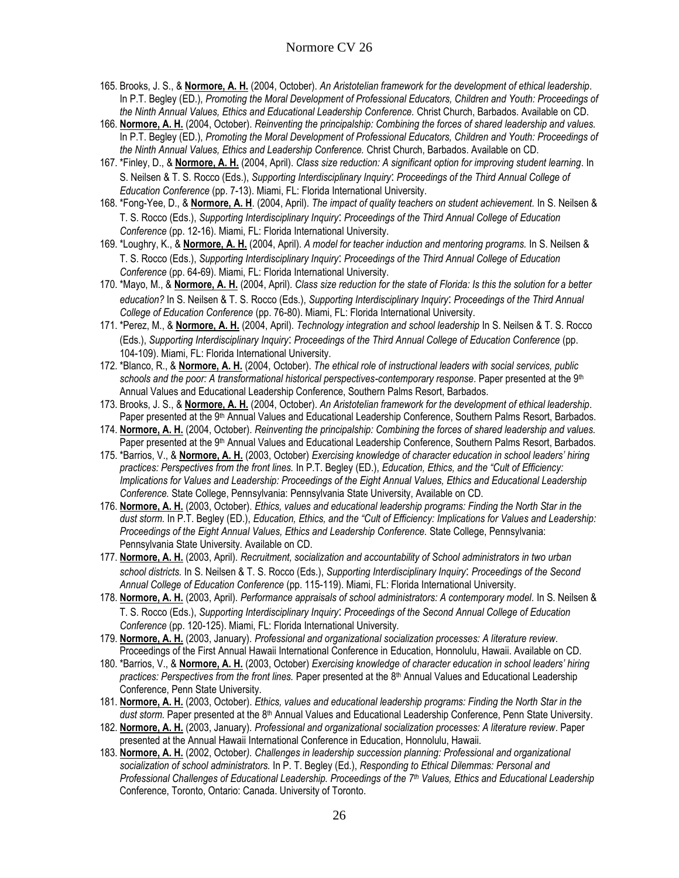- 165. Brooks, J. S., & **Normore, A. H.** (2004, October). *An Aristotelian framework for the development of ethical leadership*. In P.T. Begley (ED.), *Promoting the Moral Development of Professional Educators, Children and Youth: Proceedings of the Ninth Annual Values, Ethics and Educational Leadership Conference.* Christ Church, Barbados. Available on CD.
- 166. **Normore, A. H.** (2004, October). *Reinventing the principalship: Combining the forces of shared leadership and values.*  In P.T. Begley (ED.), *Promoting the Moral Development of Professional Educators, Children and Youth: Proceedings of the Ninth Annual Values, Ethics and Leadership Conference.* Christ Church, Barbados. Available on CD.
- 167. \*Finley, D., & **Normore, A. H.** (2004, April). *Class size reduction: A significant option for improving student learning*. In S. Neilsen & T. S. Rocco (Eds.), *Supporting Interdisciplinary Inquiry*: *Proceedings of the Third Annual College of Education Conference* (pp. 7-13). Miami, FL: Florida International University.
- 168. \*Fong-Yee, D., & **Normore, A. H**. (2004, April). *The impact of quality teachers on student achievement.* In S. Neilsen & T. S. Rocco (Eds.), *Supporting Interdisciplinary Inquiry*: *Proceedings of the Third Annual College of Education Conference* (pp. 12-16). Miami, FL: Florida International University.
- 169. \*Loughry, K., & **Normore, A. H.** (2004, April). *A model for teacher induction and mentoring programs.* In S. Neilsen & T. S. Rocco (Eds.), *Supporting Interdisciplinary Inquiry*: *Proceedings of the Third Annual College of Education Conference* (pp. 64-69). Miami, FL: Florida International University.
- 170. \*Mayo, M., & **Normore, A. H.** (2004, April). *Class size reduction for the state of Florida: Is this the solution for a better education?* In S. Neilsen & T. S. Rocco (Eds.), *Supporting Interdisciplinary Inquiry*: *Proceedings of the Third Annual College of Education Conference* (pp. 76-80). Miami, FL: Florida International University.
- 171. \*Perez, M., & **Normore, A. H.** (2004, April). *Technology integration and school leadership* In S. Neilsen & T. S. Rocco (Eds.), *Supporting Interdisciplinary Inquiry*: *Proceedings of the Third Annual College of Education Conference* (pp. 104-109). Miami, FL: Florida International University.
- 172. \*Blanco, R., & **Normore, A. H.** (2004, October). *The ethical role of instructional leaders with social services, public schools and the poor: A transformational historical perspectives-contemporary response*. Paper presented at the 9th Annual Values and Educational Leadership Conference, Southern Palms Resort, Barbados.
- 173. Brooks, J. S., & **Normore, A. H.** (2004, October). *An Aristotelian framework for the development of ethical leadership*. Paper presented at the 9<sup>th</sup> Annual Values and Educational Leadership Conference, Southern Palms Resort, Barbados.
- 174. **Normore, A. H.** (2004, October). *Reinventing the principalship: Combining the forces of shared leadership and values.*  Paper presented at the 9<sup>th</sup> Annual Values and Educational Leadership Conference, Southern Palms Resort, Barbados.
- 175. \*Barrios, V., & **Normore, A. H.** (2003, October) *Exercising knowledge of character education in school leaders' hiring practices: Perspectives from the front lines.* In P.T. Begley (ED.), *Education, Ethics, and the "Cult of Efficiency: Implications for Values and Leadership: Proceedings of the Eight Annual Values, Ethics and Educational Leadership Conference.* State College, Pennsylvania: Pennsylvania State University, Available on CD.
- 176. **Normore, A. H.** (2003, October). *Ethics, values and educational leadership programs: Finding the North Star in the dust storm.* In P.T. Begley (ED.), *Education, Ethics, and the "Cult of Efficiency: Implications for Values and Leadership: Proceedings of the Eight Annual Values, Ethics and Leadership Conference.* State College, Pennsylvania: Pennsylvania State University. Available on CD.
- 177. **Normore, A. H.** (2003, April). *Recruitment, socialization and accountability of School administrators in two urban school districts.* In S. Neilsen & T. S. Rocco (Eds.), *Supporting Interdisciplinary Inquiry*: *Proceedings of the Second Annual College of Education Conference* (pp. 115-119). Miami, FL: Florida International University.
- 178. **Normore, A. H.** (2003, April). *Performance appraisals of school administrators: A contemporary model.* In S. Neilsen & T. S. Rocco (Eds.), *Supporting Interdisciplinary Inquiry*: *Proceedings of the Second Annual College of Education Conference* (pp. 120-125). Miami, FL: Florida International University.
- 179. **Normore, A. H.** (2003, January). *Professional and organizational socialization processes: A literature review*. Proceedings of the First Annual Hawaii International Conference in Education, Honnolulu, Hawaii. Available on CD.
- 180. \*Barrios, V., & **Normore, A. H.** (2003, October) *Exercising knowledge of character education in school leaders' hiring practices: Perspectives from the front lines.* Paper presented at the 8th Annual Values and Educational Leadership Conference, Penn State University.
- 181. **Normore, A. H.** (2003, October). *Ethics, values and educational leadership programs: Finding the North Star in the*  dust storm. Paper presented at the 8<sup>th</sup> Annual Values and Educational Leadership Conference, Penn State University.
- 182. **Normore, A. H.** (2003, January). *Professional and organizational socialization processes: A literature review*. Paper presented at the Annual Hawaii International Conference in Education, Honnolulu, Hawaii.
- 183. **Normore, A. H.** (2002, October*). Challenges in leadership succession planning: Professional and organizational socialization of school administrators.* In P. T. Begley (Ed.), *Responding to Ethical Dilemmas: Personal and Professional Challenges of Educational Leadership. Proceedings of the 7th Values, Ethics and Educational Leadership* Conference, Toronto, Ontario: Canada. University of Toronto.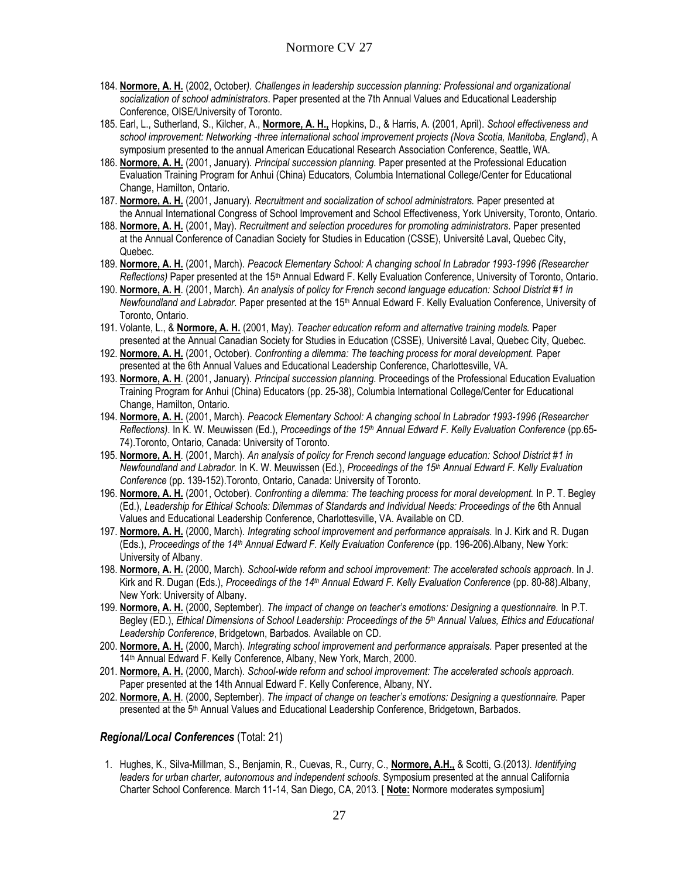- 184. **Normore, A. H.** (2002, October*). Challenges in leadership succession planning: Professional and organizational socialization of school administrators*. Paper presented at the 7th Annual Values and Educational Leadership Conference, OISE/University of Toronto.
- 185. Earl, L., Sutherland, S., Kilcher, A., **Normore, A. H.,** Hopkins, D., & Harris, A. (2001, April). *School effectiveness and school improvement: Networking -three international school improvement projects (Nova Scotia, Manitoba, England)*, A symposium presented to the annual American Educational Research Association Conference, Seattle, WA.
- 186. **Normore, A. H.** (2001, January). *Principal succession planning.* Paper presented at the Professional Education Evaluation Training Program for Anhui (China) Educators, Columbia International College/Center for Educational Change, Hamilton, Ontario.
- 187. **Normore, A. H.** (2001, January). *Recruitment and socialization of school administrators.* Paper presented at the Annual International Congress of School Improvement and School Effectiveness, York University, Toronto, Ontario.
- 188. **Normore, A. H.** (2001, May). *Recruitment and selection procedures for promoting administrators.* Paper presented at the Annual Conference of Canadian Society for Studies in Education (CSSE), Université Laval, Quebec City, Quebec.
- 189. **Normore, A. H.** (2001, March). *Peacock Elementary School: A changing school In Labrador 1993-1996 (Researcher Reflections)* Paper presented at the 15th Annual Edward F. Kelly Evaluation Conference, University of Toronto, Ontario.
- 190. **Normore, A. H**. (2001, March). *An analysis of policy for French second language education: School District #1 in Newfoundland and Labrador.* Paper presented at the 15th Annual Edward F. Kelly Evaluation Conference, University of Toronto, Ontario.
- 191. Volante, L., & **Normore, A. H.** (2001, May). *Teacher education reform and alternative training models.* Paper presented at the Annual Canadian Society for Studies in Education (CSSE), Université Laval, Quebec City, Quebec.
- 192. **Normore, A. H.** (2001, October). *Confronting a dilemma: The teaching process for moral development.* Paper presented at the 6th Annual Values and Educational Leadership Conference, Charlottesville, VA.
- 193. **Normore, A. H**. (2001, January). *Principal succession planning.* Proceedings of the Professional Education Evaluation Training Program for Anhui (China) Educators (pp. 25-38), Columbia International College/Center for Educational Change, Hamilton, Ontario.
- 194. **Normore, A. H.** (2001, March). *Peacock Elementary School: A changing school In Labrador 1993-1996 (Researcher Reflections)*. In K. W. Meuwissen (Ed.), *Proceedings of the 15th Annual Edward F. Kelly Evaluation Conference* (pp.65- 74).Toronto, Ontario, Canada: University of Toronto.
- 195. **Normore, A. H**. (2001, March). *An analysis of policy for French second language education: School District #1 in Newfoundland and Labrador.* In K. W. Meuwissen (Ed.), *Proceedings of the 15th Annual Edward F. Kelly Evaluation Conference* (pp. 139-152).Toronto, Ontario, Canada: University of Toronto.
- 196. **Normore, A. H.** (2001, October). *Confronting a dilemma: The teaching process for moral development.* In P. T. Begley (Ed.), *Leadership for Ethical Schools: Dilemmas of Standards and Individual Needs: Proceedings of the* 6th Annual Values and Educational Leadership Conference, Charlottesville, VA. Available on CD.
- 197. **Normore, A. H.** (2000, March). *Integrating school improvement and performance appraisals.* In J. Kirk and R. Dugan (Eds.), *Proceedings of the 14th Annual Edward F. Kelly Evaluation Conference* (pp. 196-206).Albany, New York: University of Albany.
- 198. **Normore, A. H.** (2000, March). *School-wide reform and school improvement: The accelerated schools approach*. In J. Kirk and R. Dugan (Eds.), *Proceedings of the 14th Annual Edward F. Kelly Evaluation Conference* (pp. 80-88).Albany, New York: University of Albany.
- 199. **Normore, A. H.** (2000, September). *The impact of change on teacher's emotions: Designing a questionnaire.* In P.T. Begley (ED.), *Ethical Dimensions of School Leadership: Proceedings of the 5th Annual Values, Ethics and Educational Leadership Conference*, Bridgetown, Barbados. Available on CD.
- 200. **Normore, A. H.** (2000, March). *Integrating school improvement and performance appraisals.* Paper presented at the 14<sup>th</sup> Annual Edward F. Kelly Conference, Albany, New York, March, 2000.
- 201. **Normore, A. H.** (2000, March). *School-wide reform and school improvement: The accelerated schools approach*. Paper presented at the 14th Annual Edward F. Kelly Conference, Albany, NY.
- 202. **Normore, A. H**. (2000, September). *The impact of change on teacher's emotions: Designing a questionnaire.* Paper presented at the 5<sup>th</sup> Annual Values and Educational Leadership Conference, Bridgetown, Barbados.

#### *Regional/Local Conferences* (Total: 21)

1. Hughes, K., Silva-Millman, S., Benjamin, R., Cuevas, R., Curry, C., **Normore, A.H.,** & Scotti, G.(2013*). Identifying leaders for urban charter, autonomous and independent schools*. Symposium presented at the annual California Charter School Conference. March 11-14, San Diego, CA, 2013. [ **Note:** Normore moderates symposium]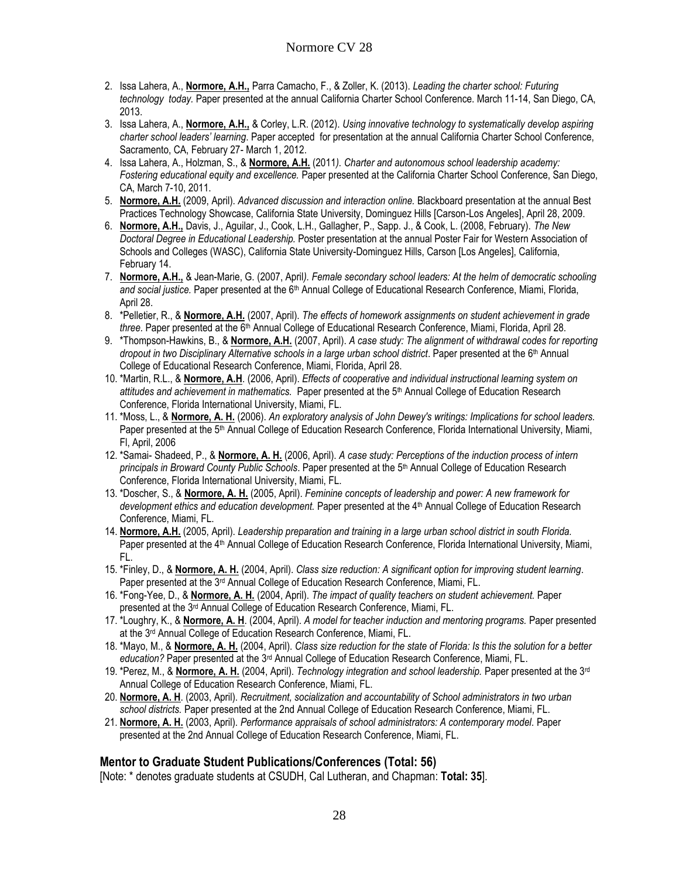- 2. Issa Lahera, A., **Normore, A.H.,** Parra Camacho, F., & Zoller, K. (2013). *Leading the charter school: Futuring technology today.* Paper presented at the annual California Charter School Conference. March 11-14, San Diego, CA, 2013.
- 3. Issa Lahera, A., **Normore, A.H.,** & Corley, L.R. (2012). *Using innovative technology to systematically develop aspiring charter school leaders' learning*. Paper accepted for presentation at the annual California Charter School Conference, Sacramento, CA, February 27- March 1, 2012.
- 4. Issa Lahera, A., Holzman, S., & **Normore, A.H.** (2011*). Charter and autonomous school leadership academy: Fostering educational equity and excellence.* Paper presented at the California Charter School Conference, San Diego, CA, March 7-10, 2011.
- 5. **Normore, A.H.** (2009, April). *Advanced discussion and interaction online.* Blackboard presentation at the annual Best Practices Technology Showcase, California State University, Dominguez Hills [Carson-Los Angeles], April 28, 2009.
- 6. **Normore, A.H.,** Davis, J., Aguilar, J., Cook, L.H., Gallagher, P., Sapp. J., & Cook, L. (2008, February). *The New Doctoral Degree in Educational Leadership.* Poster presentation at the annual Poster Fair for Western Association of Schools and Colleges (WASC), California State University-Dominguez Hills, Carson [Los Angeles], California, February 14.
- 7. **Normore, A.H.,** & Jean-Marie, G. (2007, April*). Female secondary school leaders: At the helm of democratic schooling and social justice.* Paper presented at the 6th Annual College of Educational Research Conference, Miami, Florida, April 28.
- 8. \*Pelletier, R., & **Normore, A.H.** (2007, April). *The effects of homework assignments on student achievement in grade three.* Paper presented at the 6<sup>th</sup> Annual College of Educational Research Conference, Miami, Florida, April 28.
- 9. \*Thompson-Hawkins, B., & **Normore, A.H.** (2007, April). *A case study: The alignment of withdrawal codes for reporting dropout in two Disciplinary Alternative schools in a large urban school district*. Paper presented at the 6<sup>th</sup> Annual College of Educational Research Conference, Miami, Florida, April 28.
- 10. \*Martin, R.L., & **Normore, A.H**. (2006, April). *Effects of cooperative and individual instructional learning system on attitudes and achievement in mathematics.* Paper presented at the 5th Annual College of Education Research Conference, Florida International University, Miami, FL.
- 11. \*Moss, L., & **Normore, A. H.** (2006). *An exploratory analysis of John Dewey's writings: Implications for school leaders.* Paper presented at the 5<sup>th</sup> Annual College of Education Research Conference, Florida International University, Miami, Fl, April, 2006
- 12. \*Samai- Shadeed, P., & **Normore, A. H.** (2006, April). *A case study: Perceptions of the induction process of intern principals in Broward County Public Schools*. Paper presented at the 5th Annual College of Education Research Conference, Florida International University, Miami, FL.
- 13. \*Doscher, S., & **Normore, A. H.** (2005, April). *Feminine concepts of leadership and power: A new framework for development ethics and education development.* Paper presented at the 4th Annual College of Education Research Conference, Miami, FL.
- 14. **Normore, A.H.** (2005, April). *Leadership preparation and training in a large urban school district in south Florida.*  Paper presented at the 4<sup>th</sup> Annual College of Education Research Conference, Florida International University, Miami, FL.
- 15. \*Finley, D., & **Normore, A. H.** (2004, April). *Class size reduction: A significant option for improving student learning*. Paper presented at the  $3<sup>rd</sup>$  Annual College of Education Research Conference, Miami, FL.
- 16. \*Fong-Yee, D., & **Normore, A. H.** (2004, April). *The impact of quality teachers on student achievement.* Paper presented at the 3rd Annual College of Education Research Conference, Miami, FL.
- 17. \*Loughry, K., & **Normore, A. H**. (2004, April). *A model for teacher induction and mentoring programs.* Paper presented at the 3rd Annual College of Education Research Conference, Miami, FL.
- 18. \*Mayo, M., & **Normore, A. H.** (2004, April). *Class size reduction for the state of Florida: Is this the solution for a better education?* Paper presented at the 3rd Annual College of Education Research Conference, Miami, FL.
- 19. \*Perez, M., & **Normore, A. H.** (2004, April). *Technology integration and school leadership.* Paper presented at the 3rd Annual College of Education Research Conference, Miami, FL.
- 20. **Normore, A. H**. (2003, April). *Recruitment, socialization and accountability of School administrators in two urban school districts.* Paper presented at the 2nd Annual College of Education Research Conference, Miami, FL.
- 21. **Normore, A. H.** (2003, April). *Performance appraisals of school administrators: A contemporary model.* Paper presented at the 2nd Annual College of Education Research Conference, Miami, FL.

#### **Mentor to Graduate Student Publications/Conferences (Total: 56)**

[Note: \* denotes graduate students at CSUDH, Cal Lutheran, and Chapman: **Total: 35**].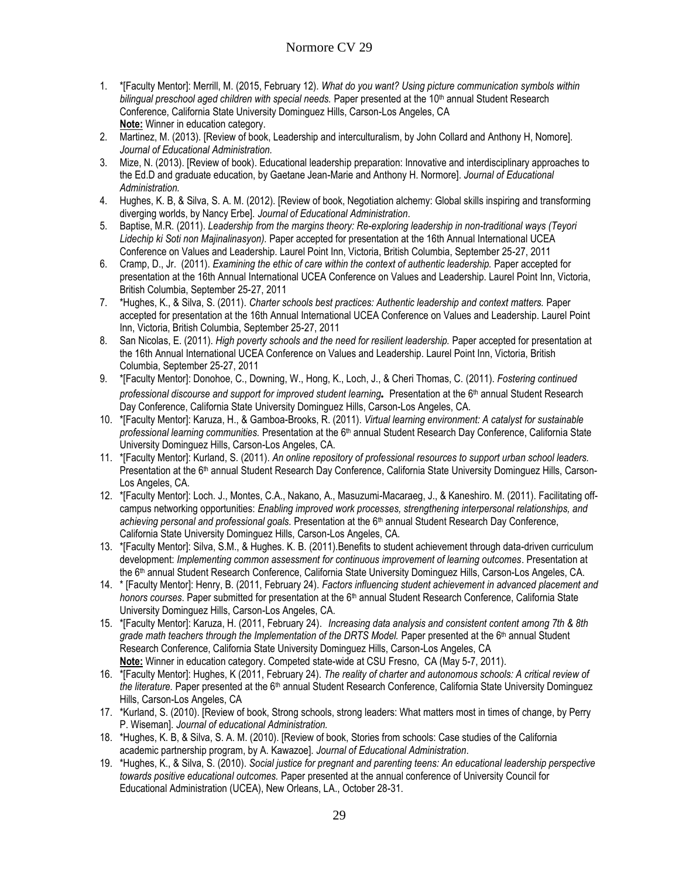- 1. \*[Faculty Mentor]: Merrill, M. (2015, February 12). *What do you want? Using picture communication symbols within*  bilingual preschool aged children with special needs. Paper presented at the 10<sup>th</sup> annual Student Research Conference, California State University Dominguez Hills, Carson-Los Angeles, CA **Note:** Winner in education category.
- 2. Martinez, M. (2013). [Review of book, Leadership and interculturalism, by John Collard and Anthony H, Nomore]. *Journal of Educational Administration.*
- 3. Mize, N. (2013). [Review of book). Educational leadership preparation: Innovative and interdisciplinary approaches to the Ed.D and graduate education, by Gaetane Jean-Marie and Anthony H. Normore]. *Journal of Educational Administration.*
- 4. Hughes, K. B, & Silva, S. A. M. (2012). [Review of book, Negotiation alchemy: Global skills inspiring and transforming diverging worlds, by Nancy Erbe]. *Journal of Educational Administration*.
- 5. Baptise, M.R. (2011). *Leadership from the margins theory: Re-exploring leadership in non-traditional ways (Teyori Lidechip ki Soti non Majinalinasyon).* Paper accepted for presentation at the 16th Annual International UCEA Conference on Values and Leadership. Laurel Point Inn, Victoria, British Columbia, September 25-27, 2011
- 6. Cramp, D., Jr. (2011). *Examining the ethic of care within the context of authentic leadership.* Paper accepted for presentation at the 16th Annual International UCEA Conference on Values and Leadership. Laurel Point Inn, Victoria, British Columbia, September 25-27, 2011
- 7. \*Hughes, K., & Silva, S. (2011). *Charter schools best practices: Authentic leadership and context matters.* Paper accepted for presentation at the 16th Annual International UCEA Conference on Values and Leadership. Laurel Point Inn, Victoria, British Columbia, September 25-27, 2011
- 8. San Nicolas, E. (2011). *High poverty schools and the need for resilient leadership.* Paper accepted for presentation at the 16th Annual International UCEA Conference on Values and Leadership. Laurel Point Inn, Victoria, British Columbia, September 25-27, 2011
- 9. \*[Faculty Mentor]: Donohoe, C., Downing, W., Hong, K., Loch, J., & Cheri Thomas, C. (2011). *Fostering continued professional discourse and support for improved student learning.* Presentation at the 6th annual Student Research Day Conference, California State University Dominguez Hills, Carson-Los Angeles, CA.
- 10. \*[Faculty Mentor]: Karuza, H., & Gamboa-Brooks, R. (2011). *Virtual learning environment: A catalyst for sustainable professional learning communities.* Presentation at the 6th annual Student Research Day Conference, California State University Dominguez Hills, Carson-Los Angeles, CA.
- 11. \*[Faculty Mentor]: Kurland, S. (2011). *An online repository of professional resources to support urban school leaders.* Presentation at the 6<sup>th</sup> annual Student Research Day Conference, California State University Dominguez Hills, Carson-Los Angeles, CA.
- 12. \*[Faculty Mentor]: Loch. J., Montes, C.A., Nakano, A., Masuzumi-Macaraeg, J., & Kaneshiro. M. (2011). Facilitating offcampus networking opportunities: *Enabling improved work processes, strengthening interpersonal relationships, and achieving personal and professional goals.* Presentation at the 6th annual Student Research Day Conference, California State University Dominguez Hills, Carson-Los Angeles, CA.
- 13. \*[Faculty Mentor]: Silva, S.M., & Hughes. K. B. (2011).Benefits to student achievement through data-driven curriculum development: *Implementing common assessment for continuous improvement of learning outcomes*. Presentation at the 6<sup>th</sup> annual Student Research Conference, California State University Dominguez Hills, Carson-Los Angeles, CA.
- 14. \* [Faculty Mentor]: Henry, B. (2011, February 24). *Factors influencing student achievement in advanced placement and honors courses*. Paper submitted for presentation at the 6th annual Student Research Conference, California State University Dominguez Hills, Carson-Los Angeles, CA.
- 15. \*[Faculty Mentor]: Karuza, H. (2011, February 24). *Increasing data analysis and consistent content among 7th & 8th grade math teachers through the Implementation of the DRTS Model.* Paper presented at the 6<sup>th</sup> annual Student Research Conference, California State University Dominguez Hills, Carson-Los Angeles, CA **Note:** Winner in education category. Competed state-wide at CSU Fresno, CA (May 5-7, 2011).
- 16. \*[Faculty Mentor]: Hughes, K (2011, February 24). *The reality of charter and autonomous schools: A critical review of*  the literature. Paper presented at the 6<sup>th</sup> annual Student Research Conference, California State University Dominguez Hills, Carson-Los Angeles, CA
- 17. \*Kurland, S. (2010). [Review of book, Strong schools, strong leaders: What matters most in times of change, by Perry P. Wiseman]. *Journal of educational Administration.*
- 18. \*Hughes, K. B, & Silva, S. A. M. (2010). [Review of book, Stories from schools: Case studies of the California academic partnership program, by A. Kawazoe]. *Journal of Educational Administration*.
- 19. \*Hughes, K., & Silva, S. (2010). *Social justice for pregnant and parenting teens: An educational leadership perspective towards positive educational outcomes.* Paper presented at the annual conference of University Council for Educational Administration (UCEA), New Orleans, LA., October 28-31.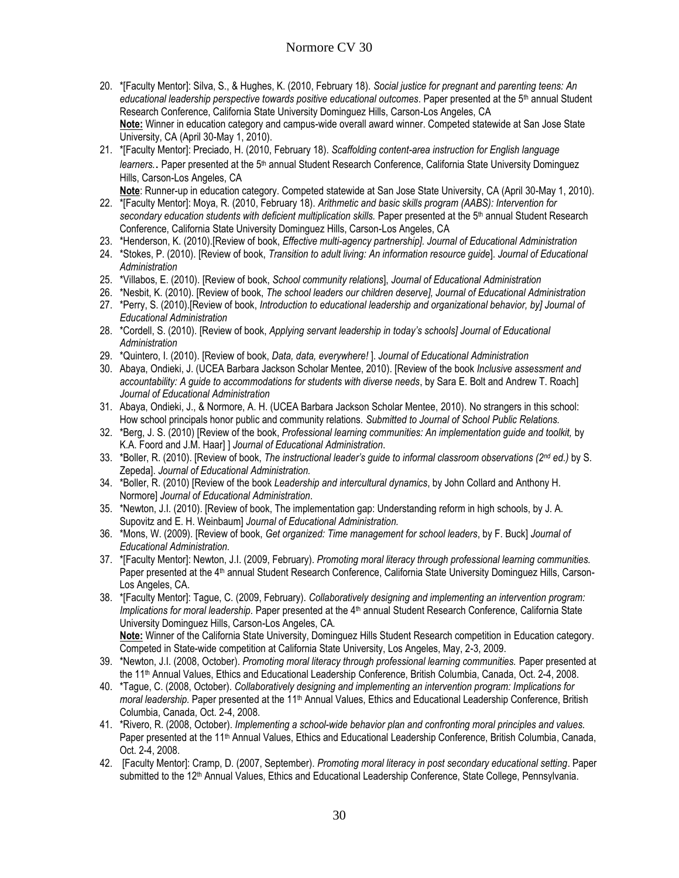- 20. \*[Faculty Mentor]: Silva, S., & Hughes, K. (2010, February 18). *Social justice for pregnant and parenting teens: An educational leadership perspective towards positive educational outcomes*. Paper presented at the 5th annual Student Research Conference, California State University Dominguez Hills, Carson-Los Angeles, CA **Note:** Winner in education category and campus-wide overall award winner. Competed statewide at San Jose State University, CA (April 30-May 1, 2010).
- 21. \*[Faculty Mentor]: Preciado, H. (2010, February 18). *Scaffolding content-area instruction for English language learners.*. Paper presented at the 5<sup>th</sup> annual Student Research Conference, California State University Dominguez Hills, Carson-Los Angeles, CA

**Note**: Runner-up in education category. Competed statewide at San Jose State University, CA (April 30-May 1, 2010).

- 22. \*[Faculty Mentor]: Moya, R. (2010, February 18). *Arithmetic and basic skills program (AABS): Intervention for secondary education students with deficient multiplication skills.* Paper presented at the 5th annual Student Research Conference, California State University Dominguez Hills, Carson-Los Angeles, CA
- 23. \*Henderson, K. (2010).[Review of book, *Effective multi-agency partnership]. Journal of Educational Administration*
- 24. \*Stokes, P. (2010). [Review of book, *Transition to adult living: An information resource guide*]. *Journal of Educational Administration*
- 25. \*Villabos, E. (2010). [Review of book, *School community relations*], *Journal of Educational Administration*
- 26. \*Nesbit, K. (2010). [Review of book, *The school leaders our children deserve], Journal of Educational Administration*
- 27. \*Perry, S. (2010).[Review of book, *Introduction to educational leadership and organizational behavior, by] Journal of Educational Administration*
- 28. \*Cordell, S. (2010). [Review of book, *Applying servant leadership in today's schools] Journal of Educational Administration*
- 29. \*Quintero, I. (2010). [Review of book, *Data, data, everywhere!* ]. *Journal of Educational Administration*
- 30. Abaya, Ondieki, J. (UCEA Barbara Jackson Scholar Mentee, 2010). [Review of the book *Inclusive assessment and accountability: A guide to accommodations for students with diverse needs*, by Sara E. Bolt and Andrew T. Roach] *Journal of Educational Administration*
- 31. Abaya, Ondieki, J., & Normore, A. H. (UCEA Barbara Jackson Scholar Mentee, 2010). No strangers in this school: How school principals honor public and community relations*. Submitted to Journal of School Public Relations.*
- 32. \*Berg, J. S. (2010) [Review of the book, *Professional learning communities: An implementation guide and toolkit,* by K.A. Foord and J.M. Haar] ] *Journal of Educational Administration*.
- 33. \*Boller, R. (2010). [Review of book, *The instructional leader's guide to informal classroom observations (2nd ed.)* by S. Zepeda]. *Journal of Educational Administration.*
- 34. \*Boller, R. (2010) [Review of the book *Leadership and intercultural dynamics*, by John Collard and Anthony H. Normore] *Journal of Educational Administration*.
- 35. \*Newton, J.I. (2010). [Review of book, The implementation gap: Understanding reform in high schools, by J. A. Supovitz and E. H. Weinbaum] *Journal of Educational Administration.*
- 36. \*Mons, W. (2009). [Review of book, *Get organized: Time management for school leaders*, by F. Buck] *Journal of Educational Administration.*
- 37. \*[Faculty Mentor]: Newton, J.I. (2009, February). *Promoting moral literacy through professional learning communities.* Paper presented at the 4<sup>th</sup> annual Student Research Conference, California State University Dominguez Hills, Carson-Los Angeles, CA.
- 38. \*[Faculty Mentor]: Tague, C. (2009, February). *Collaboratively designing and implementing an intervention program: Implications for moral leadership.* Paper presented at the 4<sup>th</sup> annual Student Research Conference, California State University Dominguez Hills, Carson-Los Angeles, CA*.* **Note:** Winner of the California State University, Dominguez Hills Student Research competition in Education category.

Competed in State-wide competition at California State University, Los Angeles, May, 2-3, 2009.

- 39. \*Newton, J.I. (2008, October). *Promoting moral literacy through professional learning communities.* Paper presented at the 11<sup>th</sup> Annual Values, Ethics and Educational Leadership Conference, British Columbia, Canada, Oct. 2-4, 2008.
- 40. \*Tague, C. (2008, October). *Collaboratively designing and implementing an intervention program: Implications for moral leadership.* Paper presented at the 11<sup>th</sup> Annual Values, Ethics and Educational Leadership Conference, British Columbia, Canada, Oct. 2-4, 2008.
- 41. \*Rivero, R. (2008, October). *Implementing a school-wide behavior plan and confronting moral principles and values.* Paper presented at the 11<sup>th</sup> Annual Values, Ethics and Educational Leadership Conference, British Columbia, Canada, Oct. 2-4, 2008.
- 42. [Faculty Mentor]: Cramp, D. (2007, September). *Promoting moral literacy in post secondary educational setting*. Paper submitted to the 12<sup>th</sup> Annual Values, Ethics and Educational Leadership Conference, State College, Pennsylvania.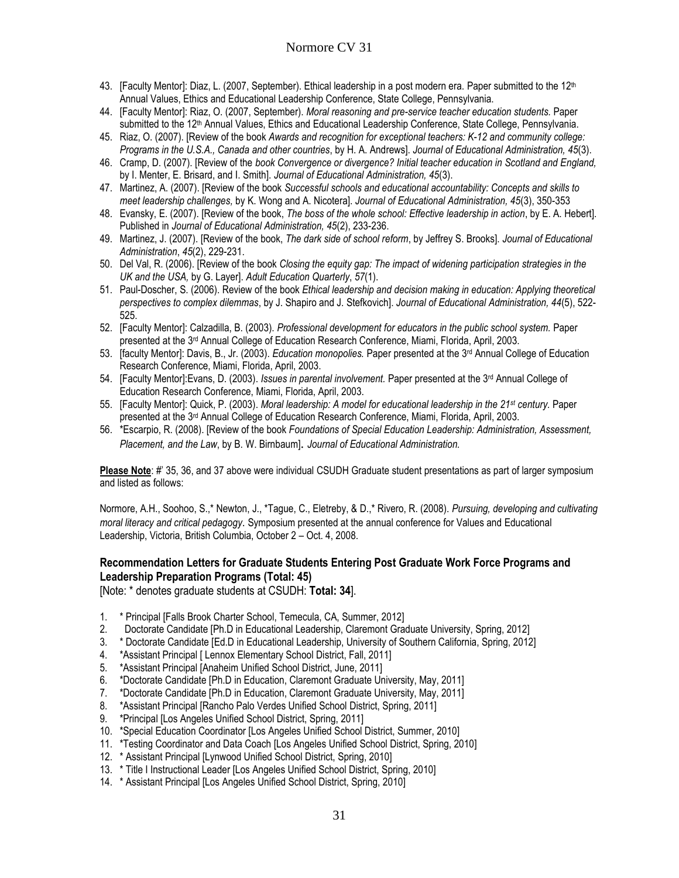- 43. [Faculty Mentor]: Diaz, L. (2007, September). Ethical leadership in a post modern era. Paper submitted to the 12<sup>th</sup> Annual Values, Ethics and Educational Leadership Conference, State College, Pennsylvania.
- 44. [Faculty Mentor]: Riaz, O. (2007, September). *Moral reasoning and pre-service teacher education students.* Paper submitted to the 12<sup>th</sup> Annual Values, Ethics and Educational Leadership Conference, State College, Pennsylvania.
- 45. Riaz, O. (2007). [Review of the book *Awards and recognition for exceptional teachers: K-12 and community college: Programs in the U.S.A., Canada and other countries*, by H. A. Andrews]. *Journal of Educational Administration, 45*(3).
- 46. Cramp, D. (2007). [Review of the *book Convergence or divergence? Initial teacher education in Scotland and England,* by I. Menter, E. Brisard, and I. Smith]. *Journal of Educational Administration, 45*(3).
- 47. Martinez, A. (2007). [Review of the book *Successful schools and educational accountability: Concepts and skills to meet leadership challenges,* by K. Wong and A. Nicotera]. *Journal of Educational Administration, 45*(3), 350-353
- 48. Evansky, E. (2007). [Review of the book, *The boss of the whole school: Effective leadership in action*, by E. A. Hebert]. Published in *Journal of Educational Administration, 45*(2), 233-236.
- 49. Martinez, J. (2007). [Review of the book, *The dark side of school reform*, by Jeffrey S. Brooks]. *Journal of Educational Administration*, *45*(2), 229-231.
- 50. Del Val, R. (2006). [Review of the book *Closing the equity gap: The impact of widening participation strategies in the UK and the USA,* by G. Layer]. *Adult Education Quarterly*, *57*(1).
- 51. Paul-Doscher, S. (2006). Review of the book *Ethical leadership and decision making in education: Applying theoretical perspectives to complex dilemmas*, by J. Shapiro and J. Stefkovich]. *Journal of Educational Administration, 44*(5), 522- 525.
- 52. [Faculty Mentor]: Calzadilla, B. (2003). *Professional development for educators in the public school system.* Paper presented at the 3<sup>rd</sup> Annual College of Education Research Conference, Miami, Florida, April, 2003.
- 53. [faculty Mentor]: Davis, B., Jr. (2003). *Education monopolies.* Paper presented at the 3rd Annual College of Education Research Conference, Miami, Florida, April, 2003.
- 54. [Faculty Mentor]:Evans, D. (2003). *Issues in parental involvement.* Paper presented at the 3rd Annual College of Education Research Conference, Miami, Florida, April, 2003.
- 55. [Faculty Mentor]: Quick, P. (2003). *Moral leadership: A model for educational leadership in the 21st century.* Paper presented at the 3rd Annual College of Education Research Conference, Miami, Florida, April, 2003.
- 56. \*Escarpio, R. (2008). [Review of the book *Foundations of Special Education Leadership: Administration, Assessment, Placement, and the Law*, by B. W. Birnbaum]. *Journal of Educational Administration.*

**Please Note**: #' 35, 36, and 37 above were individual CSUDH Graduate student presentations as part of larger symposium and listed as follows:

Normore, A.H., Soohoo, S.,\* Newton, J., \*Tague, C., Eletreby, & D.,\* Rivero, R. (2008). *Pursuing, developing and cultivating moral literacy and critical pedagogy*. Symposium presented at the annual conference for Values and Educational Leadership, Victoria, British Columbia, October 2 – Oct. 4, 2008.

#### **Recommendation Letters for Graduate Students Entering Post Graduate Work Force Programs and Leadership Preparation Programs (Total: 45)**

[Note: \* denotes graduate students at CSUDH: **Total: 34**].

- 1. \* Principal [Falls Brook Charter School, Temecula, CA, Summer, 2012]
- 2. Doctorate Candidate [Ph.D in Educational Leadership, Claremont Graduate University, Spring, 2012]
- 3. \* Doctorate Candidate [Ed.D in Educational Leadership, University of Southern California, Spring, 2012]
- 4. \* Assistant Principal [ Lennox Elementary School District, Fall, 2011]
- 5. \*Assistant Principal [Anaheim Unified School District, June, 2011]
- 6. \*Doctorate Candidate [Ph.D in Education, Claremont Graduate University, May, 2011]
- 7. \*Doctorate Candidate [Ph.D in Education, Claremont Graduate University, May, 2011]
- 8. \*Assistant Principal [Rancho Palo Verdes Unified School District, Spring, 2011]
- 9. \*Principal [Los Angeles Unified School District, Spring, 2011]
- 10. \*Special Education Coordinator [Los Angeles Unified School District, Summer, 2010]
- 11. \*Testing Coordinator and Data Coach [Los Angeles Unified School District, Spring, 2010]
- 12. \* Assistant Principal [Lynwood Unified School District, Spring, 2010]
- 13. \* Title I Instructional Leader [Los Angeles Unified School District, Spring, 2010]
- 14. \* Assistant Principal [Los Angeles Unified School District, Spring, 2010]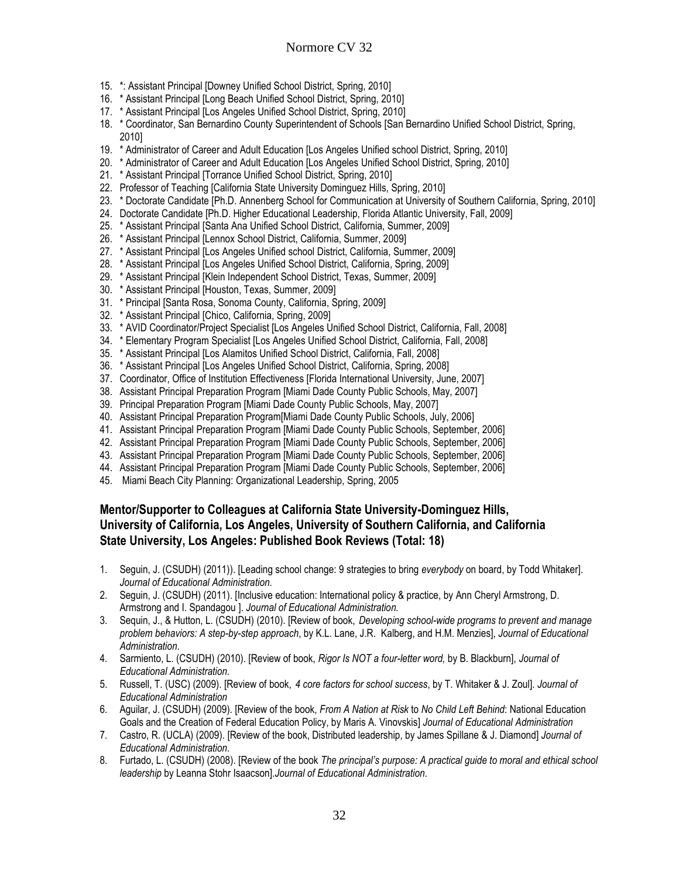- 15. \*: Assistant Principal [Downey Unified School District, Spring, 2010]
- 16. \* Assistant Principal [Long Beach Unified School District, Spring, 2010]
- 17. \* Assistant Principal [Los Angeles Unified School District, Spring, 2010]
- 18. \* Coordinator, San Bernardino County Superintendent of Schools [San Bernardino Unified School District, Spring, 2010]
- 19. \* Administrator of Career and Adult Education [Los Angeles Unified school District, Spring, 2010]
- 20. \* Administrator of Career and Adult Education [Los Angeles Unified School District, Spring, 2010]
- 21. \* Assistant Principal [Torrance Unified School District, Spring, 2010]
- 22. Professor of Teaching [California State University Dominguez Hills, Spring, 2010]
- 23. \* Doctorate Candidate [Ph.D. Annenberg School for Communication at University of Southern California, Spring, 2010]
- 24. Doctorate Candidate [Ph.D. Higher Educational Leadership, Florida Atlantic University, Fall, 2009]
- 25. \* Assistant Principal [Santa Ana Unified School District, California, Summer, 2009]
- 26. \* Assistant Principal [Lennox School District, California, Summer, 2009]
- 27. \* Assistant Principal [Los Angeles Unified school District, California, Summer, 2009]
- 28. \* Assistant Principal [Los Angeles Unified School District, California, Spring, 2009]
- 29. \* Assistant Principal [Klein Independent School District, Texas, Summer, 2009]
- 30. \* Assistant Principal [Houston, Texas, Summer, 2009]
- 31. \* Principal [Santa Rosa, Sonoma County, California, Spring, 2009]
- 32. \* Assistant Principal [Chico, California, Spring, 2009]
- 33. \* AVID Coordinator/Project Specialist [Los Angeles Unified School District, California, Fall, 2008]
- 34. \* Elementary Program Specialist [Los Angeles Unified School District, California, Fall, 2008]
- 35. \* Assistant Principal [Los Alamitos Unified School District, California, Fall, 2008]
- 36. \* Assistant Principal [Los Angeles Unified School District, California, Spring, 2008]
- 37. Coordinator, Office of Institution Effectiveness [Florida International University, June, 2007]
- 38. Assistant Principal Preparation Program [Miami Dade County Public Schools, May, 2007]
- 39. Principal Preparation Program [Miami Dade County Public Schools, May, 2007]
- 40. Assistant Principal Preparation Program[Miami Dade County Public Schools, July, 2006]
- 41. Assistant Principal Preparation Program [Miami Dade County Public Schools, September, 2006]
- 42. Assistant Principal Preparation Program [Miami Dade County Public Schools, September, 2006]
- 43. Assistant Principal Preparation Program [Miami Dade County Public Schools, September, 2006]
- 44. Assistant Principal Preparation Program [Miami Dade County Public Schools, September, 2006]
- 45. Miami Beach City Planning: Organizational Leadership, Spring, 2005

## **Mentor/Supporter to Colleagues at California State University-Dominguez Hills, University of California, Los Angeles, University of Southern California, and California State University, Los Angeles: Published Book Reviews (Total: 18)**

- 1. Seguin, J. (CSUDH) (2011)). [Leading school change: 9 strategies to bring *everybody* on board, by Todd Whitaker]. *Journal of Educational Administration.*
- 2. Seguin, J. (CSUDH) (2011). [Inclusive education: International policy & practice, by Ann Cheryl Armstrong, D. Armstrong and I. Spandagou ]. *Journal of Educational Administration.*
- 3. Sequin, J., & Hutton, L. (CSUDH) (2010). [Review of book, *Developing school-wide programs to prevent and manage problem behaviors: A step-by-step approach*, by K.L. Lane, J.R. Kalberg, and H.M. Menzies], *Journal of Educational Administration.*
- 4. Sarmiento, L. (CSUDH) (2010). [Review of book, *Rigor Is NOT a four-letter word,* by B. Blackburn], *Journal of Educational Administration.*
- 5. Russell, T. (USC) (2009). [Review of book, *4 core factors for school success*, by T. Whitaker & J. Zoul]. *Journal of Educational Administration*
- 6. Aguilar, J. (CSUDH) (2009). [Review of the book, *From A Nation at Risk* to *No Child Left Behind*: National Education Goals and the Creation of Federal Education Policy, by Maris A. Vinovskis] *Journal of Educational Administration*
- 7. Castro, R. (UCLA) (2009). [Review of the book, Distributed leadership, by James Spillane & J. Diamond] *Journal of Educational Administration.*
- 8. Furtado, L. (CSUDH) (2008). [Review of the book *The principal's purpose: A practical guide to moral and ethical school leadership* by Leanna Stohr Isaacson].*Journal of Educational Administration.*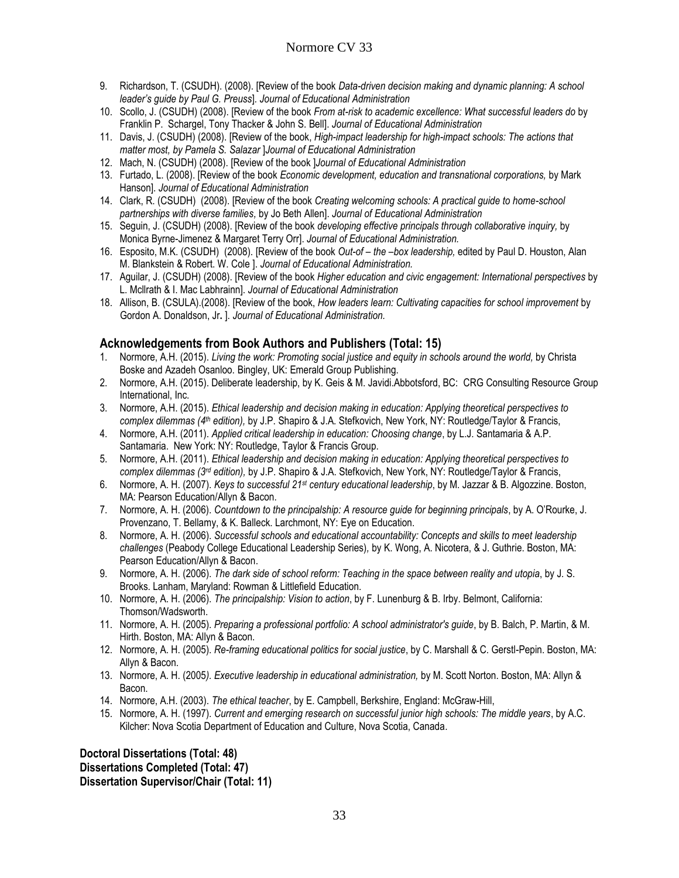- 9. Richardson, T. (CSUDH). (2008). [Review of the book *Data-driven decision making and dynamic planning: A school leader's guide by Paul G. Preuss*]*. Journal of Educational Administration*
- 10. Scollo, J. (CSUDH) (2008). [Review of the book *From at-risk to academic excellence: What successful leaders do* by Franklin P. Schargel, Tony Thacker & John S. Bell]. *Journal of Educational Administration*
- 11. Davis, J. (CSUDH) (2008). [Review of the book, *High-impact leadership for high-impact schools: The actions that matter most, by Pamela S. Salazar* ]*Journal of Educational Administration*
- 12. Mach, N. (CSUDH) (2008). [Review of the book ]*Journal of Educational Administration*
- 13. Furtado, L. (2008). [Review of the book *Economic development, education and transnational corporations,* by Mark Hanson]. *Journal of Educational Administration*
- 14. Clark, R. (CSUDH) (2008). [Review of the book *Creating welcoming schools: A practical guide to home-school partnerships with diverse families,* by Jo Beth Allen]. *Journal of Educational Administration*
- 15. Seguin, J. (CSUDH) (2008). [Review of the book *developing effective principals through collaborative inquiry,* by Monica Byrne-Jimenez & Margaret Terry Orr]. *Journal of Educational Administration.*
- 16. Esposito, M.K. (CSUDH) (2008). [Review of the book *Out-of – the –box leadership,* edited by Paul D. Houston, Alan M. Blankstein & Robert. W. Cole ]. *Journal of Educational Administration.*
- 17. Aguilar, J. (CSUDH) (2008). [Review of the book *Higher education and civic engagement: International perspectives* by L. Mcllrath & I. Mac Labhrainn]. *Journal of Educational Administration*
- 18. Allison, B. (CSULA).(2008). [Review of the book, *How leaders learn: Cultivating capacities for school improvement* by Gordon A. Donaldson, Jr**.** ]. *Journal of Educational Administration.*

## **Acknowledgements from Book Authors and Publishers (Total: 15)**

- 1. Normore, A.H. (2015). *Living the work: Promoting social justice and equity in schools around the world*, by Christa Boske and Azadeh Osanloo. Bingley, UK: Emerald Group Publishing.
- 2. Normore, A.H. (2015). Deliberate leadership, by K. Geis & M. Javidi.Abbotsford, BC: CRG Consulting Resource Group International, Inc.
- 3. Normore, A.H. (2015). *Ethical leadership and decision making in education: Applying theoretical perspectives to complex dilemmas (4 th edition),* by J.P. Shapiro & J.A. Stefkovich, New York, NY: Routledge/Taylor & Francis,
- 4. Normore, A.H. (2011). *Applied critical leadership in education: Choosing change*, by L.J. Santamaria & A.P. Santamaria. New York: NY: Routledge, Taylor & Francis Group.
- 5. Normore, A.H. (2011). *Ethical leadership and decision making in education: Applying theoretical perspectives to complex dilemmas (3rd edition),* by J.P. Shapiro & J.A. Stefkovich, New York, NY: Routledge/Taylor & Francis,
- 6. Normore, A. H. (2007). *Keys to successful 21st century educational leadership*, by M. Jazzar & B. Algozzine. Boston, MA: Pearson Education/Allyn & Bacon.
- 7. Normore, A. H. (2006). *Countdown to the principalship: A resource guide for beginning principals*, by A. O'Rourke, J. Provenzano, T. Bellamy, & K. Balleck. Larchmont, NY: Eye on Education.
- 8. Normore, A. H. (2006). *Successful schools and educational accountability: Concepts and skills to meet leadership challenges* (Peabody College Educational Leadership Series)*,* by K. Wong, A. Nicotera, & J. Guthrie. Boston, MA: Pearson Education/Allyn & Bacon.
- 9. Normore, A. H. (2006). *The dark side of school reform: Teaching in the space between reality and utopia*, by J. S. Brooks. Lanham, Maryland: Rowman & Littlefield Education.
- 10. Normore, A. H. (2006). *The principalship: Vision to action*, by F. Lunenburg & B. Irby. Belmont, California: Thomson/Wadsworth.
- 11. Normore, A. H. (2005). *Preparing a professional portfolio: A school administrator's guide*, by B. Balch, P. Martin, & M. Hirth. Boston, MA: Allyn & Bacon.
- 12. Normore, A. H. (2005). *Re-framing educational politics for social justice*, by C. Marshall & C. Gerstl-Pepin. Boston, MA: Allyn & Bacon.
- 13. Normore, A. H. (2005*). Executive leadership in educational administration,* by M. Scott Norton. Boston, MA: Allyn & Bacon.
- 14. Normore, A.H. (2003). *The ethical teacher*, by E. Campbell, Berkshire, England: McGraw-Hill,
- 15. Normore, A. H. (1997). *Current and emerging research on successful junior high schools: The middle years*, by A.C. Kilcher: Nova Scotia Department of Education and Culture, Nova Scotia, Canada.

**Doctoral Dissertations (Total: 48) Dissertations Completed (Total: 47) Dissertation Supervisor/Chair (Total: 11)**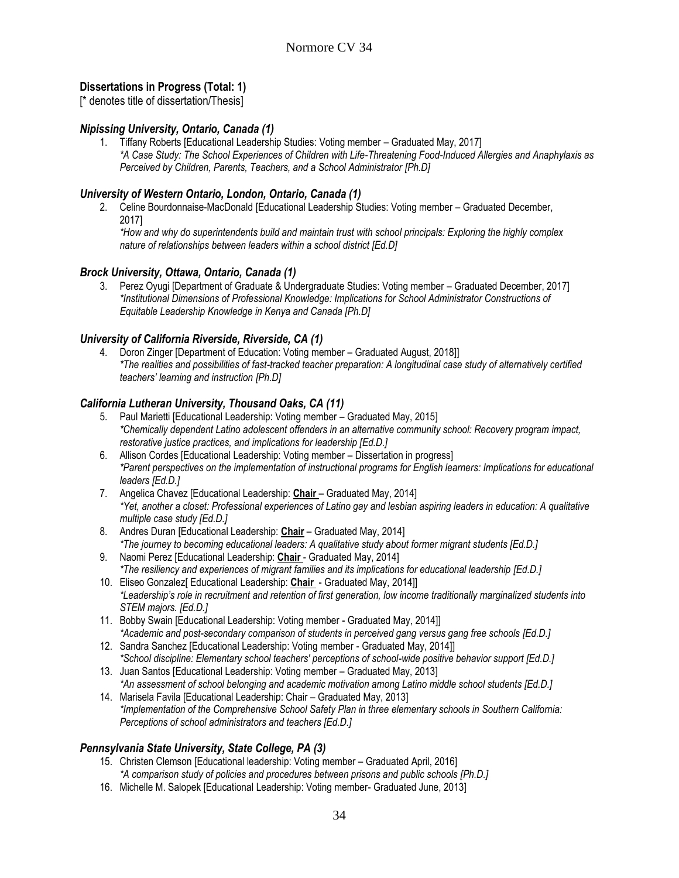## **Dissertations in Progress (Total: 1)**

[\* denotes title of dissertation/Thesis]

#### *Nipissing University, Ontario, Canada (1)*

1. Tiffany Roberts [Educational Leadership Studies: Voting member – Graduated May, 2017] *\*A Case Study: The School Experiences of Children with Life-Threatening Food-Induced Allergies and Anaphylaxis as Perceived by Children, Parents, Teachers, and a School Administrator [Ph.D]*

#### *University of Western Ontario, London, Ontario, Canada (1)*

2. Celine Bourdonnaise-MacDonald [Educational Leadership Studies: Voting member – Graduated December, 2017]

*\*How and why do superintendents build and maintain trust with school principals: Exploring the highly complex nature of relationships between leaders within a school district [Ed.D]*

#### *Brock University, Ottawa, Ontario, Canada (1)*

3. Perez Oyugi [Department of Graduate & Undergraduate Studies: Voting member – Graduated December, 2017] *\*Institutional Dimensions of Professional Knowledge: Implications for School Administrator Constructions of Equitable Leadership Knowledge in Kenya and Canada [Ph.D]*

#### *University of California Riverside, Riverside, CA (1)*

4. Doron Zinger [Department of Education: Voting member – Graduated August, 2018]] *\*The realities and possibilities of fast-tracked teacher preparation: A longitudinal case study of alternatively certified teachers' learning and instruction [Ph.D]*

#### *California Lutheran University, Thousand Oaks, CA (11)*

- 5. Paul Marietti [Educational Leadership: Voting member Graduated May, 2015] *\*Chemically dependent Latino adolescent offenders in an alternative community school: Recovery program impact, restorative justice practices, and implications for leadership [Ed.D.]*
- 6. Allison Cordes [Educational Leadership: Voting member Dissertation in progress] *\*Parent perspectives on the implementation of instructional programs for English learners: Implications for educational leaders [Ed.D.]*
- 7. Angelica Chavez [Educational Leadership: **Chair** Graduated May, 2014] *\*Yet, another a closet: Professional experiences of Latino gay and lesbian aspiring leaders in education: A qualitative multiple case study [Ed.D.]*
- 8. Andres Duran [Educational Leadership: **Chair** Graduated May, 2014] *\*The journey to becoming educational leaders: A qualitative study about former migrant students [Ed.D.]*
- 9. Naomi Perez [Educational Leadership: **Chair** Graduated May, 2014] *\*The resiliency and experiences of migrant families and its implications for educational leadership [Ed.D.]*
- 10. Eliseo Gonzalez[ Educational Leadership: **Chair**  Graduated May, 2014]] *\*Leadership's role in recruitment and retention of first generation, low income traditionally marginalized students into STEM majors. [Ed.D.]*
- 11. Bobby Swain [Educational Leadership: Voting member Graduated May, 2014]] *\*Academic and post-secondary comparison of students in perceived gang versus gang free schools [Ed.D.]*
- 12. Sandra Sanchez [Educational Leadership: Voting member Graduated May, 2014]] *\*School discipline: Elementary school teachers' perceptions of school-wide positive behavior support [Ed.D.]*
- 13. Juan Santos [Educational Leadership: Voting member Graduated May, 2013] *\*An assessment of school belonging and academic motivation among Latino middle school students [Ed.D.]*
- 14. Marisela Favila [Educational Leadership: Chair Graduated May, 2013] *\*Implementation of the Comprehensive School Safety Plan in three elementary schools in Southern California: Perceptions of school administrators and teachers [Ed.D.]*

#### *Pennsylvania State University, State College, PA (3)*

- 15. Christen Clemson [Educational leadership: Voting member Graduated April, 2016] *\*A comparison study of policies and procedures between prisons and public schools [Ph.D.]*
- 16. Michelle M. Salopek [Educational Leadership: Voting member- Graduated June, 2013]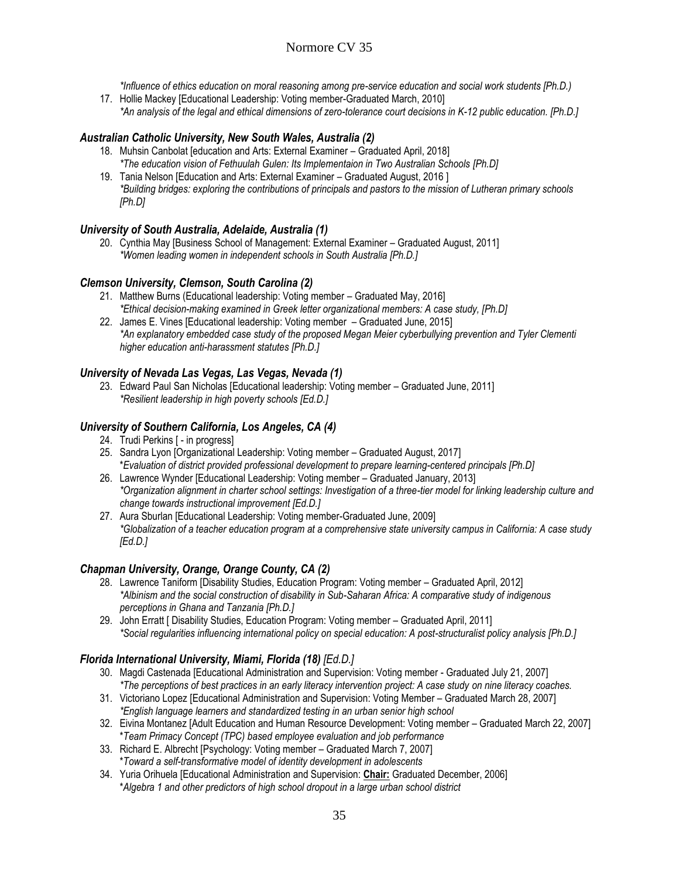*\*Influence of ethics education on moral reasoning among pre-service education and social work students [Ph.D.)*

17. Hollie Mackey [Educational Leadership: Voting member-Graduated March, 2010] *\*An analysis of the legal and ethical dimensions of zero-tolerance court decisions in K-12 public education. [Ph.D.]*

#### *Australian Catholic University, New South Wales, Australia (2)*

- 18. Muhsin Canbolat [education and Arts: External Examiner Graduated April, 2018] *\*The education vision of Fethuulah Gulen: Its Implementaion in Two Australian Schools [Ph.D]*
- 19. Tania Nelson [Education and Arts: External Examiner Graduated August, 2016 ] *\*Building bridges: exploring the contributions of principals and pastors to the mission of Lutheran primary schools [Ph.D]*

#### *University of South Australia, Adelaide, Australia (1)*

20. Cynthia May [Business School of Management: External Examiner – Graduated August, 2011] *\*Women leading women in independent schools in South Australia [Ph.D.]*

#### *Clemson University, Clemson, South Carolina (2)*

- 21. Matthew Burns (Educational leadership: Voting member Graduated May, 2016] *\*Ethical decision-making examined in Greek letter organizational members: A case study, [Ph.D]*
- 22. James E. Vines [Educational leadership: Voting member Graduated June, 2015] *\*An explanatory embedded case study of the proposed Megan Meier cyberbullying prevention and Tyler Clementi higher education anti-harassment statutes [Ph.D.]*

#### *University of Nevada Las Vegas, Las Vegas, Nevada (1)*

23. Edward Paul San Nicholas [Educational leadership: Voting member – Graduated June, 2011] *\*Resilient leadership in high poverty schools [Ed.D.]*

#### *University of Southern California, Los Angeles, CA (4)*

- 24. Trudi Perkins [ in progress]
- 25. Sandra Lyon [Organizational Leadership: Voting member Graduated August, 2017] \**Evaluation of district provided professional development to prepare learning-centered principals [Ph.D]*
- 26. Lawrence Wynder [Educational Leadership: Voting member Graduated January, 2013] *\*Organization alignment in charter school settings: Investigation of a three-tier model for linking leadership culture and change towards instructional improvement [Ed.D.]*
- 27. Aura Sburlan [Educational Leadership: Voting member-Graduated June, 2009] *\*Globalization of a teacher education program at a comprehensive state university campus in California: A case study [Ed.D.]*

#### *Chapman University, Orange, Orange County, CA (2)*

- 28. Lawrence Taniform [Disability Studies, Education Program: Voting member Graduated April, 2012] *\*Albinism and the social construction of disability in Sub-Saharan Africa: A comparative study of indigenous perceptions in Ghana and Tanzania [Ph.D.]*
- 29. John Erratt [ Disability Studies, Education Program: Voting member Graduated April, 2011] *\*Social regularities influencing international policy on special education: A post-structuralist policy analysis [Ph.D.]*

#### *Florida International University, Miami, Florida (18) [Ed.D.]*

- 30. Magdi Castenada [Educational Administration and Supervision: Voting member Graduated July 21, 2007] *\*The perceptions of best practices in an early literacy intervention project: A case study on nine literacy coaches.*
- 31. Victoriano Lopez [Educational Administration and Supervision: Voting Member Graduated March 28, 2007] *\*English language learners and standardized testing in an urban senior high school*
- 32. Eivina Montanez [Adult Education and Human Resource Development: Voting member Graduated March 22, 2007] \**Team Primacy Concept (TPC) based employee evaluation and job performance*
- 33. Richard E. Albrecht [Psychology: Voting member Graduated March 7, 2007] \**Toward a self-transformative model of identity development in adolescents*
- 34. Yuria Orihuela [Educational Administration and Supervision: **Chair:** Graduated December, 2006] \**Algebra 1 and other predictors of high school dropout in a large urban school district*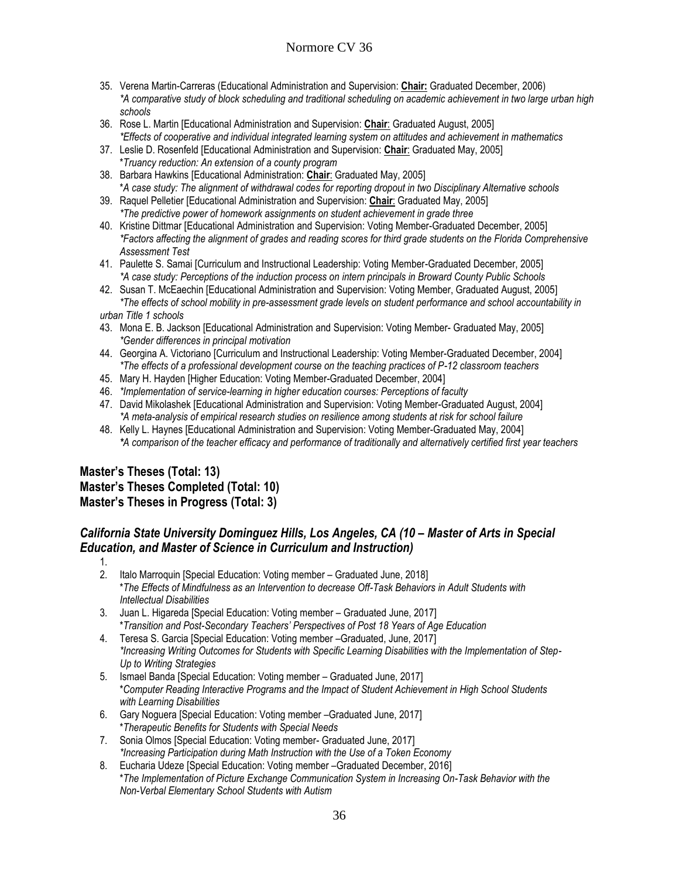- 35. Verena Martin-Carreras (Educational Administration and Supervision: **Chair:** Graduated December, 2006) *\*A comparative study of block scheduling and traditional scheduling on academic achievement in two large urban high schools*
- 36. Rose L. Martin [Educational Administration and Supervision: **Chair**: Graduated August, 2005] *\*Effects of cooperative and individual integrated learning system on attitudes and achievement in mathematics*
- 37. Leslie D. Rosenfeld [Educational Administration and Supervision: **Chair**: Graduated May, 2005] \**Truancy reduction: An extension of a county program*
- 38. Barbara Hawkins [Educational Administration: **Chair**: Graduated May, 2005] \**A case study: The alignment of withdrawal codes for reporting dropout in two Disciplinary Alternative schools*
- 39. Raquel Pelletier [Educational Administration and Supervision: **Chair**: Graduated May, 2005] *\*The predictive power of homework assignments on student achievement in grade three*
- 40. Kristine Dittmar [Educational Administration and Supervision: Voting Member-Graduated December, 2005] *\*Factors affecting the alignment of grades and reading scores for third grade students on the Florida Comprehensive Assessment Test*
- 41. Paulette S. Samai [Curriculum and Instructional Leadership: Voting Member-Graduated December, 2005] *\*A case study: Perceptions of the induction process on intern principals in Broward County Public Schools*
- 42. Susan T. McEaechin [Educational Administration and Supervision: Voting Member, Graduated August, 2005] *\*The effects of school mobility in pre-assessment grade levels on student performance and school accountability in*

*urban Title 1 schools*

1.

- 43. Mona E. B. Jackson [Educational Administration and Supervision: Voting Member- Graduated May, 2005] *\*Gender differences in principal motivation*
- 44. Georgina A. Victoriano [Curriculum and Instructional Leadership: Voting Member-Graduated December, 2004] *\*The effects of a professional development course on the teaching practices of P-12 classroom teachers*
- 45. Mary H. Hayden [Higher Education: Voting Member-Graduated December, 2004]
- 46. *\*Implementation of service-learning in higher education courses: Perceptions of faculty*
- 47. David Mikolashek [Educational Administration and Supervision: Voting Member-Graduated August, 2004] *\*A meta-analysis of empirical research studies on resilience among students at risk for school failure*
- 48. Kelly L. Haynes [Educational Administration and Supervision: Voting Member-Graduated May, 2004] *\*A comparison of the teacher efficacy and performance of traditionally and alternatively certified first year teachers*

# **Master's Theses (Total: 13) Master's Theses Completed (Total: 10) Master's Theses in Progress (Total: 3)**

# California State University Dominguez Hills, Los Angeles, CA (10 – Master of Arts in Special *Education, and Master of Science in Curriculum and Instruction)*

- 2. Italo Marroquin [Special Education: Voting member Graduated June, 2018] \**The Effects of Mindfulness as an Intervention to decrease Off-Task Behaviors in Adult Students with Intellectual Disabilities*
- 3. Juan L. Higareda [Special Education: Voting member Graduated June, 2017] \**Transition and Post-Secondary Teachers' Perspectives of Post 18 Years of Age Education*
- 4. Teresa S. Garcia [Special Education: Voting member –Graduated, June, 2017] *\*Increasing Writing Outcomes for Students with Specific Learning Disabilities with the Implementation of Step-Up to Writing Strategies*
- 5. Ismael Banda [Special Education: Voting member Graduated June, 2017] \**Computer Reading Interactive Programs and the Impact of Student Achievement in High School Students with Learning Disabilities*
- 6. Gary Noguera [Special Education: Voting member –Graduated June, 2017] \**Therapeutic Benefits for Students with Special Needs*
- 7. Sonia Olmos [Special Education: Voting member- Graduated June, 2017] *\*Increasing Participation during Math Instruction with the Use of a Token Economy*
- 8. Eucharia Udeze [Special Education: Voting member –Graduated December, 2016] \**The Implementation of Picture Exchange Communication System in Increasing On-Task Behavior with the Non-Verbal Elementary School Students with Autism*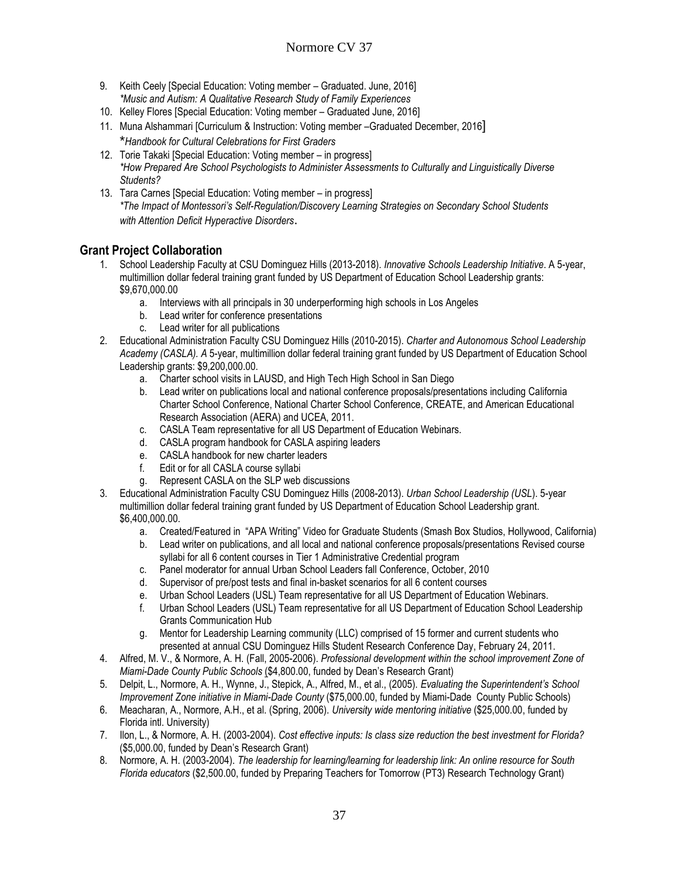- 9. Keith Ceely [Special Education: Voting member Graduated. June, 2016] *\*Music and Autism: A Qualitative Research Study of Family Experiences*
- 10. Kelley Flores [Special Education: Voting member Graduated June, 2016]
- 11. Muna Alshammari [Curriculum & Instruction: Voting member –Graduated December, 2016] \**Handbook for Cultural Celebrations for First Graders*
- 12. Torie Takaki [Special Education: Voting member in progress] *\*How Prepared Are School Psychologists to Administer Assessments to Culturally and Linguistically Diverse Students?*
- 13. Tara Carnes [Special Education: Voting member in progress] *\*The Impact of Montessori's Self-Regulation/Discovery Learning Strategies on Secondary School Students with Attention Deficit Hyperactive Disorders*.

# **Grant Project Collaboration**

- 1. School Leadership Faculty at CSU Dominguez Hills (2013-2018). *Innovative Schools Leadership Initiative*. A 5-year, multimillion dollar federal training grant funded by US Department of Education School Leadership grants: \$9,670,000.00
	- a. Interviews with all principals in 30 underperforming high schools in Los Angeles
	- b. Lead writer for conference presentations
	- c. Lead writer for all publications
- 2. Educational Administration Faculty CSU Dominguez Hills (2010-2015). *Charter and Autonomous School Leadership Academy (CASLA). A* 5-year, multimillion dollar federal training grant funded by US Department of Education School Leadership grants: \$9,200,000.00.
	- a. Charter school visits in LAUSD, and High Tech High School in San Diego
	- b. Lead writer on publications local and national conference proposals/presentations including California Charter School Conference, National Charter School Conference, CREATE, and American Educational Research Association (AERA) and UCEA, 2011.
	- c. CASLA Team representative for all US Department of Education Webinars.
	- d. CASLA program handbook for CASLA aspiring leaders
	- e. CASLA handbook for new charter leaders
	- f. Edit or for all CASLA course syllabi
	- g. Represent CASLA on the SLP web discussions
- 3. Educational Administration Faculty CSU Dominguez Hills (2008-2013). *Urban School Leadership (USL*). 5-year multimillion dollar federal training grant funded by US Department of Education School Leadership grant. \$6,400,000.00.
	- a. Created/Featured in "APA Writing" Video for Graduate Students (Smash Box Studios, Hollywood, California)
	- b. Lead writer on publications, and all local and national conference proposals/presentations Revised course syllabi for all 6 content courses in Tier 1 Administrative Credential program
	- c. Panel moderator for annual Urban School Leaders fall Conference, October, 2010
	- d. Supervisor of pre/post tests and final in-basket scenarios for all 6 content courses
	- e. Urban School Leaders (USL) Team representative for all US Department of Education Webinars.
	- f. Urban School Leaders (USL) Team representative for all US Department of Education School Leadership Grants Communication Hub
	- g. Mentor for Leadership Learning community (LLC) comprised of 15 former and current students who presented at annual CSU Dominguez Hills Student Research Conference Day, February 24, 2011.
- 4. Alfred, M. V., & Normore, A. H. (Fall, 2005-2006). *Professional development within the school improvement Zone of Miami-Dade County Public Schools* (\$4,800.00, funded by Dean's Research Grant)
- 5. Delpit, L., Normore, A. H., Wynne, J., Stepick, A., Alfred, M., et al., (2005). *Evaluating the Superintendent's School Improvement Zone initiative in Miami-Dade County* (\$75,000.00, funded by Miami-Dade County Public Schools)
- 6. Meacharan, A., Normore, A.H., et al. (Spring, 2006). *University wide mentoring initiative* (\$25,000.00, funded by Florida intl. University)
- 7. Ilon, L., & Normore, A. H. (2003-2004). *Cost effective inputs: Is class size reduction the best investment for Florida?*  (\$5,000.00, funded by Dean's Research Grant)
- 8. Normore, A. H. (2003-2004). *The leadership for learning/learning for leadership link: An online resource for South Florida educators* (\$2,500.00, funded by Preparing Teachers for Tomorrow (PT3) Research Technology Grant)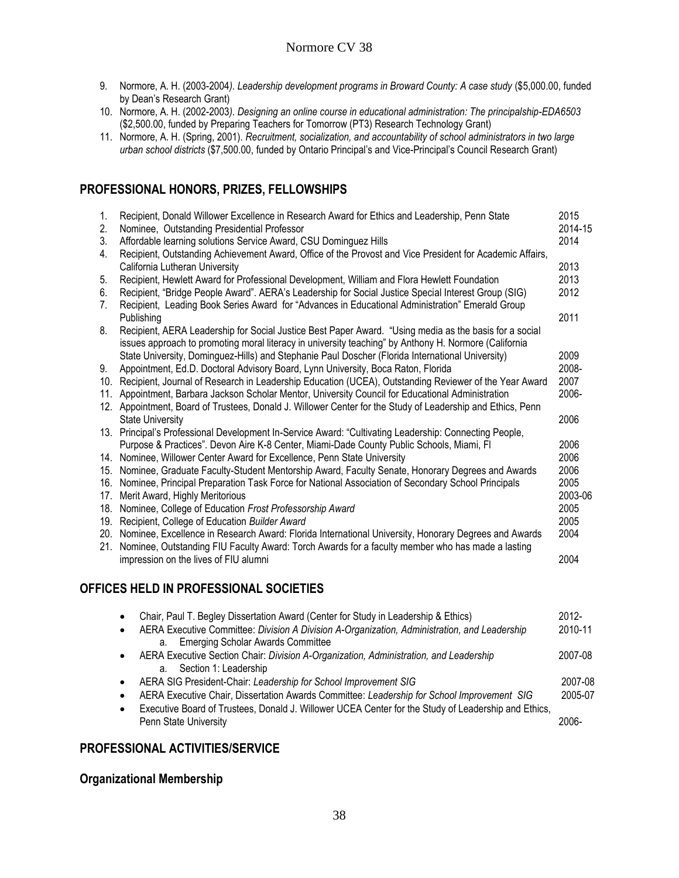- 9. Normore, A. H. (2003-2004*). Leadership development programs in Broward County: A case study* (\$5,000.00, funded by Dean's Research Grant)
- 10. Normore, A. H. (2002-2003*). Designing an online course in educational administration: The principalship-EDA6503*  (\$2,500.00, funded by Preparing Teachers for Tomorrow (PT3) Research Technology Grant)
- 11. Normore, A. H. (Spring, 2001). *Recruitment, socialization, and accountability of school administrators in two large urban school districts* (\$7,500.00, funded by Ontario Principal's and Vice-Principal's Council Research Grant)

# **PROFESSIONAL HONORS, PRIZES, FELLOWSHIPS**

| 1.<br>2.       | Recipient, Donald Willower Excellence in Research Award for Ethics and Leadership, Penn State<br>Nominee, Outstanding Presidential Professor                                                                    | 2015<br>2014-15 |
|----------------|-----------------------------------------------------------------------------------------------------------------------------------------------------------------------------------------------------------------|-----------------|
| 3.             | Affordable learning solutions Service Award, CSU Dominguez Hills                                                                                                                                                | 2014            |
| 4.             | Recipient, Outstanding Achievement Award, Office of the Provost and Vice President for Academic Affairs,                                                                                                        |                 |
|                | California Lutheran University                                                                                                                                                                                  | 2013            |
| 5.             | Recipient, Hewlett Award for Professional Development, William and Flora Hewlett Foundation                                                                                                                     | 2013            |
| 6.             | Recipient, "Bridge People Award". AERA's Leadership for Social Justice Special Interest Group (SIG)                                                                                                             | 2012            |
| 7 <sub>1</sub> | Recipient, Leading Book Series Award for "Advances in Educational Administration" Emerald Group                                                                                                                 |                 |
|                | Publishing                                                                                                                                                                                                      | 2011            |
| 8.             | Recipient, AERA Leadership for Social Justice Best Paper Award. "Using media as the basis for a social<br>issues approach to promoting moral literacy in university teaching" by Anthony H. Normore (California |                 |
|                | State University, Dominguez-Hills) and Stephanie Paul Doscher (Florida International University)                                                                                                                | 2009            |
| 9.             | Appointment, Ed.D. Doctoral Advisory Board, Lynn University, Boca Raton, Florida                                                                                                                                | 2008-           |
| 10.            | Recipient, Journal of Research in Leadership Education (UCEA), Outstanding Reviewer of the Year Award                                                                                                           | 2007            |
| 11.            | Appointment, Barbara Jackson Scholar Mentor, University Council for Educational Administration                                                                                                                  | 2006-           |
|                | 12. Appointment, Board of Trustees, Donald J. Willower Center for the Study of Leadership and Ethics, Penn                                                                                                      |                 |
|                | <b>State University</b>                                                                                                                                                                                         | 2006            |
|                | 13. Principal's Professional Development In-Service Award: "Cultivating Leadership: Connecting People,                                                                                                          |                 |
|                | Purpose & Practices". Devon Aire K-8 Center, Miami-Dade County Public Schools, Miami, Fl                                                                                                                        | 2006            |
|                | 14. Nominee, Willower Center Award for Excellence, Penn State University                                                                                                                                        | 2006            |
|                | 15. Nominee, Graduate Faculty-Student Mentorship Award, Faculty Senate, Honorary Degrees and Awards                                                                                                             | 2006            |
| 16.            | Nominee, Principal Preparation Task Force for National Association of Secondary School Principals                                                                                                               | 2005            |
| 17.            | Merit Award, Highly Meritorious                                                                                                                                                                                 | 2003-06         |
| 18.            | Nominee, College of Education Frost Professorship Award                                                                                                                                                         | 2005            |
| 19.            | Recipient, College of Education Builder Award                                                                                                                                                                   | 2005            |
|                | 20. Nominee, Excellence in Research Award: Florida International University, Honorary Degrees and Awards                                                                                                        | 2004            |
|                | 21. Nominee, Outstanding FIU Faculty Award: Torch Awards for a faculty member who has made a lasting                                                                                                            |                 |
|                | impression on the lives of FIU alumni                                                                                                                                                                           | 2004            |
|                |                                                                                                                                                                                                                 |                 |

## **OFFICES HELD IN PROFESSIONAL SOCIETIES**

| $\bullet$ | Chair, Paul T. Begley Dissertation Award (Center for Study in Leadership & Ethics)                                                             | $2012 -$ |
|-----------|------------------------------------------------------------------------------------------------------------------------------------------------|----------|
| $\bullet$ | AERA Executive Committee: Division A Division A-Organization, Administration, and Leadership<br><b>Emerging Scholar Awards Committee</b><br>а. | 2010-11  |
| $\bullet$ | AERA Executive Section Chair: Division A-Organization, Administration, and Leadership<br>a. Section 1: Leadership                              | 2007-08  |
| $\bullet$ | AERA SIG President-Chair: Leadership for School Improvement SIG                                                                                | 2007-08  |
| $\bullet$ | AERA Executive Chair, Dissertation Awards Committee: Leadership for School Improvement SIG                                                     | 2005-07  |
| $\bullet$ | Executive Board of Trustees, Donald J. Willower UCEA Center for the Study of Leadership and Ethics,<br>Penn State University                   | 2006-    |

#### **PROFESSIONAL ACTIVITIES/SERVICE**

## **Organizational Membership**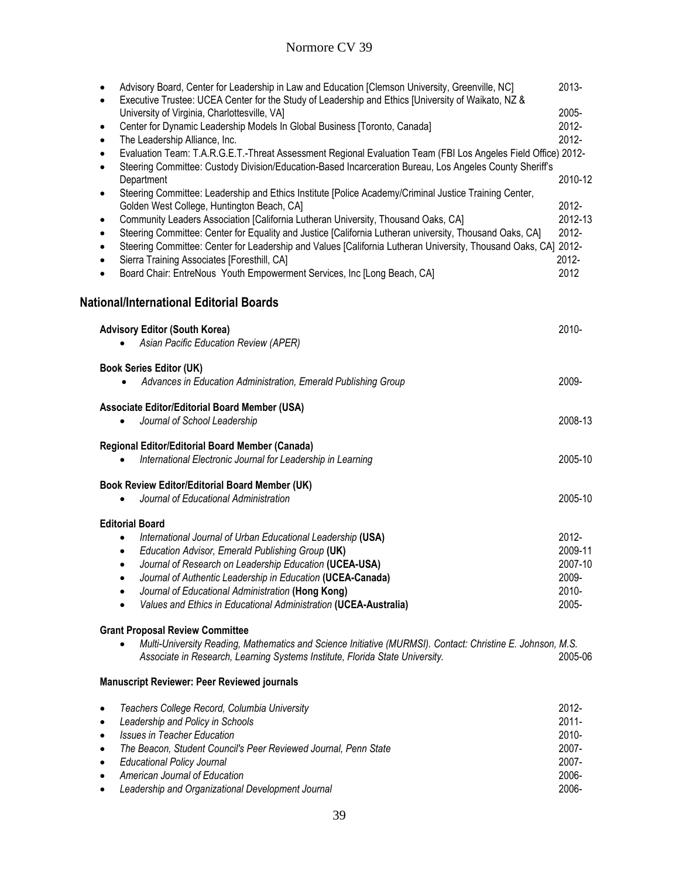| Advisory Board, Center for Leadership in Law and Education [Clemson University, Greenville, NC]<br>$\bullet$<br>Executive Trustee: UCEA Center for the Study of Leadership and Ethics [University of Waikato, NZ &<br>$\bullet$                    | 2013-    |
|----------------------------------------------------------------------------------------------------------------------------------------------------------------------------------------------------------------------------------------------------|----------|
| University of Virginia, Charlottesville, VA]                                                                                                                                                                                                       | 2005-    |
| Center for Dynamic Leadership Models In Global Business [Toronto, Canada]<br>$\bullet$                                                                                                                                                             | 2012-    |
| The Leadership Alliance, Inc.<br>$\bullet$                                                                                                                                                                                                         | 2012-    |
| Evaluation Team: T.A.R.G.E.T.-Threat Assessment Regional Evaluation Team (FBI Los Angeles Field Office) 2012-<br>$\bullet$<br>Steering Committee: Custody Division/Education-Based Incarceration Bureau, Los Angeles County Sheriff's<br>$\bullet$ |          |
| Department                                                                                                                                                                                                                                         | 2010-12  |
| Steering Committee: Leadership and Ethics Institute [Police Academy/Criminal Justice Training Center,<br>$\bullet$                                                                                                                                 |          |
| Golden West College, Huntington Beach, CA]                                                                                                                                                                                                         | 2012-    |
| Community Leaders Association [California Lutheran University, Thousand Oaks, CA]<br>٠                                                                                                                                                             | 2012-13  |
| Steering Committee: Center for Equality and Justice [California Lutheran university, Thousand Oaks, CA]<br>$\bullet$                                                                                                                               | 2012-    |
| Steering Committee: Center for Leadership and Values [California Lutheran University, Thousand Oaks, CA] 2012-<br>$\bullet$                                                                                                                        |          |
| Sierra Training Associates [Foresthill, CA]<br>$\bullet$                                                                                                                                                                                           | 2012-    |
| Board Chair: EntreNous Youth Empowerment Services, Inc [Long Beach, CA]<br>$\bullet$                                                                                                                                                               | 2012     |
| National/International Editorial Boards                                                                                                                                                                                                            |          |
| <b>Advisory Editor (South Korea)</b>                                                                                                                                                                                                               | 2010-    |
| Asian Pacific Education Review (APER)                                                                                                                                                                                                              |          |
|                                                                                                                                                                                                                                                    |          |
| <b>Book Series Editor (UK)</b>                                                                                                                                                                                                                     |          |
| Advances in Education Administration, Emerald Publishing Group                                                                                                                                                                                     | 2009-    |
|                                                                                                                                                                                                                                                    |          |
| Associate Editor/Editorial Board Member (USA)                                                                                                                                                                                                      |          |
| Journal of School Leadership<br>$\bullet$                                                                                                                                                                                                          | 2008-13  |
| Regional Editor/Editorial Board Member (Canada)                                                                                                                                                                                                    |          |
| International Electronic Journal for Leadership in Learning                                                                                                                                                                                        | 2005-10  |
|                                                                                                                                                                                                                                                    |          |
| Book Review Editor/Editorial Board Member (UK)                                                                                                                                                                                                     |          |
| Journal of Educational Administration                                                                                                                                                                                                              | 2005-10  |
|                                                                                                                                                                                                                                                    |          |
| <b>Editorial Board</b>                                                                                                                                                                                                                             |          |
| International Journal of Urban Educational Leadership (USA)                                                                                                                                                                                        | 2012-    |
| Education Advisor, Emerald Publishing Group (UK)<br>$\bullet$                                                                                                                                                                                      | 2009-11  |
| Journal of Research on Leadership Education (UCEA-USA)<br>$\bullet$                                                                                                                                                                                | 2007-10  |
| Journal of Authentic Leadership in Education (UCEA-Canada)                                                                                                                                                                                         | 2009-    |
| Journal of Educational Administration (Hong Kong)<br>$\bullet$                                                                                                                                                                                     | 2010-    |
| Values and Ethics in Educational Administration (UCEA-Australia)<br>$\bullet$                                                                                                                                                                      | 2005-    |
| <b>Grant Proposal Review Committee</b>                                                                                                                                                                                                             |          |
| Multi-University Reading, Mathematics and Science Initiative (MURMSI). Contact: Christine E. Johnson, M.S.                                                                                                                                         |          |
| Associate in Research, Learning Systems Institute, Florida State University.                                                                                                                                                                       | 2005-06  |
|                                                                                                                                                                                                                                                    |          |
| <b>Manuscript Reviewer: Peer Reviewed journals</b>                                                                                                                                                                                                 |          |
| Teachers College Record, Columbia University<br>$\bullet$                                                                                                                                                                                          | 2012-    |
| Leadership and Policy in Schools<br>$\bullet$                                                                                                                                                                                                      | $2011 -$ |
| <b>Issues in Teacher Education</b><br>$\bullet$                                                                                                                                                                                                    | 2010-    |
| The Beacon, Student Council's Peer Reviewed Journal, Penn State<br>$\bullet$                                                                                                                                                                       | 2007-    |
| <b>Educational Policy Journal</b><br>$\bullet$                                                                                                                                                                                                     | 2007-    |
| American Journal of Education<br>٠                                                                                                                                                                                                                 | 2006-    |
| Leadership and Organizational Development Journal<br>$\bullet$                                                                                                                                                                                     | 2006-    |
|                                                                                                                                                                                                                                                    |          |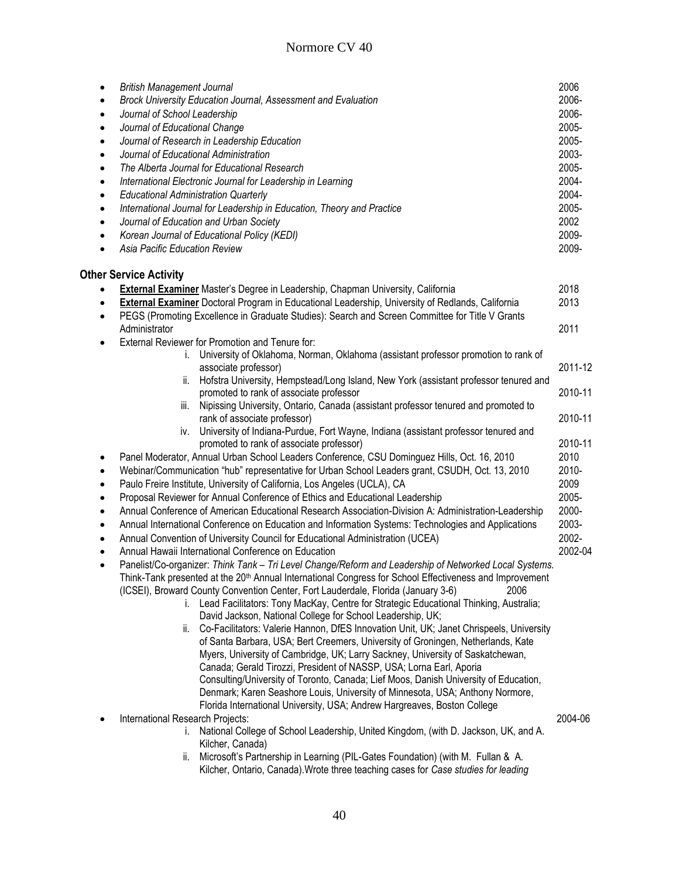| $\bullet$ | <b>British Management Journal</b>                                                                                          | 2006    |
|-----------|----------------------------------------------------------------------------------------------------------------------------|---------|
| $\bullet$ | Brock University Education Journal, Assessment and Evaluation                                                              | 2006-   |
| $\bullet$ | Journal of School Leadership                                                                                               | 2006-   |
| $\bullet$ | Journal of Educational Change                                                                                              | 2005-   |
| $\bullet$ | Journal of Research in Leadership Education                                                                                | 2005-   |
| $\bullet$ | Journal of Educational Administration                                                                                      | 2003-   |
| $\bullet$ | The Alberta Journal for Educational Research                                                                               | 2005-   |
| $\bullet$ | International Electronic Journal for Leadership in Learning                                                                | 2004-   |
| $\bullet$ | <b>Educational Administration Quarterly</b>                                                                                | 2004-   |
| $\bullet$ | International Journal for Leadership in Education, Theory and Practice                                                     | 2005-   |
| $\bullet$ | Journal of Education and Urban Society                                                                                     | 2002    |
| $\bullet$ | Korean Journal of Educational Policy (KEDI)                                                                                | 2009-   |
| $\bullet$ | Asia Pacific Education Review                                                                                              | 2009-   |
|           | <b>Other Service Activity</b>                                                                                              |         |
|           | <b>External Examiner Master's Degree in Leadership, Chapman University, California</b>                                     | 2018    |
| $\bullet$ | <b>External Examiner</b> Doctoral Program in Educational Leadership, University of Redlands, California                    | 2013    |
| $\bullet$ | PEGS (Promoting Excellence in Graduate Studies): Search and Screen Committee for Title V Grants                            |         |
|           | Administrator                                                                                                              | 2011    |
| ٠         | External Reviewer for Promotion and Tenure for:                                                                            |         |
|           | University of Oklahoma, Norman, Oklahoma (assistant professor promotion to rank of<br>Ĺ.                                   |         |
|           | associate professor)                                                                                                       | 2011-12 |
|           | Hofstra University, Hempstead/Long Island, New York (assistant professor tenured and<br>ii.                                |         |
|           | promoted to rank of associate professor                                                                                    | 2010-11 |
|           | Nipissing University, Ontario, Canada (assistant professor tenured and promoted to<br>III.                                 | 2010-11 |
|           | rank of associate professor)<br>University of Indiana-Purdue, Fort Wayne, Indiana (assistant professor tenured and<br>İV.  |         |
|           | promoted to rank of associate professor)                                                                                   | 2010-11 |
| $\bullet$ | Panel Moderator, Annual Urban School Leaders Conference, CSU Dominguez Hills, Oct. 16, 2010                                | 2010    |
| $\bullet$ | Webinar/Communication "hub" representative for Urban School Leaders grant, CSUDH, Oct. 13, 2010                            | 2010-   |
| $\bullet$ | Paulo Freire Institute, University of California, Los Angeles (UCLA), CA                                                   | 2009    |
| $\bullet$ | Proposal Reviewer for Annual Conference of Ethics and Educational Leadership                                               | 2005-   |
| ٠         | Annual Conference of American Educational Research Association-Division A: Administration-Leadership                       | 2000-   |
| $\bullet$ | Annual International Conference on Education and Information Systems: Technologies and Applications                        | 2003-   |
| $\bullet$ | Annual Convention of University Council for Educational Administration (UCEA)                                              | 2002-   |
| $\bullet$ | Annual Hawaii International Conference on Education                                                                        | 2002-04 |
| $\bullet$ | Panelist/Co-organizer: Think Tank - Tri Level Change/Reform and Leadership of Networked Local Systems.                     |         |
|           | Think-Tank presented at the 20 <sup>th</sup> Annual International Congress for School Effectiveness and Improvement        |         |
|           | (ICSEI), Broward County Convention Center, Fort Lauderdale, Florida (January 3-6)<br>2006                                  |         |
|           | i. Lead Facilitators: Tony MacKay, Centre for Strategic Educational Thinking, Australia;                                   |         |
|           | David Jackson, National College for School Leadership, UK;                                                                 |         |
|           | Co-Facilitators: Valerie Hannon, DfES Innovation Unit, UK; Janet Chrispeels, University<br>II.                             |         |
|           | of Santa Barbara, USA; Bert Creemers, University of Groningen, Netherlands, Kate                                           |         |
|           | Myers, University of Cambridge, UK; Larry Sackney, University of Saskatchewan,                                             |         |
|           | Canada; Gerald Tirozzi, President of NASSP, USA; Lorna Earl, Aporia                                                        |         |
|           | Consulting/University of Toronto, Canada; Lief Moos, Danish University of Education,                                       |         |
|           | Denmark; Karen Seashore Louis, University of Minnesota, USA; Anthony Normore,                                              |         |
|           | Florida International University, USA; Andrew Hargreaves, Boston College                                                   |         |
|           | International Research Projects:<br>i. National College of School Leadership, United Kingdom, (with D. Jackson, UK, and A. | 2004-06 |
|           | Kilcher, Canada)                                                                                                           |         |
|           | Microsoft's Partnership in Learning (PIL-Gates Foundation) (with M. Fullan & A.<br>ii.                                     |         |
|           | Kilcher, Ontario, Canada). Wrote three teaching cases for Case studies for leading                                         |         |
|           |                                                                                                                            |         |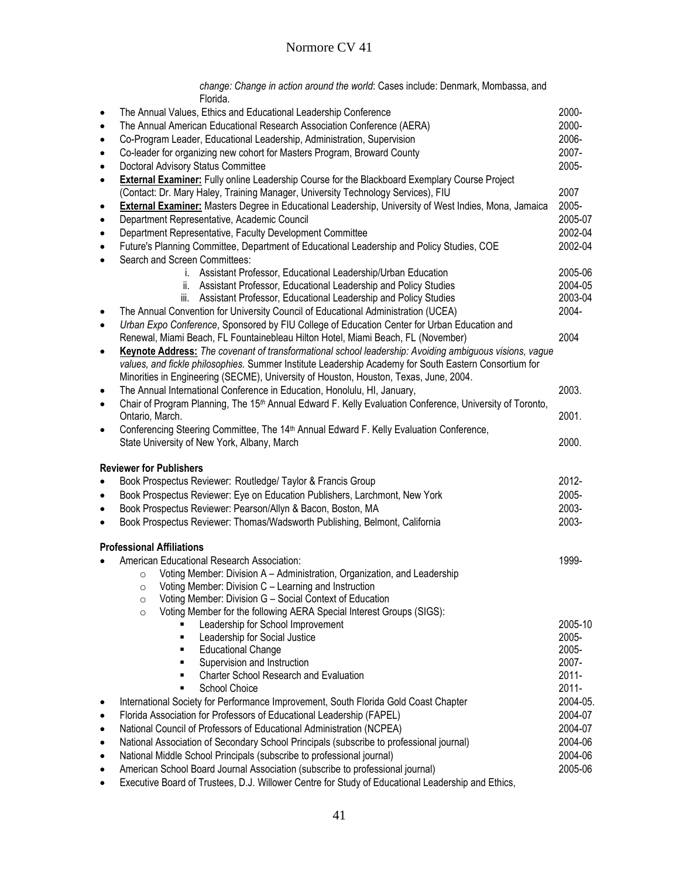*change: Change in action around the world*: Cases include: Denmark, Mombassa, and Florida.

| $\bullet$ | The Annual Values, Ethics and Educational Leadership Conference                                                                                                                                | 2000-             |
|-----------|------------------------------------------------------------------------------------------------------------------------------------------------------------------------------------------------|-------------------|
| $\bullet$ | The Annual American Educational Research Association Conference (AERA)                                                                                                                         | 2000-             |
| $\bullet$ | Co-Program Leader, Educational Leadership, Administration, Supervision                                                                                                                         | 2006-             |
| $\bullet$ | Co-leader for organizing new cohort for Masters Program, Broward County                                                                                                                        | 2007-             |
| $\bullet$ | Doctoral Advisory Status Committee                                                                                                                                                             | 2005-             |
| $\bullet$ | <b>External Examiner:</b> Fully online Leadership Course for the Blackboard Exemplary Course Project<br>(Contact: Dr. Mary Haley, Training Manager, University Technology Services), FIU       | 2007              |
| $\bullet$ | <b>External Examiner:</b> Masters Degree in Educational Leadership, University of West Indies, Mona, Jamaica                                                                                   | 2005-             |
| $\bullet$ | Department Representative, Academic Council                                                                                                                                                    | 2005-07           |
| $\bullet$ | Department Representative, Faculty Development Committee                                                                                                                                       | 2002-04           |
| $\bullet$ | Future's Planning Committee, Department of Educational Leadership and Policy Studies, COE                                                                                                      | 2002-04           |
| $\bullet$ | Search and Screen Committees:                                                                                                                                                                  |                   |
|           | i. Assistant Professor, Educational Leadership/Urban Education                                                                                                                                 | 2005-06           |
|           | Assistant Professor, Educational Leadership and Policy Studies<br>ii.                                                                                                                          | 2004-05           |
|           | iii. Assistant Professor, Educational Leadership and Policy Studies                                                                                                                            | 2003-04           |
| $\bullet$ | The Annual Convention for University Council of Educational Administration (UCEA)                                                                                                              | 2004-             |
| $\bullet$ | Urban Expo Conference, Sponsored by FIU College of Education Center for Urban Education and                                                                                                    |                   |
|           | Renewal, Miami Beach, FL Fountainebleau Hilton Hotel, Miami Beach, FL (November)                                                                                                               | 2004              |
| $\bullet$ | Keynote Address: The covenant of transformational school leadership: Avoiding ambiguous visions, vague                                                                                         |                   |
|           | values, and fickle philosophies. Summer Institute Leadership Academy for South Eastern Consortium for<br>Minorities in Engineering (SECME), University of Houston, Houston, Texas, June, 2004. |                   |
| $\bullet$ | The Annual International Conference in Education, Honolulu, HI, January,                                                                                                                       | 2003.             |
| $\bullet$ | Chair of Program Planning, The 15 <sup>th</sup> Annual Edward F. Kelly Evaluation Conference, University of Toronto,                                                                           |                   |
|           | Ontario, March.                                                                                                                                                                                | 2001.             |
| ٠         | Conferencing Steering Committee, The 14 <sup>th</sup> Annual Edward F. Kelly Evaluation Conference,                                                                                            |                   |
|           | State University of New York, Albany, March                                                                                                                                                    | 2000.             |
|           |                                                                                                                                                                                                |                   |
|           | <b>Reviewer for Publishers</b>                                                                                                                                                                 |                   |
| $\bullet$ | Book Prospectus Reviewer: Routledge/ Taylor & Francis Group                                                                                                                                    | 2012-             |
| $\bullet$ | Book Prospectus Reviewer: Eye on Education Publishers, Larchmont, New York                                                                                                                     | 2005-             |
| $\bullet$ | Book Prospectus Reviewer: Pearson/Allyn & Bacon, Boston, MA                                                                                                                                    | 2003-             |
| $\bullet$ | Book Prospectus Reviewer: Thomas/Wadsworth Publishing, Belmont, California                                                                                                                     | 2003-             |
|           |                                                                                                                                                                                                |                   |
|           | <b>Professional Affiliations</b>                                                                                                                                                               |                   |
|           | American Educational Research Association:                                                                                                                                                     | 1999-             |
|           | Voting Member: Division A - Administration, Organization, and Leadership<br>$\circ$                                                                                                            |                   |
|           | Voting Member: Division C - Learning and Instruction<br>$\circ$                                                                                                                                |                   |
|           | Voting Member: Division G – Social Context of Education<br>O                                                                                                                                   |                   |
|           | Voting Member for the following AERA Special Interest Groups (SIGS):<br>$\circ$                                                                                                                |                   |
|           | Leadership for School Improvement                                                                                                                                                              | 2005-10           |
|           | Leadership for Social Justice                                                                                                                                                                  | 2005-             |
|           | <b>Educational Change</b>                                                                                                                                                                      | 2005-             |
|           | Supervision and Instruction<br>Ξ                                                                                                                                                               | 2007-<br>$2011 -$ |
|           | Charter School Research and Evaluation                                                                                                                                                         |                   |
|           | School Choice<br>٠                                                                                                                                                                             | 2011-             |
|           | International Society for Performance Improvement, South Florida Gold Coast Chapter                                                                                                            | 2004-05.          |
| $\bullet$ | Florida Association for Professors of Educational Leadership (FAPEL)                                                                                                                           | 2004-07           |
| $\bullet$ | National Council of Professors of Educational Administration (NCPEA)                                                                                                                           | 2004-07           |
|           | National Association of Secondary School Principals (subscribe to professional journal)                                                                                                        | 2004-06           |
|           | National Middle School Principals (subscribe to professional journal)                                                                                                                          | 2004-06           |
|           | American School Board Journal Association (subscribe to professional journal)                                                                                                                  | 2005-06           |

Executive Board of Trustees, D.J. Willower Centre for Study of Educational Leadership and Ethics,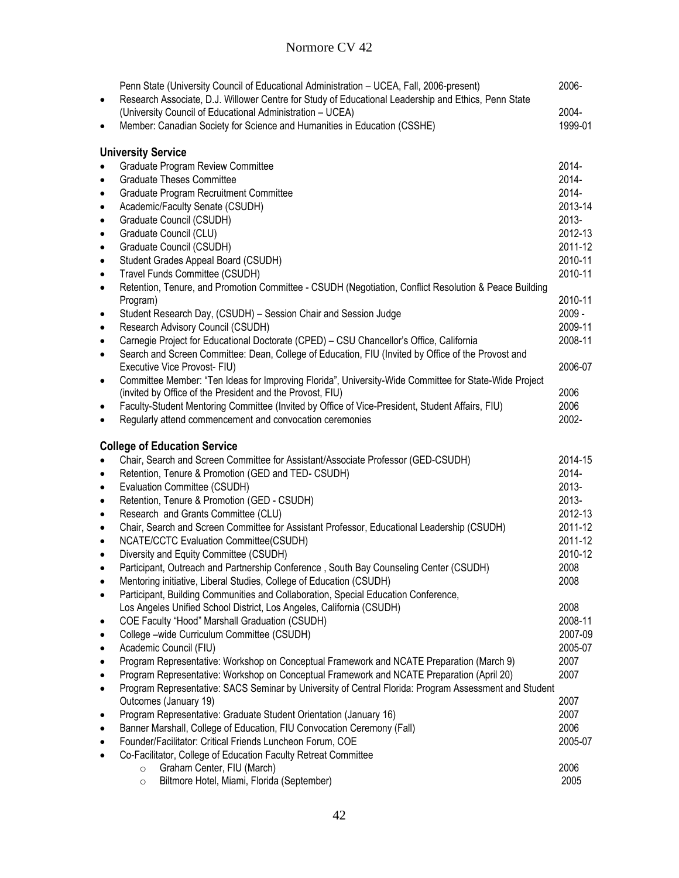| ٠         | Penn State (University Council of Educational Administration - UCEA, Fall, 2006-present)<br>Research Associate, D.J. Willower Centre for Study of Educational Leadership and Ethics, Penn State | 2006-            |
|-----------|-------------------------------------------------------------------------------------------------------------------------------------------------------------------------------------------------|------------------|
|           | (University Council of Educational Administration - UCEA)<br>Member: Canadian Society for Science and Humanities in Education (CSSHE)                                                           | 2004-<br>1999-01 |
|           |                                                                                                                                                                                                 |                  |
|           | <b>University Service</b>                                                                                                                                                                       |                  |
|           | Graduate Program Review Committee                                                                                                                                                               | 2014-            |
|           | <b>Graduate Theses Committee</b>                                                                                                                                                                | 2014-            |
| ٠         | Graduate Program Recruitment Committee                                                                                                                                                          | 2014-            |
| ٠         | Academic/Faculty Senate (CSUDH)                                                                                                                                                                 | 2013-14          |
| ٠         | Graduate Council (CSUDH)                                                                                                                                                                        | 2013-            |
| $\bullet$ | Graduate Council (CLU)                                                                                                                                                                          | 2012-13          |
| $\bullet$ | Graduate Council (CSUDH)                                                                                                                                                                        | 2011-12          |
| $\bullet$ | Student Grades Appeal Board (CSUDH)                                                                                                                                                             | 2010-11          |
| $\bullet$ | Travel Funds Committee (CSUDH)                                                                                                                                                                  | 2010-11          |
| $\bullet$ | Retention, Tenure, and Promotion Committee - CSUDH (Negotiation, Conflict Resolution & Peace Building                                                                                           |                  |
|           | Program)                                                                                                                                                                                        | 2010-11          |
| ٠         | Student Research Day, (CSUDH) - Session Chair and Session Judge                                                                                                                                 | $2009 -$         |
| $\bullet$ | Research Advisory Council (CSUDH)                                                                                                                                                               | 2009-11          |
| $\bullet$ | Carnegie Project for Educational Doctorate (CPED) - CSU Chancellor's Office, California                                                                                                         | 2008-11          |
| $\bullet$ | Search and Screen Committee: Dean, College of Education, FIU (Invited by Office of the Provost and                                                                                              |                  |
|           | Executive Vice Provost- FIU)                                                                                                                                                                    | 2006-07          |
| ٠         | Committee Member: "Ten Ideas for Improving Florida", University-Wide Committee for State-Wide Project                                                                                           |                  |
|           | (invited by Office of the President and the Provost, FIU)                                                                                                                                       | 2006             |
|           | Faculty-Student Mentoring Committee (Invited by Office of Vice-President, Student Affairs, FIU)                                                                                                 | 2006             |
|           | Regularly attend commencement and convocation ceremonies                                                                                                                                        | 2002-            |
|           |                                                                                                                                                                                                 |                  |
|           | <b>College of Education Service</b>                                                                                                                                                             |                  |
|           | Chair, Search and Screen Committee for Assistant/Associate Professor (GED-CSUDH)                                                                                                                | 2014-15          |
| $\bullet$ | Retention, Tenure & Promotion (GED and TED- CSUDH)                                                                                                                                              | 2014-            |
| ٠         | Evaluation Committee (CSUDH)                                                                                                                                                                    | $2013 -$         |
| ٠         | Retention, Tenure & Promotion (GED - CSUDH)                                                                                                                                                     | 2013-            |
| $\bullet$ | Research and Grants Committee (CLU)                                                                                                                                                             | 2012-13          |
| $\bullet$ | Chair, Search and Screen Committee for Assistant Professor, Educational Leadership (CSUDH)                                                                                                      | 2011-12          |
| $\bullet$ | <b>NCATE/CCTC Evaluation Committee(CSUDH)</b>                                                                                                                                                   | 2011-12          |
| $\bullet$ | Diversity and Equity Committee (CSUDH)                                                                                                                                                          | 2010-12          |
| $\bullet$ | Participant, Outreach and Partnership Conference, South Bay Counseling Center (CSUDH)                                                                                                           | 2008             |
|           | Mentoring initiative, Liberal Studies, College of Education (CSUDH)                                                                                                                             | 2008             |
|           | Participant, Building Communities and Collaboration, Special Education Conference,                                                                                                              |                  |
|           | Los Angeles Unified School District, Los Angeles, California (CSUDH)                                                                                                                            | 2008             |
| ٠         | COE Faculty "Hood" Marshall Graduation (CSUDH)                                                                                                                                                  | 2008-11          |
|           | College -wide Curriculum Committee (CSUDH)                                                                                                                                                      | 2007-09          |
|           | Academic Council (FIU)                                                                                                                                                                          | 2005-07          |
|           | Program Representative: Workshop on Conceptual Framework and NCATE Preparation (March 9)                                                                                                        | 2007             |
|           | Program Representative: Workshop on Conceptual Framework and NCATE Preparation (April 20)                                                                                                       | 2007             |
|           | Program Representative: SACS Seminar by University of Central Florida: Program Assessment and Student                                                                                           |                  |
|           | Outcomes (January 19)                                                                                                                                                                           | 2007             |
|           | Program Representative: Graduate Student Orientation (January 16)                                                                                                                               | 2007             |
|           | Banner Marshall, College of Education, FIU Convocation Ceremony (Fall)                                                                                                                          | 2006             |
|           | Founder/Facilitator: Critical Friends Luncheon Forum, COE                                                                                                                                       | 2005-07          |
|           | Co-Facilitator, College of Education Faculty Retreat Committee                                                                                                                                  |                  |
|           | Graham Center, FIU (March)<br>$\circ$                                                                                                                                                           | 2006             |
|           | Biltmore Hotel, Miami, Florida (September)<br>$\circ$                                                                                                                                           | 2005             |
|           |                                                                                                                                                                                                 |                  |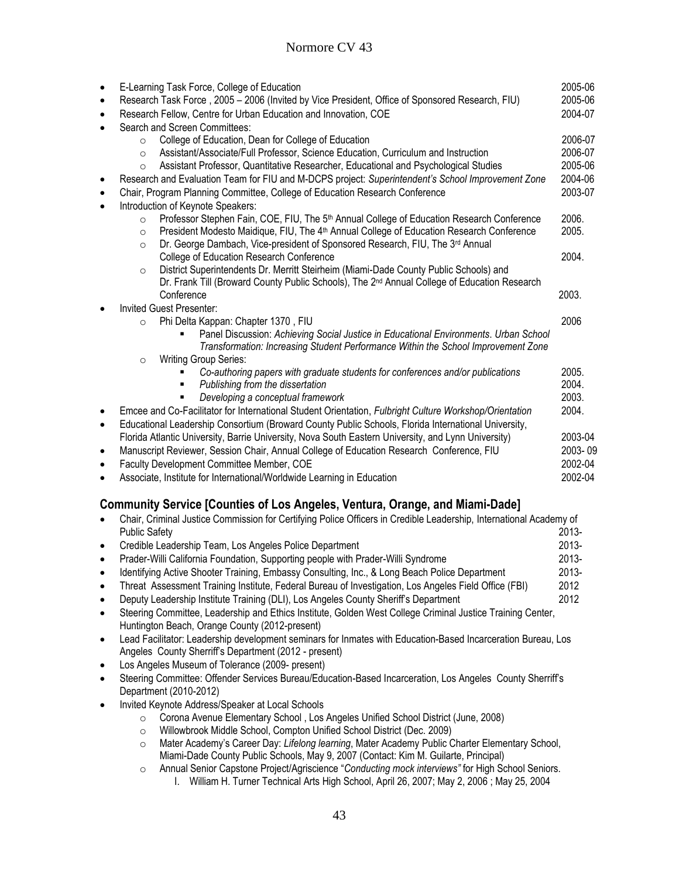| $\bullet$ | E-Learning Task Force, College of Education                                                                     | 2005-06 |
|-----------|-----------------------------------------------------------------------------------------------------------------|---------|
| $\bullet$ | Research Task Force, 2005 - 2006 (Invited by Vice President, Office of Sponsored Research, FIU)                 | 2005-06 |
| $\bullet$ | Research Fellow, Centre for Urban Education and Innovation, COE                                                 | 2004-07 |
|           | Search and Screen Committees:                                                                                   |         |
|           | College of Education, Dean for College of Education<br>$\circ$                                                  | 2006-07 |
|           | Assistant/Associate/Full Professor, Science Education, Curriculum and Instruction<br>$\circ$                    | 2006-07 |
|           | Assistant Professor, Quantitative Researcher, Educational and Psychological Studies<br>$\circ$                  | 2005-06 |
| $\bullet$ | Research and Evaluation Team for FIU and M-DCPS project: Superintendent's School Improvement Zone               | 2004-06 |
| $\bullet$ | Chair, Program Planning Committee, College of Education Research Conference                                     | 2003-07 |
| $\bullet$ | Introduction of Keynote Speakers:                                                                               |         |
|           | Professor Stephen Fain, COE, FIU, The 5th Annual College of Education Research Conference<br>$\circ$            | 2006.   |
|           | President Modesto Maidique, FIU, The 4 <sup>th</sup> Annual College of Education Research Conference<br>$\circ$ | 2005.   |
|           | Dr. George Dambach, Vice-president of Sponsored Research, FIU, The 3rd Annual<br>$\circ$                        |         |
|           | College of Education Research Conference                                                                        | 2004.   |
|           | District Superintendents Dr. Merritt Steirheim (Miami-Dade County Public Schools) and<br>$\circ$                |         |
|           | Dr. Frank Till (Broward County Public Schools), The 2 <sup>nd</sup> Annual College of Education Research        |         |
|           | Conference                                                                                                      | 2003.   |
|           | <b>Invited Guest Presenter:</b>                                                                                 |         |
|           | Phi Delta Kappan: Chapter 1370, FIU<br>$\Omega$                                                                 | 2006    |
|           | Panel Discussion: Achieving Social Justice in Educational Environments. Urban School                            |         |
|           | Transformation: Increasing Student Performance Within the School Improvement Zone                               |         |
|           | <b>Writing Group Series:</b><br>$\circ$                                                                         |         |
|           | Co-authoring papers with graduate students for conferences and/or publications                                  | 2005.   |
|           | Publishing from the dissertation                                                                                | 2004.   |
|           | Developing a conceptual framework                                                                               | 2003.   |
|           | Emcee and Co-Facilitator for International Student Orientation, Fulbright Culture Workshop/Orientation          | 2004.   |
| $\bullet$ | Educational Leadership Consortium (Broward County Public Schools, Florida International University,             |         |
|           | Florida Atlantic University, Barrie University, Nova South Eastern University, and Lynn University)             | 2003-04 |
| $\bullet$ | Manuscript Reviewer, Session Chair, Annual College of Education Research Conference, FIU                        | 2003-09 |
| $\bullet$ | Faculty Development Committee Member, COE                                                                       | 2002-04 |
|           | Associate, Institute for International/Worldwide Learning in Education                                          | 2002-04 |

## **Community Service [Counties of Los Angeles, Ventura, Orange, and Miami-Dade]**

| $\bullet$ | Chair, Criminal Justice Commission for Certifying Police Officers in Credible Leadership, International Academy of                                                    |          |
|-----------|-----------------------------------------------------------------------------------------------------------------------------------------------------------------------|----------|
|           | <b>Public Safety</b>                                                                                                                                                  | 2013-    |
| $\bullet$ | Credible Leadership Team, Los Angeles Police Department                                                                                                               | $2013 -$ |
| $\bullet$ | Prader-Willi California Foundation, Supporting people with Prader-Willi Syndrome                                                                                      | $2013 -$ |
| $\bullet$ | Identifying Active Shooter Training, Embassy Consulting, Inc., & Long Beach Police Department                                                                         | $2013 -$ |
| $\bullet$ | Threat Assessment Training Institute, Federal Bureau of Investigation, Los Angeles Field Office (FBI)                                                                 | 2012     |
| $\bullet$ | Deputy Leadership Institute Training (DLI), Los Angeles County Sheriff's Department                                                                                   | 2012     |
| $\bullet$ | Steering Committee, Leadership and Ethics Institute, Golden West College Criminal Justice Training Center,<br>Huntington Beach, Orange County (2012-present)          |          |
| $\bullet$ | Lead Facilitator: Leadership development seminars for Inmates with Education-Based Incarceration Bureau, Los<br>Angeles County Sherriff's Department (2012 - present) |          |

- Los Angeles Museum of Tolerance (2009- present)
- Steering Committee: Offender Services Bureau/Education-Based Incarceration, Los Angeles County Sherriff's Department (2010-2012)
- Invited Keynote Address/Speaker at Local Schools
	- o Corona Avenue Elementary School , Los Angeles Unified School District (June, 2008)
	- o Willowbrook Middle School, Compton Unified School District (Dec. 2009)
	- o Mater Academy's Career Day: *Lifelong learning*, Mater Academy Public Charter Elementary School, Miami-Dade County Public Schools, May 9, 2007 (Contact: Kim M. Guilarte, Principal)
	- o Annual Senior Capstone Project/Agriscience "*Conducting mock interviews"* for High School Seniors. I. William H. Turner Technical Arts High School, April 26, 2007; May 2, 2006 ; May 25, 2004